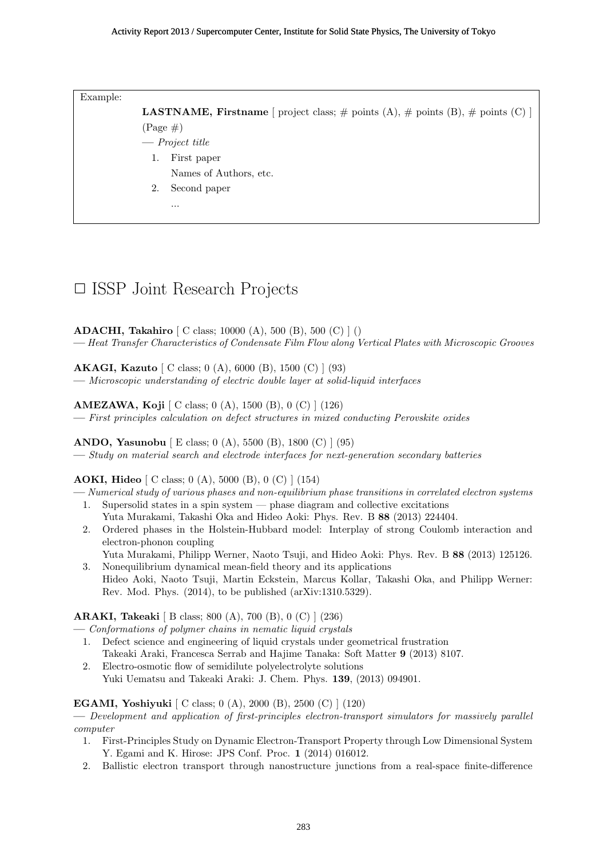Example:

**LASTNAME, Firstname** [ project class;  $\#$  points (A),  $\#$  points (B),  $\#$  points (C) ]  $(Page \#)$ 

- **—** *Project title*
	- 1. First paper
		- Names of Authors, etc.
	- 2. Second paper

...

# *✷* ISSP Joint Research Projects

**ADACHI, Takahiro** [ C class; 10000 (A), 500 (B), 500 (C) ] ()

**—** *Heat Transfer Characteristics of Condensate Film Flow along Vertical Plates with Microscopic Grooves*

**AKAGI, Kazuto** [ C class; 0 (A), 6000 (B), 1500 (C) ] (93) **—** *Microscopic understanding of electric double layer at solid-liquid interfaces*

**AMEZAWA, Koji** [ C class; 0 (A), 1500 (B), 0 (C) ] (126)

**—** *First principles calculation on defect structures in mixed conducting Perovskite oxides*

**ANDO, Yasunobu** [ E class; 0 (A), 5500 (B), 1800 (C) ] (95) **—** *Study on material search and electrode interfaces for next-generation secondary batteries*

## **AOKI, Hideo** [ C class; 0 (A), 5000 (B), 0 (C) ] (154)

**—** *Numerical study of various phases and non-equilibrium phase transitions in correlated electron systems* 1. Supersolid states in a spin system — phase diagram and collective excitations

- Yuta Murakami, Takashi Oka and Hideo Aoki: Phys. Rev. B **88** (2013) 224404.
- 2. Ordered phases in the Holstein-Hubbard model: Interplay of strong Coulomb interaction and electron-phonon coupling
- Yuta Murakami, Philipp Werner, Naoto Tsuji, and Hideo Aoki: Phys. Rev. B **88** (2013) 125126. 3. Nonequilibrium dynamical mean-field theory and its applications
- Hideo Aoki, Naoto Tsuji, Martin Eckstein, Marcus Kollar, Takashi Oka, and Philipp Werner: Rev. Mod. Phys. (2014), to be published (arXiv:1310.5329).

**ARAKI, Takeaki** [ B class; 800 (A), 700 (B), 0 (C) ] (236)

- **—** *Conformations of polymer chains in nematic liquid crystals*
- 1. Defect science and engineering of liquid crystals under geometrical frustration Takeaki Araki, Francesca Serrab and Hajime Tanaka: Soft Matter **9** (2013) 8107.
- 2. Electro-osmotic flow of semidilute polyelectrolyte solutions Yuki Uematsu and Takeaki Araki: J. Chem. Phys. **139**, (2013) 094901.

## **EGAMI, Yoshiyuki** [ C class; 0 (A), 2000 (B), 2500 (C) ] (120)

**—** *Development and application of first-principles electron-transport simulators for massively parallel computer*

- 1. First-Principles Study on Dynamic Electron-Transport Property through Low Dimensional System Y. Egami and K. Hirose: JPS Conf. Proc. **1** (2014) 016012.
- 2. Ballistic electron transport through nanostructure junctions from a real-space finite-difference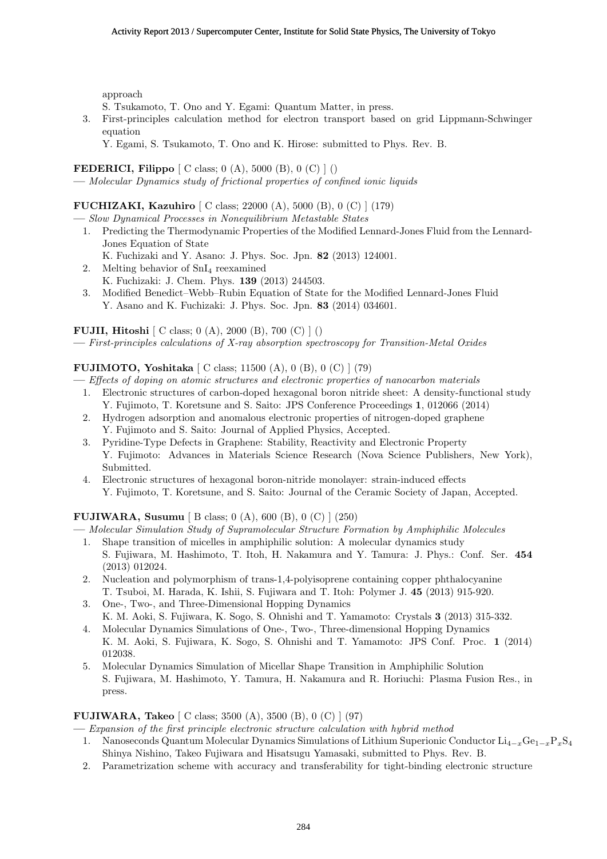approach

S. Tsukamoto, T. Ono and Y. Egami: Quantum Matter, in press.

- 3. First-principles calculation method for electron transport based on grid Lippmann-Schwinger equation
	- Y. Egami, S. Tsukamoto, T. Ono and K. Hirose: submitted to Phys. Rev. B.

## **FEDERICI, Filippo** [ C class; 0 (A), 5000 (B), 0 (C) ] ()

**—** *Molecular Dynamics study of frictional properties of confined ionic liquids*

## **FUCHIZAKI, Kazuhiro** [ C class; 22000 (A), 5000 (B), 0 (C) ] (179)

**—** *Slow Dynamical Processes in Nonequilibrium Metastable States*

- 1. Predicting the Thermodynamic Properties of the Modified Lennard-Jones Fluid from the Lennard-Jones Equation of State
	- K. Fuchizaki and Y. Asano: J. Phys. Soc. Jpn. **82** (2013) 124001.
- 2. Melting behavior of SnI<sup>4</sup> reexamined K. Fuchizaki: J. Chem. Phys. **139** (2013) 244503.
- 3. Modified Benedict–Webb–Rubin Equation of State for the Modified Lennard-Jones Fluid Y. Asano and K. Fuchizaki: J. Phys. Soc. Jpn. **83** (2014) 034601.

**FUJII, Hitoshi** [ C class; 0 (A), 2000 (B), 700 (C) ] () **—** *First-principles calculations of X-ray absorption spectroscopy for Transition-Metal Oxides*

# **FUJIMOTO, Yoshitaka** [ C class; 11500 (A), 0 (B), 0 (C) ] (79)

**—** *Effects of doping on atomic structures and electronic properties of nanocarbon materials*

- 1. Electronic structures of carbon-doped hexagonal boron nitride sheet: A density-functional study Y. Fujimoto, T. Koretsune and S. Saito: JPS Conference Proceedings **1**, 012066 (2014)
- 2. Hydrogen adsorption and anomalous electronic properties of nitrogen-doped graphene Y. Fujimoto and S. Saito: Journal of Applied Physics, Accepted.
- 3. Pyridine-Type Defects in Graphene: Stability, Reactivity and Electronic Property Y. Fujimoto: Advances in Materials Science Research (Nova Science Publishers, New York), Submitted.
- 4. Electronic structures of hexagonal boron-nitride monolayer: strain-induced effects Y. Fujimoto, T. Koretsune, and S. Saito: Journal of the Ceramic Society of Japan, Accepted.

## **FUJIWARA, Susumu** [ B class; 0 (A), 600 (B), 0 (C) ] (250)

**—** *Molecular Simulation Study of Supramolecular Structure Formation by Amphiphilic Molecules*

- 1. Shape transition of micelles in amphiphilic solution: A molecular dynamics study S. Fujiwara, M. Hashimoto, T. Itoh, H. Nakamura and Y. Tamura: J. Phys.: Conf. Ser. **454** (2013) 012024.
- 2. Nucleation and polymorphism of trans-1,4-polyisoprene containing copper phthalocyanine T. Tsuboi, M. Harada, K. Ishii, S. Fujiwara and T. Itoh: Polymer J. **45** (2013) 915-920.
- 3. One-, Two-, and Three-Dimensional Hopping Dynamics K. M. Aoki, S. Fujiwara, K. Sogo, S. Ohnishi and T. Yamamoto: Crystals **3** (2013) 315-332.
- 4. Molecular Dynamics Simulations of One-, Two-, Three-dimensional Hopping Dynamics K. M. Aoki, S. Fujiwara, K. Sogo, S. Ohnishi and T. Yamamoto: JPS Conf. Proc. **1** (2014) 012038.
- 5. Molecular Dynamics Simulation of Micellar Shape Transition in Amphiphilic Solution S. Fujiwara, M. Hashimoto, Y. Tamura, H. Nakamura and R. Horiuchi: Plasma Fusion Res., in press.

## **FUJIWARA, Takeo** [ C class; 3500 (A), 3500 (B), 0 (C) ] (97)

- **—** *Expansion of the first principle electronic structure calculation with hybrid method*
- 1. Nanoseconds Quantum Molecular Dynamics Simulations of Lithium Superionic Conductor Li<sup>4</sup>*−<sup>x</sup>*Ge<sup>1</sup>*−<sup>x</sup>*P*x*S<sup>4</sup> Shinya Nishino, Takeo Fujiwara and Hisatsugu Yamasaki, submitted to Phys. Rev. B.
- 2. Parametrization scheme with accuracy and transferability for tight-binding electronic structure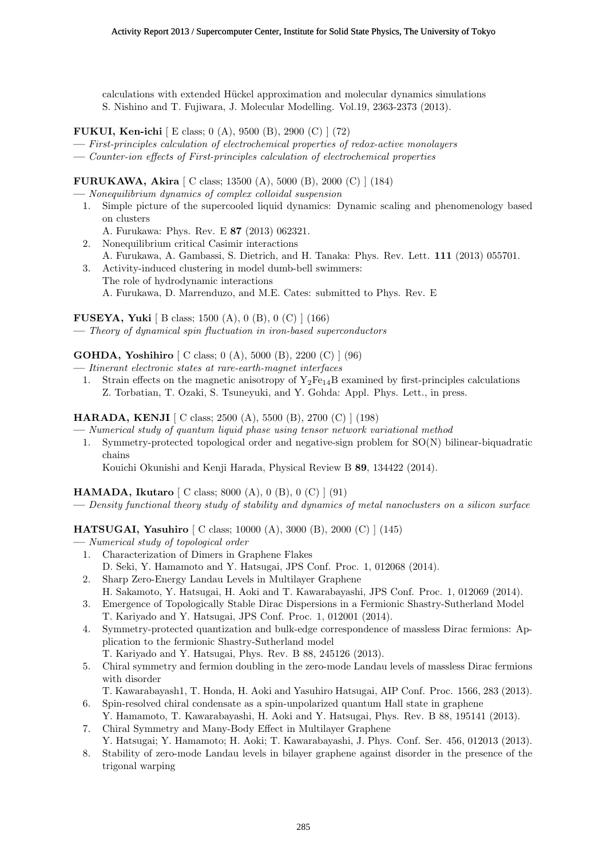calculations with extended Hückel approximation and molecular dynamics simulations S. Nishino and T. Fujiwara, J. Molecular Modelling. Vol.19, 2363-2373 (2013).

- **FUKUI, Ken-ichi** [ E class; 0 (A), 9500 (B), 2900 (C) ] (72)
- **—** *First-principles calculation of electrochemical properties of redox-active monolayers*
- **—** *Counter-ion effects of First-principles calculation of electrochemical properties*

**FURUKAWA, Akira** [ C class; 13500 (A), 5000 (B), 2000 (C) ] (184)

- **—** *Nonequilibrium dynamics of complex colloidal suspension*
- 1. Simple picture of the supercooled liquid dynamics: Dynamic scaling and phenomenology based on clusters
	- A. Furukawa: Phys. Rev. E **87** (2013) 062321.
- 2. Nonequilibrium critical Casimir interactions
- A. Furukawa, A. Gambassi, S. Dietrich, and H. Tanaka: Phys. Rev. Lett. **111** (2013) 055701.
- 3. Activity-induced clustering in model dumb-bell swimmers: The role of hydrodynamic interactions A. Furukawa, D. Marrenduzo, and M.E. Cates: submitted to Phys. Rev. E

## **FUSEYA, Yuki** [ B class; 1500 (A), 0 (B), 0 (C) ] (166)

**—** *Theory of dynamical spin fluctuation in iron-based superconductors*

## **GOHDA, Yoshihiro** [ C class; 0 (A), 5000 (B), 2200 (C) ] (96)

**—** *Itinerant electronic states at rare-earth-magnet interfaces*

1. Strain effects on the magnetic anisotropy of  $Y_2Fe_{14}B$  examined by first-principles calculations Z. Torbatian, T. Ozaki, S. Tsuneyuki, and Y. Gohda: Appl. Phys. Lett., in press.

## **HARADA, KENJI** [ C class; 2500 (A), 5500 (B), 2700 (C) ] (198)

- **—** *Numerical study of quantum liquid phase using tensor network variational method*
- 1. Symmetry-protected topological order and negative-sign problem for SO(N) bilinear-biquadratic chains

Kouichi Okunishi and Kenji Harada, Physical Review B **89**, 134422 (2014).

## **HAMADA, Ikutaro** [ C class; 8000 (A), 0 (B), 0 (C) ] (91)

**—** *Density functional theory study of stability and dynamics of metal nanoclusters on a silicon surface*

**HATSUGAI, Yasuhiro** [ C class; 10000 (A), 3000 (B), 2000 (C) ] (145)

- **—** *Numerical study of topological order*
	- 1. Characterization of Dimers in Graphene Flakes
	- D. Seki, Y. Hamamoto and Y. Hatsugai, JPS Conf. Proc. 1, 012068 (2014).
	- 2. Sharp Zero-Energy Landau Levels in Multilayer Graphene H. Sakamoto, Y. Hatsugai, H. Aoki and T. Kawarabayashi, JPS Conf. Proc. 1, 012069 (2014).
	- 3. Emergence of Topologically Stable Dirac Dispersions in a Fermionic Shastry-Sutherland Model T. Kariyado and Y. Hatsugai, JPS Conf. Proc. 1, 012001 (2014).
	- 4. Symmetry-protected quantization and bulk-edge correspondence of massless Dirac fermions: Application to the fermionic Shastry-Sutherland model
		- T. Kariyado and Y. Hatsugai, Phys. Rev. B 88, 245126 (2013).
	- 5. Chiral symmetry and fermion doubling in the zero-mode Landau levels of massless Dirac fermions with disorder

T. Kawarabayash1, T. Honda, H. Aoki and Yasuhiro Hatsugai, AIP Conf. Proc. 1566, 283 (2013).

- 6. Spin-resolved chiral condensate as a spin-unpolarized quantum Hall state in graphene
- Y. Hamamoto, T. Kawarabayashi, H. Aoki and Y. Hatsugai, Phys. Rev. B 88, 195141 (2013).
- 7. Chiral Symmetry and Many-Body Effect in Multilayer Graphene Y. Hatsugai; Y. Hamamoto; H. Aoki; T. Kawarabayashi, J. Phys. Conf. Ser. 456, 012013 (2013).
- 8. Stability of zero-mode Landau levels in bilayer graphene against disorder in the presence of the trigonal warping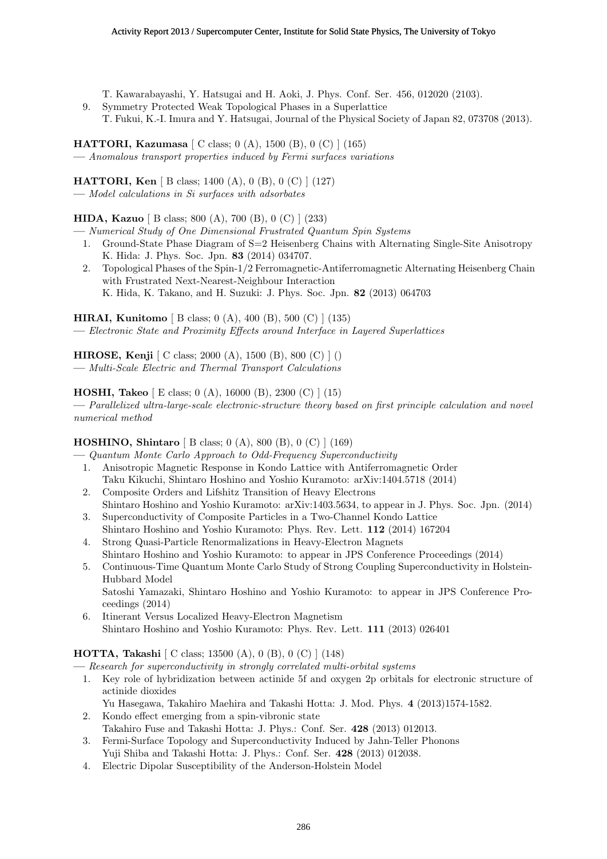- T. Kawarabayashi, Y. Hatsugai and H. Aoki, J. Phys. Conf. Ser. 456, 012020 (2103).
- 9. Symmetry Protected Weak Topological Phases in a Superlattice T. Fukui, K.-I. Imura and Y. Hatsugai, Journal of the Physical Society of Japan 82, 073708 (2013).

**HATTORI, Kazumasa** [ C class; 0 (A), 1500 (B), 0 (C) ] (165) **—** *Anomalous transport properties induced by Fermi surfaces variations*

**HATTORI, Ken** [ B class; 1400 (A), 0 (B), 0 (C) ] (127)

**—** *Model calculations in Si surfaces with adsorbates*

## **HIDA, Kazuo** [ B class; 800 (A), 700 (B), 0 (C) ] (233)

- **—** *Numerical Study of One Dimensional Frustrated Quantum Spin Systems*
	- 1. Ground-State Phase Diagram of S=2 Heisenberg Chains with Alternating Single-Site Anisotropy K. Hida: J. Phys. Soc. Jpn. **83** (2014) 034707.
	- 2. Topological Phases of the Spin-1/2 Ferromagnetic-Antiferromagnetic Alternating Heisenberg Chain with Frustrated Next-Nearest-Neighbour Interaction K. Hida, K. Takano, and H. Suzuki: J. Phys. Soc. Jpn. **82** (2013) 064703

# **HIRAI, Kunitomo** [ B class; 0 (A), 400 (B), 500 (C) ] (135)

**—** *Electronic State and Proximity Effects around Interface in Layered Superlattices*

**HIROSE, Kenji** [ C class; 2000 (A), 1500 (B), 800 (C) ] ()

**—** *Multi-Scale Electric and Thermal Transport Calculations*

# **HOSHI, Takeo** [ E class; 0 (A), 16000 (B), 2300 (C) ] (15)

**—** *Parallelized ultra-large-scale electronic-structure theory based on first principle calculation and novel numerical method*

# **HOSHINO, Shintaro** [ B class; 0 (A), 800 (B), 0 (C) ] (169)

**—** *Quantum Monte Carlo Approach to Odd-Frequency Superconductivity*

- 1. Anisotropic Magnetic Response in Kondo Lattice with Antiferromagnetic Order Taku Kikuchi, Shintaro Hoshino and Yoshio Kuramoto: arXiv:1404.5718 (2014)
- 2. Composite Orders and Lifshitz Transition of Heavy Electrons Shintaro Hoshino and Yoshio Kuramoto: arXiv:1403.5634, to appear in J. Phys. Soc. Jpn. (2014)
- 3. Superconductivity of Composite Particles in a Two-Channel Kondo Lattice Shintaro Hoshino and Yoshio Kuramoto: Phys. Rev. Lett. **112** (2014) 167204
- 4. Strong Quasi-Particle Renormalizations in Heavy-Electron Magnets Shintaro Hoshino and Yoshio Kuramoto: to appear in JPS Conference Proceedings (2014)
- 5. Continuous-Time Quantum Monte Carlo Study of Strong Coupling Superconductivity in Holstein-Hubbard Model Satoshi Yamazaki, Shintaro Hoshino and Yoshio Kuramoto: to appear in JPS Conference Proceedings (2014)
- 6. Itinerant Versus Localized Heavy-Electron Magnetism Shintaro Hoshino and Yoshio Kuramoto: Phys. Rev. Lett. **111** (2013) 026401

## **HOTTA, Takashi** [ C class; 13500 (A), 0 (B), 0 (C) ] (148)

**—** *Research for superconductivity in strongly correlated multi-orbital systems*

1. Key role of hybridization between actinide 5f and oxygen 2p orbitals for electronic structure of actinide dioxides

Yu Hasegawa, Takahiro Maehira and Takashi Hotta: J. Mod. Phys. **4** (2013)1574-1582.

- 2. Kondo effect emerging from a spin-vibronic state Takahiro Fuse and Takashi Hotta: J. Phys.: Conf. Ser. **428** (2013) 012013.
- 3. Fermi-Surface Topology and Superconductivity Induced by Jahn-Teller Phonons Yuji Shiba and Takashi Hotta: J. Phys.: Conf. Ser. **428** (2013) 012038.
- 4. Electric Dipolar Susceptibility of the Anderson-Holstein Model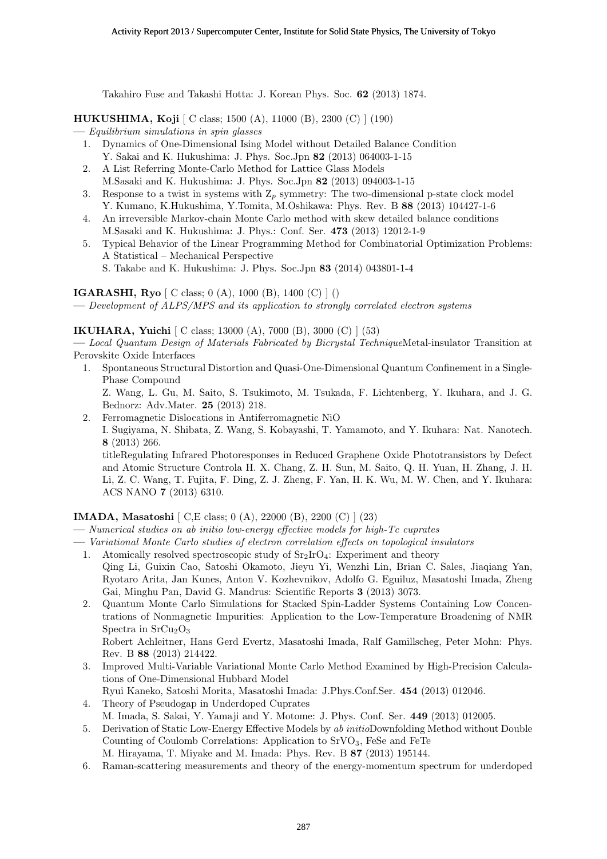Takahiro Fuse and Takashi Hotta: J. Korean Phys. Soc. **62** (2013) 1874.

**HUKUSHIMA, Koji** [ C class; 1500 (A), 11000 (B), 2300 (C) ] (190)

- **—** *Equilibrium simulations in spin glasses*
	- 1. Dynamics of One-Dimensional Ising Model without Detailed Balance Condition Y. Sakai and K. Hukushima: J. Phys. Soc.Jpn **82** (2013) 064003-1-15
	- 2. A List Referring Monte-Carlo Method for Lattice Glass Models M.Sasaki and K. Hukushima: J. Phys. Soc.Jpn **82** (2013) 094003-1-15
	- 3. Response to a twist in systems with  $Z_p$  symmetry: The two-dimensional p-state clock model Y. Kumano, K.Hukushima, Y.Tomita, M.Oshikawa: Phys. Rev. B **88** (2013) 104427-1-6
	- 4. An irreversible Markov-chain Monte Carlo method with skew detailed balance conditions M.Sasaki and K. Hukushima: J. Phys.: Conf. Ser. **473** (2013) 12012-1-9
	- 5. Typical Behavior of the Linear Programming Method for Combinatorial Optimization Problems: A Statistical – Mechanical Perspective
		- S. Takabe and K. Hukushima: J. Phys. Soc.Jpn **83** (2014) 043801-1-4

## **IGARASHI, Ryo** [ C class; 0 (A), 1000 (B), 1400 (C) ] ()

**—** *Development of ALPS/MPS and its application to strongly correlated electron systems*

# **IKUHARA, Yuichi** [ C class; 13000 (A), 7000 (B), 3000 (C) ] (53)

**—** *Local Quantum Design of Materials Fabricated by Bicrystal Technique*Metal-insulator Transition at Perovskite Oxide Interfaces

1. Spontaneous Structural Distortion and Quasi-One-Dimensional Quantum Confinement in a Single-Phase Compound Z. Wang, L. Gu, M. Saito, S. Tsukimoto, M. Tsukada, F. Lichtenberg, Y. Ikuhara, and J. G.

Bednorz: Adv.Mater. **25** (2013) 218.

2. Ferromagnetic Dislocations in Antiferromagnetic NiO I. Sugiyama, N. Shibata, Z. Wang, S. Kobayashi, T. Yamamoto, and Y. Ikuhara: Nat. Nanotech. **8** (2013) 266. titleRegulating Infrared Photoresponses in Reduced Graphene Oxide Phototransistors by Defect and Atomic Structure Controla H. X. Chang, Z. H. Sun, M. Saito, Q. H. Yuan, H. Zhang, J. H. Li, Z. C. Wang, T. Fujita, F. Ding, Z. J. Zheng, F. Yan, H. K. Wu, M. W. Chen, and Y. Ikuhara: ACS NANO **7** (2013) 6310.

## **IMADA, Masatoshi** [ C,E class; 0 (A), 22000 (B), 2200 (C) ] (23)

- **—** *Numerical studies on ab initio low-energy effective models for high-Tc cuprates*
- **—** *Variational Monte Carlo studies of electron correlation effects on topological insulators*
	- 1. Atomically resolved spectroscopic study of  $Sr<sub>2</sub>IrO<sub>4</sub>$ : Experiment and theory
	- Qing Li, Guixin Cao, Satoshi Okamoto, Jieyu Yi, Wenzhi Lin, Brian C. Sales, Jiaqiang Yan, Ryotaro Arita, Jan Kunes, Anton V. Kozhevnikov, Adolfo G. Eguiluz, Masatoshi Imada, Zheng Gai, Minghu Pan, David G. Mandrus: Scientific Reports **3** (2013) 3073.
	- 2. Quantum Monte Carlo Simulations for Stacked Spin-Ladder Systems Containing Low Concentrations of Nonmagnetic Impurities: Application to the Low-Temperature Broadening of NMR Spectra in  $SrCu<sub>2</sub>O<sub>3</sub>$

Robert Achleitner, Hans Gerd Evertz, Masatoshi Imada, Ralf Gamillscheg, Peter Mohn: Phys. Rev. B **88** (2013) 214422.

- 3. Improved Multi-Variable Variational Monte Carlo Method Examined by High-Precision Calculations of One-Dimensional Hubbard Model
	- Ryui Kaneko, Satoshi Morita, Masatoshi Imada: J.Phys.Conf.Ser. **454** (2013) 012046.
- 4. Theory of Pseudogap in Underdoped Cuprates M. Imada, S. Sakai, Y. Yamaji and Y. Motome: J. Phys. Conf. Ser. **449** (2013) 012005.
- 5. Derivation of Static Low-Energy Effective Models by *ab initio*Downfolding Method without Double Counting of Coulomb Correlations: Application to  $SrVO<sub>3</sub>$ , FeSe and FeTe
	- M. Hirayama, T. Miyake and M. Imada: Phys. Rev. B **87** (2013) 195144.
- 6. Raman-scattering measurements and theory of the energy-momentum spectrum for underdoped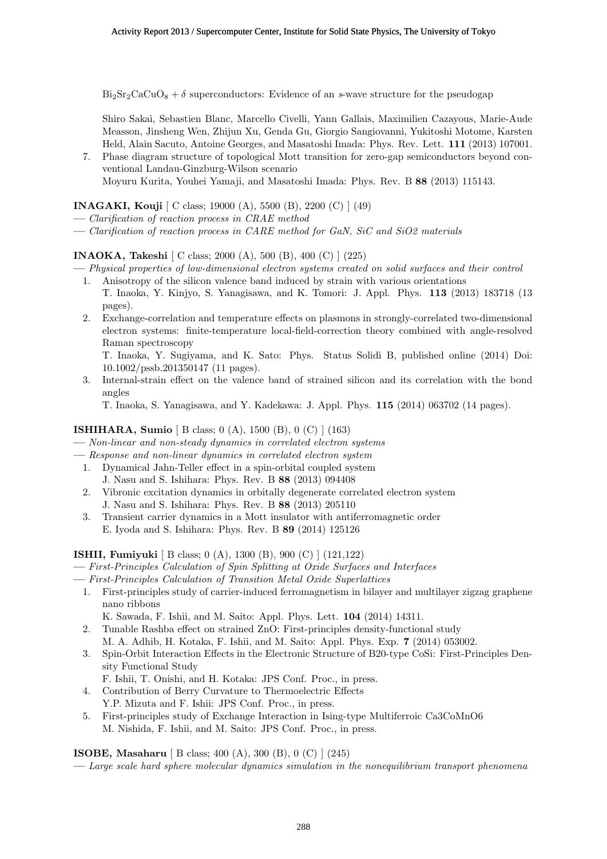$Bi<sub>2</sub>Sr<sub>2</sub>CaCuO<sub>8</sub> + \delta$  superconductors: Evidence of an *s*-wave structure for the pseudogap

Shiro Sakai, Sebastien Blanc, Marcello Civelli, Yann Gallais, Maximilien Cazayous, Marie-Aude Measson, Jinsheng Wen, Zhijun Xu, Genda Gu, Giorgio Sangiovanni, Yukitoshi Motome, Karsten Held, Alain Sacuto, Antoine Georges, and Masatoshi Imada: Phys. Rev. Lett. **111** (2013) 107001.

7. Phase diagram structure of topological Mott transition for zero-gap semiconductors beyond conventional Landau-Ginzburg-Wilson scenario Moyuru Kurita, Youhei Yamaji, and Masatoshi Imada: Phys. Rev. B **88** (2013) 115143.

**INAGAKI, Kouji** [ C class; 19000 (A), 5500 (B), 2200 (C) ] (49)

- **—** *Clarification of reaction process in CRAE method*
- **—** *Clarification of reaction process in CARE method for GaN, SiC and SiO2 materials*

**INAOKA, Takeshi** [ C class; 2000 (A), 500 (B), 400 (C) ] (225)

- **—** *Physical properties of low-dimensional electron systems created on solid surfaces and their control* 1. Anisotropy of the silicon valence band induced by strain with various orientations
	- T. Inaoka, Y. Kinjyo, S. Yanagisawa, and K. Tomori: J. Appl. Phys. **113** (2013) 183718 (13 pages).
	- 2. Exchange-correlation and temperature effects on plasmons in strongly-correlated two-dimensional electron systems: finite-temperature local-field-correction theory combined with angle-resolved Raman spectroscopy

T. Inaoka, Y. Sugiyama, and K. Sato: Phys. Status Solidi B, published online (2014) Doi: 10.1002/pssb.201350147 (11 pages).

3. Internal-strain effect on the valence band of strained silicon and its correlation with the bond angles

T. Inaoka, S. Yanagisawa, and Y. Kadekawa: J. Appl. Phys. **115** (2014) 063702 (14 pages).

## **ISHIHARA, Sumio** [ B class; 0 (A), 1500 (B), 0 (C) ] (163)

**—** *Non-linear and non-steady dynamics in correlated electron systems*

- **—** *Response and non-linear dynamics in correlated electron system*
	- 1. Dynamical Jahn-Teller effect in a spin-orbital coupled system
	- J. Nasu and S. Ishihara: Phys. Rev. B **88** (2013) 094408
	- 2. Vibronic excitation dynamics in orbitally degenerate correlated electron system J. Nasu and S. Ishihara: Phys. Rev. B **88** (2013) 205110
	- 3. Transient carrier dynamics in a Mott insulator with antiferromagnetic order E. Iyoda and S. Ishihara: Phys. Rev. B **89** (2014) 125126

**ISHII, Fumiyuki** [ B class; 0 (A), 1300 (B), 900 (C) ] (121,122)

- **—** *First-Principles Calculation of Spin Splitting at Oxide Surfaces and Interfaces*
- **—** *First-Principles Calculation of Transition Metal Oxide Superlattices*
- 1. First-principles study of carrier-induced ferromagnetism in bilayer and multilayer zigzag graphene nano ribbons

K. Sawada, F. Ishii, and M. Saito: Appl. Phys. Lett. **104** (2014) 14311.

- 2. Tunable Rashba effect on strained ZnO: First-principles density-functional study M. A. Adhib, H. Kotaka, F. Ishii, and M. Saito: Appl. Phys. Exp. **7** (2014) 053002.
- 3. Spin-Orbit Interaction Effects in the Electronic Structure of B20-type CoSi: First-Principles Density Functional Study
	- F. Ishii, T. Onishi, and H. Kotaka: JPS Conf. Proc., in press.
- 4. Contribution of Berry Curvature to Thermoelectric Effects
	- Y.P. Mizuta and F. Ishii: JPS Conf. Proc., in press.
- 5. First-principles study of Exchange Interaction in Ising-type Multiferroic Ca3CoMnO6 M. Nishida, F. Ishii, and M. Saito: JPS Conf. Proc., in press.

**ISOBE, Masaharu** [ B class; 400 (A), 300 (B), 0 (C) ] (245)

**—** *Large scale hard sphere molecular dynamics simulation in the nonequilibrium transport phenomena*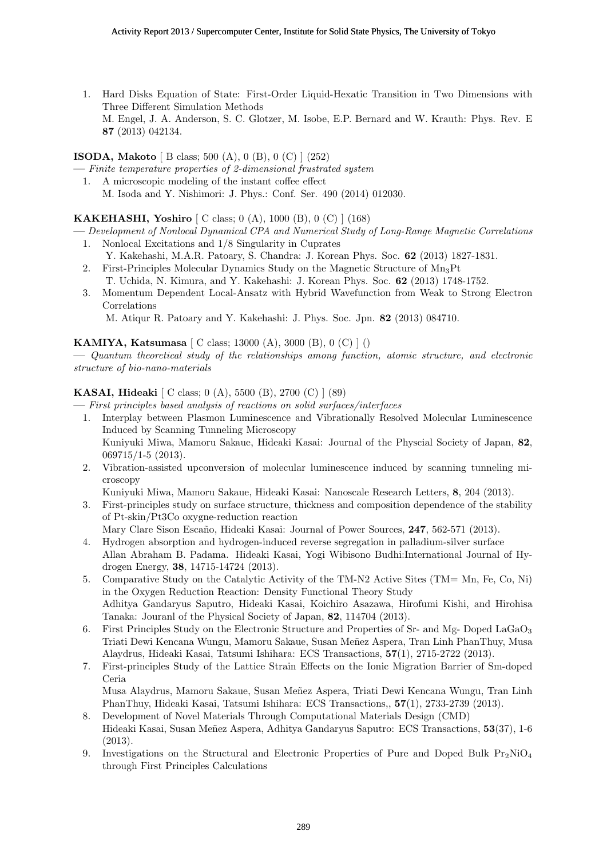1. Hard Disks Equation of State: First-Order Liquid-Hexatic Transition in Two Dimensions with Three Different Simulation Methods M. Engel, J. A. Anderson, S. C. Glotzer, M. Isobe, E.P. Bernard and W. Krauth: Phys. Rev. E **87** (2013) 042134.

# **ISODA, Makoto** [ B class; 500 (A), 0 (B), 0 (C) ] (252)

- **—** *Finite temperature properties of 2-dimensional frustrated system*
- 1. A microscopic modeling of the instant coffee effect M. Isoda and Y. Nishimori: J. Phys.: Conf. Ser. 490 (2014) 012030.

# **KAKEHASHI, Yoshiro** [ C class; 0 (A), 1000 (B), 0 (C) ] (168)

- **—** *Development of Nonlocal Dynamical CPA and Numerical Study of Long-Range Magnetic Correlations*
	- 1. Nonlocal Excitations and 1/8 Singularity in Cuprates
	- Y. Kakehashi, M.A.R. Patoary, S. Chandra: J. Korean Phys. Soc. **62** (2013) 1827-1831. 2. First-Principles Molecular Dynamics Study on the Magnetic Structure of  $Mn<sub>3</sub>Pt$ 
		- T. Uchida, N. Kimura, and Y. Kakehashi: J. Korean Phys. Soc. **62** (2013) 1748-1752.
	- 3. Momentum Dependent Local-Ansatz with Hybrid Wavefunction from Weak to Strong Electron Correlations

M. Atiqur R. Patoary and Y. Kakehashi: J. Phys. Soc. Jpn. **82** (2013) 084710.

## **KAMIYA, Katsumasa** [ C class; 13000 (A), 3000 (B), 0 (C) ] ()

**—** *Quantum theoretical study of the relationships among function, atomic structure, and electronic structure of bio-nano-materials*

## **KASAI, Hideaki** [ C class; 0 (A), 5500 (B), 2700 (C) ] (89)

**—** *First principles based analysis of reactions on solid surfaces/interfaces*

- 1. Interplay between Plasmon Luminescence and Vibrationally Resolved Molecular Luminescence Induced by Scanning Tunneling Microscopy Kuniyuki Miwa, Mamoru Sakaue, Hideaki Kasai: Journal of the Physcial Society of Japan, **82**, 069715/1-5 (2013).
- 2. Vibration-assisted upconversion of molecular luminescence induced by scanning tunneling microscopy

Kuniyuki Miwa, Mamoru Sakaue, Hideaki Kasai: Nanoscale Research Letters, **8**, 204 (2013).

3. First-principles study on surface structure, thickness and composition dependence of the stability of Pt-skin/Pt3Co oxygne-reduction reaction

Mary Clare Sison Escaño, Hideaki Kasai: Journal of Power Sources, 247, 562-571 (2013).

- 4. Hydrogen absorption and hydrogen-induced reverse segregation in palladium-silver surface Allan Abraham B. Padama. Hideaki Kasai, Yogi Wibisono Budhi:International Journal of Hydrogen Energy, **38**, 14715-14724 (2013).
- 5. Comparative Study on the Catalytic Activity of the TM-N2 Active Sites (TM= Mn, Fe, Co, Ni) in the Oxygen Reduction Reaction: Density Functional Theory Study Adhitya Gandaryus Saputro, Hideaki Kasai, Koichiro Asazawa, Hirofumi Kishi, and Hirohisa Tanaka: Jouranl of the Physical Society of Japan, **82**, 114704 (2013).
- 6. First Principles Study on the Electronic Structure and Properties of Sr- and Mg- Doped LaGaO<sup>3</sup> Triati Dewi Kencana Wungu, Mamoru Sakaue, Susan Meñez Aspera, Tran Linh PhanThuy, Musa Alaydrus, Hideaki Kasai, Tatsumi Ishihara: ECS Transactions, **57**(1), 2715-2722 (2013).
- 7. First-principles Study of the Lattice Strain Effects on the Ionic Migration Barrier of Sm-doped Ceria Musa Alaydrus, Mamoru Sakaue, Susan Meñez Aspera, Triati Dewi Kencana Wungu, Tran Linh

PhanThuy, Hideaki Kasai, Tatsumi Ishihara: ECS Transactions,, **57**(1), 2733-2739 (2013).

- 8. Development of Novel Materials Through Computational Materials Design (CMD) Hideaki Kasai, Susan Meñez Aspera, Adhitya Gandaryus Saputro: ECS Transactions, **53**(37), 1-6 (2013).
- 9. Investigations on the Structural and Electronic Properties of Pure and Doped Bulk  $Pr_2NiO_4$ through First Principles Calculations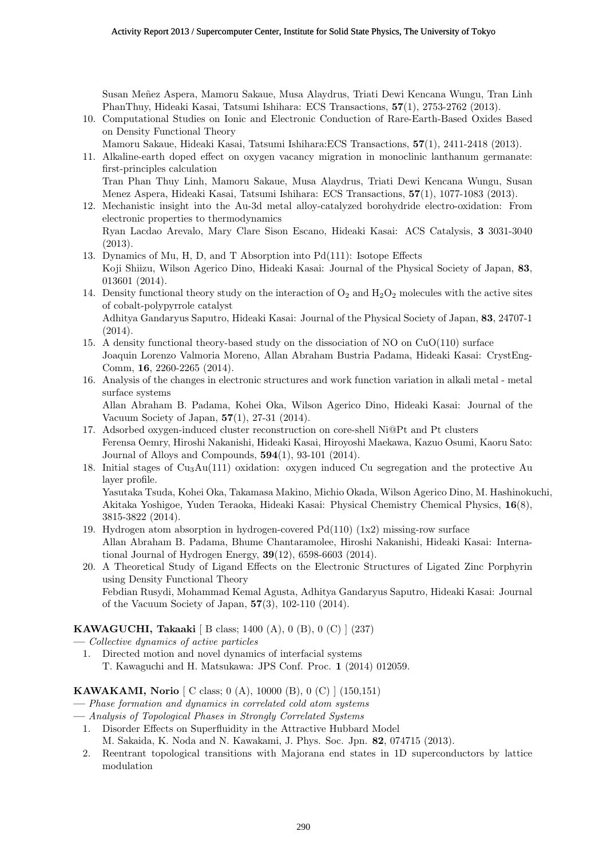Susan Meñez Aspera, Mamoru Sakaue, Musa Alaydrus, Triati Dewi Kencana Wungu, Tran Linh PhanThuy, Hideaki Kasai, Tatsumi Ishihara: ECS Transactions, **57**(1), 2753-2762 (2013).

- 10. Computational Studies on Ionic and Electronic Conduction of Rare-Earth-Based Oxides Based on Density Functional Theory
	- Mamoru Sakaue, Hideaki Kasai, Tatsumi Ishihara:ECS Transactions, **57**(1), 2411-2418 (2013).
- 11. Alkaline-earth doped effect on oxygen vacancy migration in monoclinic lanthanum germanate: first-principles calculation

Tran Phan Thuy Linh, Mamoru Sakaue, Musa Alaydrus, Triati Dewi Kencana Wungu, Susan Menez Aspera, Hideaki Kasai, Tatsumi Ishihara: ECS Transactions, **57**(1), 1077-1083 (2013).

- 12. Mechanistic insight into the Au-3d metal alloy-catalyzed borohydride electro-oxidation: From electronic properties to thermodynamics Ryan Lacdao Arevalo, Mary Clare Sison Escano, Hideaki Kasai: ACS Catalysis, **3** 3031-3040 (2013).
- 13. Dynamics of Mu, H, D, and T Absorption into Pd(111): Isotope Effects Koji Shiizu, Wilson Agerico Dino, Hideaki Kasai: Journal of the Physical Society of Japan, **83**, 013601 (2014).
- 14. Density functional theory study on the interaction of  $O_2$  and  $H_2O_2$  molecules with the active sites of cobalt-polypyrrole catalyst Adhitya Gandaryus Saputro, Hideaki Kasai: Journal of the Physical Society of Japan, **83**, 24707-1

(2014).

- 15. A density functional theory-based study on the dissociation of NO on  $CuO(110)$  surface Joaquin Lorenzo Valmoria Moreno, Allan Abraham Bustria Padama, Hideaki Kasai: CrystEng-Comm, **16**, 2260-2265 (2014).
- 16. Analysis of the changes in electronic structures and work function variation in alkali metal metal surface systems

Allan Abraham B. Padama, Kohei Oka, Wilson Agerico Dino, Hideaki Kasai: Journal of the Vacuum Society of Japan, **57**(1), 27-31 (2014).

- 17. Adsorbed oxygen-induced cluster reconstruction on core-shell Ni@Pt and Pt clusters Ferensa Oemry, Hiroshi Nakanishi, Hideaki Kasai, Hiroyoshi Maekawa, Kazuo Osumi, Kaoru Sato: Journal of Alloys and Compounds, **594**(1), 93-101 (2014).
- 18. Initial stages of  $Cu<sub>3</sub>Au(111)$  oxidation: oxygen induced Cu segregation and the protective Au layer profile. Yasutaka Tsuda, Kohei Oka, Takamasa Makino, Michio Okada, Wilson Agerico Dino, M. Hashinokuchi,

Akitaka Yoshigoe, Yuden Teraoka, Hideaki Kasai: Physical Chemistry Chemical Physics, **16**(8), 3815-3822 (2014).

- 19. Hydrogen atom absorption in hydrogen-covered Pd(110) (1x2) missing-row surface Allan Abraham B. Padama, Bhume Chantaramolee, Hiroshi Nakanishi, Hideaki Kasai: International Journal of Hydrogen Energy, **39**(12), 6598-6603 (2014).
- 20. A Theoretical Study of Ligand Effects on the Electronic Structures of Ligated Zinc Porphyrin using Density Functional Theory Febdian Rusydi, Mohammad Kemal Agusta, Adhitya Gandaryus Saputro, Hideaki Kasai: Journal of the Vacuum Society of Japan, **57**(3), 102-110 (2014).

## **KAWAGUCHI, Takaaki** [ B class; 1400 (A), 0 (B), 0 (C) ] (237)

- **—** *Collective dynamics of active particles*
- 1. Directed motion and novel dynamics of interfacial systems T. Kawaguchi and H. Matsukawa: JPS Conf. Proc. **1** (2014) 012059.

## **KAWAKAMI, Norio** [ C class; 0 (A), 10000 (B), 0 (C) ] (150,151)

- **—** *Phase formation and dynamics in correlated cold atom systems*
- **—** *Analysis of Topological Phases in Strongly Correlated Systems*
	- 1. Disorder Effects on Superfluidity in the Attractive Hubbard Model

M. Sakaida, K. Noda and N. Kawakami, J. Phys. Soc. Jpn. **82**, 074715 (2013).

2. Reentrant topological transitions with Majorana end states in 1D superconductors by lattice modulation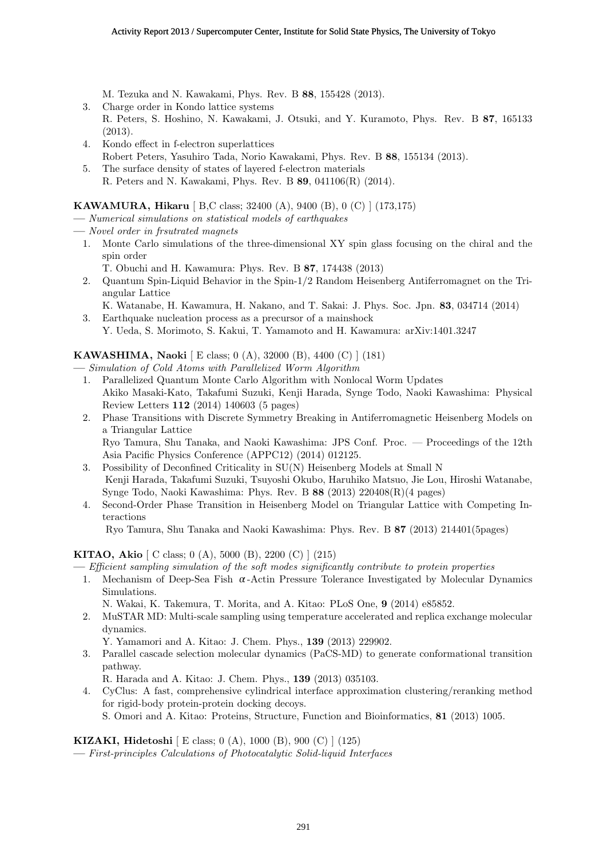M. Tezuka and N. Kawakami, Phys. Rev. B **88**, 155428 (2013).

- 3. Charge order in Kondo lattice systems
- R. Peters, S. Hoshino, N. Kawakami, J. Otsuki, and Y. Kuramoto, Phys. Rev. B **87**, 165133 (2013).
- 4. Kondo effect in f-electron superlattices Robert Peters, Yasuhiro Tada, Norio Kawakami, Phys. Rev. B **88**, 155134 (2013).
- 5. The surface density of states of layered f-electron materials R. Peters and N. Kawakami, Phys. Rev. B **89**, 041106(R) (2014).

## **KAWAMURA, Hikaru** [ B,C class; 32400 (A), 9400 (B), 0 (C) ] (173,175)

- **—** *Numerical simulations on statistical models of earthquakes*
- **—** *Novel order in frsutrated magnets*
	- 1. Monte Carlo simulations of the three-dimensional XY spin glass focusing on the chiral and the spin order
		- T. Obuchi and H. Kawamura: Phys. Rev. B **87**, 174438 (2013)
	- 2. Quantum Spin-Liquid Behavior in the Spin-1/2 Random Heisenberg Antiferromagnet on the Triangular Lattice
	- K. Watanabe, H. Kawamura, H. Nakano, and T. Sakai: J. Phys. Soc. Jpn. **83**, 034714 (2014) 3. Earthquake nucleation process as a precursor of a mainshock
		- Y. Ueda, S. Morimoto, S. Kakui, T. Yamamoto and H. Kawamura: arXiv:1401.3247

## **KAWASHIMA, Naoki** [ E class; 0 (A), 32000 (B), 4400 (C) ] (181)

- **—** *Simulation of Cold Atoms with Parallelized Worm Algorithm*
	- 1. Parallelized Quantum Monte Carlo Algorithm with Nonlocal Worm Updates Akiko Masaki-Kato, Takafumi Suzuki, Kenji Harada, Synge Todo, Naoki Kawashima: Physical Review Letters **112** (2014) 140603 (5 pages)
	- 2. Phase Transitions with Discrete Symmetry Breaking in Antiferromagnetic Heisenberg Models on a Triangular Lattice

Ryo Tamura, Shu Tanaka, and Naoki Kawashima: JPS Conf. Proc. — Proceedings of the 12th Asia Pacific Physics Conference (APPC12) (2014) 012125.

- 3. Possibility of Deconfined Criticality in SU(N) Heisenberg Models at Small N Kenji Harada, Takafumi Suzuki, Tsuyoshi Okubo, Haruhiko Matsuo, Jie Lou, Hiroshi Watanabe, Synge Todo, Naoki Kawashima: Phys. Rev. B **88** (2013) 220408(R)(4 pages)
- 4. Second-Order Phase Transition in Heisenberg Model on Triangular Lattice with Competing Interactions

Ryo Tamura, Shu Tanaka and Naoki Kawashima: Phys. Rev. B **87** (2013) 214401(5pages)

## **KITAO, Akio** [ C class; 0 (A), 5000 (B), 2200 (C) ] (215)

**—** *Efficient sampling simulation of the soft modes significantly contribute to protein properties*

1. Mechanism of Deep-Sea Fish  $\alpha$ -Actin Pressure Tolerance Investigated by Molecular Dynamics Simulations.

```
N. Wakai, K. Takemura, T. Morita, and A. Kitao: PLoS One, 9 (2014) e85852.
```
2. MuSTAR MD: Multi-scale sampling using temperature accelerated and replica exchange molecular dynamics.

Y. Yamamori and A. Kitao: J. Chem. Phys., **139** (2013) 229902.

3. Parallel cascade selection molecular dynamics (PaCS-MD) to generate conformational transition pathway.

R. Harada and A. Kitao: J. Chem. Phys., **139** (2013) 035103.

4. CyClus: A fast, comprehensive cylindrical interface approximation clustering/reranking method for rigid-body protein-protein docking decoys.

S. Omori and A. Kitao: Proteins, Structure, Function and Bioinformatics, **81** (2013) 1005.

#### **KIZAKI, Hidetoshi** [ E class; 0 (A), 1000 (B), 900 (C) ] (125)

**—** *First-principles Calculations of Photocatalytic Solid-liquid Interfaces*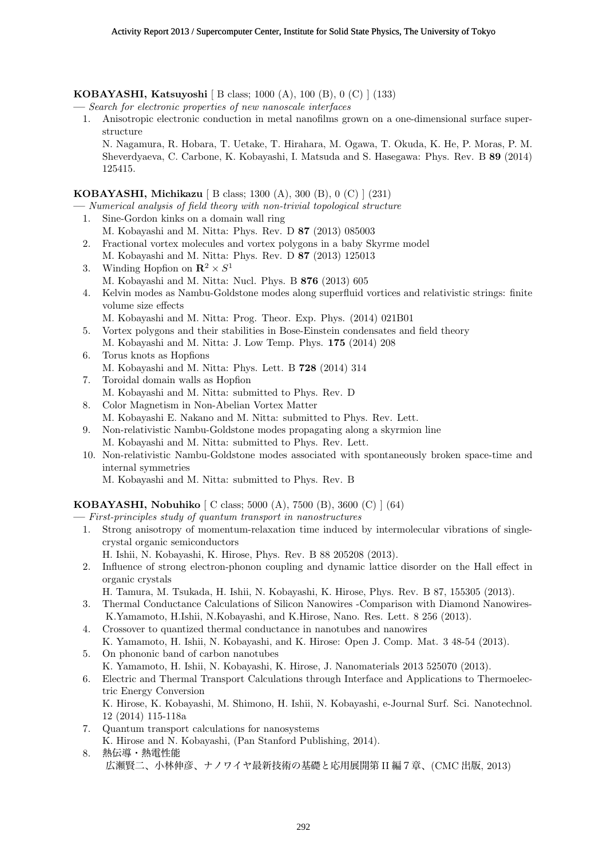**KOBAYASHI, Katsuyoshi** [ B class; 1000 (A), 100 (B), 0 (C) ] (133)

**—** *Search for electronic properties of new nanoscale interfaces*

1. Anisotropic electronic conduction in metal nanofilms grown on a one-dimensional surface superstructure

N. Nagamura, R. Hobara, T. Uetake, T. Hirahara, M. Ogawa, T. Okuda, K. He, P. Moras, P. M. Sheverdyaeva, C. Carbone, K. Kobayashi, I. Matsuda and S. Hasegawa: Phys. Rev. B **89** (2014) 125415.

## **KOBAYASHI, Michikazu** [ B class; 1300 (A), 300 (B), 0 (C) ] (231)

**—** *Numerical analysis of field theory with non-trivial topological structure*

- 1. Sine-Gordon kinks on a domain wall ring M. Kobayashi and M. Nitta: Phys. Rev. D **87** (2013) 085003
- 2. Fractional vortex molecules and vortex polygons in a baby Skyrme model M. Kobayashi and M. Nitta: Phys. Rev. D **87** (2013) 125013
- 3. Winding Hopfion on  $\mathbb{R}^2 \times S^1$ M. Kobayashi and M. Nitta: Nucl. Phys. B **876** (2013) 605
- 4. Kelvin modes as Nambu-Goldstone modes along superfluid vortices and relativistic strings: finite volume size effects
	- M. Kobayashi and M. Nitta: Prog. Theor. Exp. Phys. (2014) 021B01
- 5. Vortex polygons and their stabilities in Bose-Einstein condensates and field theory M. Kobayashi and M. Nitta: J. Low Temp. Phys. **175** (2014) 208
- 6. Torus knots as Hopfions M. Kobayashi and M. Nitta: Phys. Lett. B **728** (2014) 314
- 7. Toroidal domain walls as Hopfion
- M. Kobayashi and M. Nitta: submitted to Phys. Rev. D
- 8. Color Magnetism in Non-Abelian Vortex Matter M. Kobayashi E. Nakano and M. Nitta: submitted to Phys. Rev. Lett.
- 9. Non-relativistic Nambu-Goldstone modes propagating along a skyrmion line M. Kobayashi and M. Nitta: submitted to Phys. Rev. Lett.
- 10. Non-relativistic Nambu-Goldstone modes associated with spontaneously broken space-time and internal symmetries

M. Kobayashi and M. Nitta: submitted to Phys. Rev. B

## **KOBAYASHI, Nobuhiko** [ C class; 5000 (A), 7500 (B), 3600 (C) ] (64)

- **—** *First-principles study of quantum transport in nanostructures*
	- 1. Strong anisotropy of momentum-relaxation time induced by intermolecular vibrations of singlecrystal organic semiconductors
		- H. Ishii, N. Kobayashi, K. Hirose, Phys. Rev. B 88 205208 (2013).
	- 2. Influence of strong electron-phonon coupling and dynamic lattice disorder on the Hall effect in organic crystals
		- H. Tamura, M. Tsukada, H. Ishii, N. Kobayashi, K. Hirose, Phys. Rev. B 87, 155305 (2013).
	- 3. Thermal Conductance Calculations of Silicon Nanowires -Comparison with Diamond Nanowires-K.Yamamoto, H.Ishii, N.Kobayashi, and K.Hirose, Nano. Res. Lett. 8 256 (2013).
	- 4. Crossover to quantized thermal conductance in nanotubes and nanowires
	- K. Yamamoto, H. Ishii, N. Kobayashi, and K. Hirose: Open J. Comp. Mat. 3 48-54 (2013).
	- 5. On phononic band of carbon nanotubes
	- K. Yamamoto, H. Ishii, N. Kobayashi, K. Hirose, J. Nanomaterials 2013 525070 (2013).
	- 6. Electric and Thermal Transport Calculations through Interface and Applications to Thermoelectric Energy Conversion K. Hirose, K. Kobayashi, M. Shimono, H. Ishii, N. Kobayashi, e-Journal Surf. Sci. Nanotechnol.

12 (2014) 115-118a 7. Quantum transport calculations for nanosystems

- K. Hirose and N. Kobayashi, (Pan Stanford Publishing, 2014).
- 8. 熱伝導・熱電性能 広瀬賢二、小林伸彦、ナノワイヤ最新技術の基礎と応用展開第 II 編7章、(CMC 出版, 2013)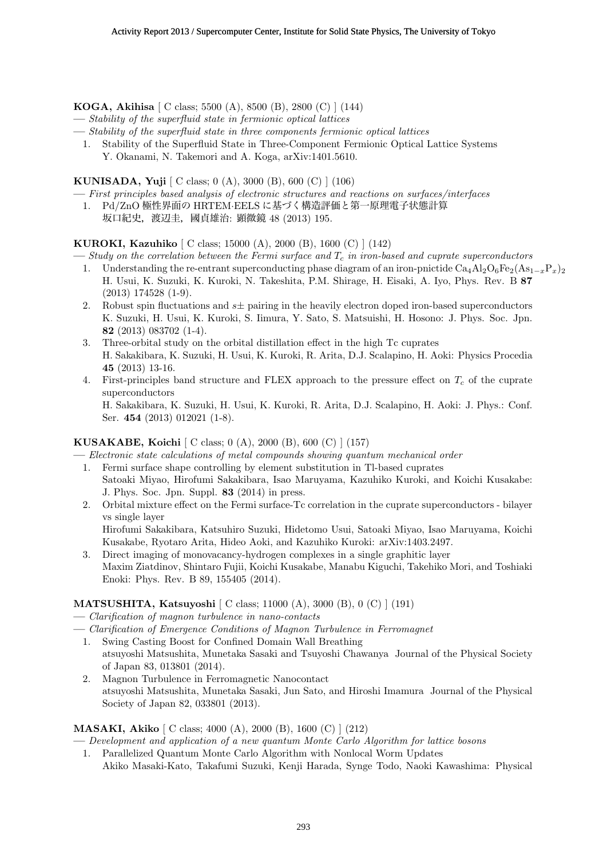**KOGA, Akihisa** [ C class; 5500 (A), 8500 (B), 2800 (C) ] (144)

- **—** *Stability of the superfluid state in fermionic optical lattices*
- **—** *Stability of the superfluid state in three components fermionic optical lattices*
	- 1. Stability of the Superfluid State in Three-Component Fermionic Optical Lattice Systems Y. Okanami, N. Takemori and A. Koga, arXiv:1401.5610.

**KUNISADA, Yuji** [ C class; 0 (A), 3000 (B), 600 (C) ] (106)

- **—** *First principles based analysis of electronic structures and reactions on surfaces/interfaces*
- 1. Pd/ZnO 極性界面の HRTEM*·*EELS に基づく構造評価と第一原理電子状態計算
	- 坂口紀史,渡辺圭,國貞雄治: 顕微鏡 48 (2013) 195.

**KUROKI, Kazuhiko** [ C class; 15000 (A), 2000 (B), 1600 (C) ] (142)

- **—** *Study on the correlation between the Fermi surface and T<sup>c</sup> in iron-based and cuprate superconductors*
	- 1. Understanding the re-entrant superconducting phase diagram of an iron-pnictide  $Ca_4Al_2O_6Fe_2(As_{1-r}P_r)_2$ H. Usui, K. Suzuki, K. Kuroki, N. Takeshita, P.M. Shirage, H. Eisaki, A. Iyo, Phys. Rev. B **87** (2013) 174528 (1-9).
	- 2. Robust spin fluctuations and  $s\pm$  pairing in the heavily electron doped iron-based superconductors K. Suzuki, H. Usui, K. Kuroki, S. Iimura, Y. Sato, S. Matsuishi, H. Hosono: J. Phys. Soc. Jpn. **82** (2013) 083702 (1-4).
	- 3. Three-orbital study on the orbital distillation effect in the high Tc cuprates H. Sakakibara, K. Suzuki, H. Usui, K. Kuroki, R. Arita, D.J. Scalapino, H. Aoki: Physics Procedia **45** (2013) 13-16.
	- 4. First-principles band structure and FLEX approach to the pressure effect on *T<sup>c</sup>* of the cuprate superconductors

H. Sakakibara, K. Suzuki, H. Usui, K. Kuroki, R. Arita, D.J. Scalapino, H. Aoki: J. Phys.: Conf. Ser. **454** (2013) 012021 (1-8).

## **KUSAKABE, Koichi** [ C class; 0 (A), 2000 (B), 600 (C) ] (157)

**—** *Electronic state calculations of metal compounds showing quantum mechanical order*

- 1. Fermi surface shape controlling by element substitution in Tl-based cuprates Satoaki Miyao, Hirofumi Sakakibara, Isao Maruyama, Kazuhiko Kuroki, and Koichi Kusakabe: J. Phys. Soc. Jpn. Suppl. **83** (2014) in press.
- 2. Orbital mixture effect on the Fermi surface-Tc correlation in the cuprate superconductors bilayer vs single layer

Hirofumi Sakakibara, Katsuhiro Suzuki, Hidetomo Usui, Satoaki Miyao, Isao Maruyama, Koichi Kusakabe, Ryotaro Arita, Hideo Aoki, and Kazuhiko Kuroki: arXiv:1403.2497.

3. Direct imaging of monovacancy-hydrogen complexes in a single graphitic layer Maxim Ziatdinov, Shintaro Fujii, Koichi Kusakabe, Manabu Kiguchi, Takehiko Mori, and Toshiaki Enoki: Phys. Rev. B 89, 155405 (2014).

## **MATSUSHITA, Katsuyoshi** [ C class; 11000 (A), 3000 (B), 0 (C) ] (191)

- **—** *Clarification of magnon turbulence in nano-contacts*
- **—** *Clarification of Emergence Conditions of Magnon Turbulence in Ferromagnet*
	- 1. Swing Casting Boost for Confined Domain Wall Breathing atsuyoshi Matsushita, Munetaka Sasaki and Tsuyoshi Chawanya Journal of the Physical Society of Japan 83, 013801 (2014).
	- 2. Magnon Turbulence in Ferromagnetic Nanocontact atsuyoshi Matsushita, Munetaka Sasaki, Jun Sato, and Hiroshi Imamura Journal of the Physical Society of Japan 82, 033801 (2013).

## **MASAKI, Akiko** [ C class; 4000 (A), 2000 (B), 1600 (C) ] (212)

**—** *Development and application of a new quantum Monte Carlo Algorithm for lattice bosons*

1. Parallelized Quantum Monte Carlo Algorithm with Nonlocal Worm Updates Akiko Masaki-Kato, Takafumi Suzuki, Kenji Harada, Synge Todo, Naoki Kawashima: Physical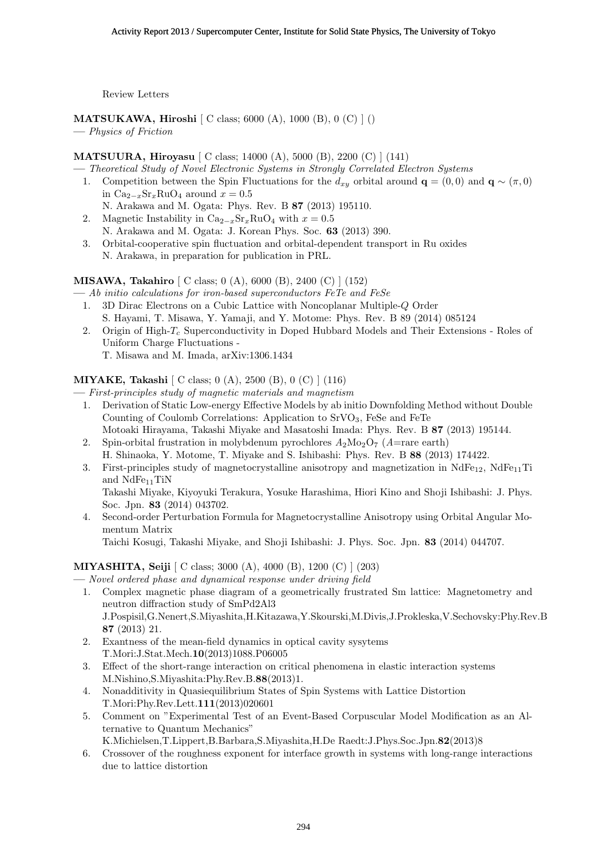Review Letters

**MATSUKAWA, Hiroshi** [ C class; 6000 (A), 1000 (B), 0 (C) ] ()

**—** *Physics of Friction*

# **MATSUURA, Hiroyasu** [ C class; 14000 (A), 5000 (B), 2200 (C) ] (141)

- **—** *Theoretical Study of Novel Electronic Systems in Strongly Correlated Electron Systems*
- 1. Competition between the Spin Fluctuations for the  $d_{xy}$  orbital around  $\mathbf{q} = (0,0)$  and  $\mathbf{q} \sim (\pi,0)$ in Ca<sup>2</sup>*−<sup>x</sup>*Sr*x*RuO<sup>4</sup> around *x* = 0*.*5
	- N. Arakawa and M. Ogata: Phys. Rev. B **87** (2013) 195110.
- 2. Magnetic Instability in  $Ca_{2-x}Sr_xRuO_4$  with  $x=0.5$
- N. Arakawa and M. Ogata: J. Korean Phys. Soc. **63** (2013) 390.
- 3. Orbital-cooperative spin fluctuation and orbital-dependent transport in Ru oxides N. Arakawa, in preparation for publication in PRL.

**MISAWA, Takahiro** [ C class; 0 (A), 6000 (B), 2400 (C) ] (152)

**—** *Ab initio calculations for iron-based superconductors FeTe and FeSe*

- 1. 3D Dirac Electrons on a Cubic Lattice with Noncoplanar Multiple-*Q* Order S. Hayami, T. Misawa, Y. Yamaji, and Y. Motome: Phys. Rev. B 89 (2014) 085124
- 2. Origin of High-*T<sup>c</sup>* Superconductivity in Doped Hubbard Models and Their Extensions Roles of Uniform Charge Fluctuations - T. Misawa and M. Imada, arXiv:1306.1434

**MIYAKE, Takashi** [ C class; 0 (A), 2500 (B), 0 (C) ] (116) **—** *First-principles study of magnetic materials and magnetism*

- 1. Derivation of Static Low-energy Effective Models by ab initio Downfolding Method without Double Counting of Coulomb Correlations: Application to SrVO3, FeSe and FeTe
- Motoaki Hirayama, Takashi Miyake and Masatoshi Imada: Phys. Rev. B **87** (2013) 195144.
- 2. Spin-orbital frustration in molybdenum pyrochlores  $A_2M_{2Q}O_7$  (*A*=rare earth) H. Shinaoka, Y. Motome, T. Miyake and S. Ishibashi: Phys. Rev. B **88** (2013) 174422.
- 3. First-principles study of magnetocrystalline anisotropy and magnetization in  $NdFe_{12}$ ,  $NdFe_{11}Ti$ and  $NdFe_{11}TiN$

Takashi Miyake, Kiyoyuki Terakura, Yosuke Harashima, Hiori Kino and Shoji Ishibashi: J. Phys. Soc. Jpn. **83** (2014) 043702.

4. Second-order Perturbation Formula for Magnetocrystalline Anisotropy using Orbital Angular Momentum Matrix

Taichi Kosugi, Takashi Miyake, and Shoji Ishibashi: J. Phys. Soc. Jpn. **83** (2014) 044707.

# **MIYASHITA, Seiji** [ C class; 3000 (A), 4000 (B), 1200 (C) ] (203)

- **—** *Novel ordered phase and dynamical response under driving field*
	- 1. Complex magnetic phase diagram of a geometrically frustrated Sm lattice: Magnetometry and neutron diffraction study of SmPd2Al3 J.Pospisil,G.Nenert,S.Miyashita,H.Kitazawa,Y.Skourski,M.Divis,J.Prokleska,V.Sechovsky:Phy.Rev.B **87** (2013) 21.
	- 2. Exantness of the mean-field dynamics in optical cavity sysytems T.Mori:J.Stat.Mech.**10**(2013)1088.P06005
	- 3. Effect of the short-range interaction on critical phenomena in elastic interaction systems M.Nishino,S.Miyashita:Phy.Rev.B.**88**(2013)1.
	- 4. Nonadditivity in Quasiequilibrium States of Spin Systems with Lattice Distortion T.Mori:Phy.Rev.Lett.**111**(2013)020601
	- 5. Comment on "Experimental Test of an Event-Based Corpuscular Model Modification as an Alternative to Quantum Mechanics" K.Michielsen,T.Lippert,B.Barbara,S.Miyashita,H.De Raedt:J.Phys.Soc.Jpn.**82**(2013)8
	- 6. Crossover of the roughness exponent for interface growth in systems with long-range interactions due to lattice distortion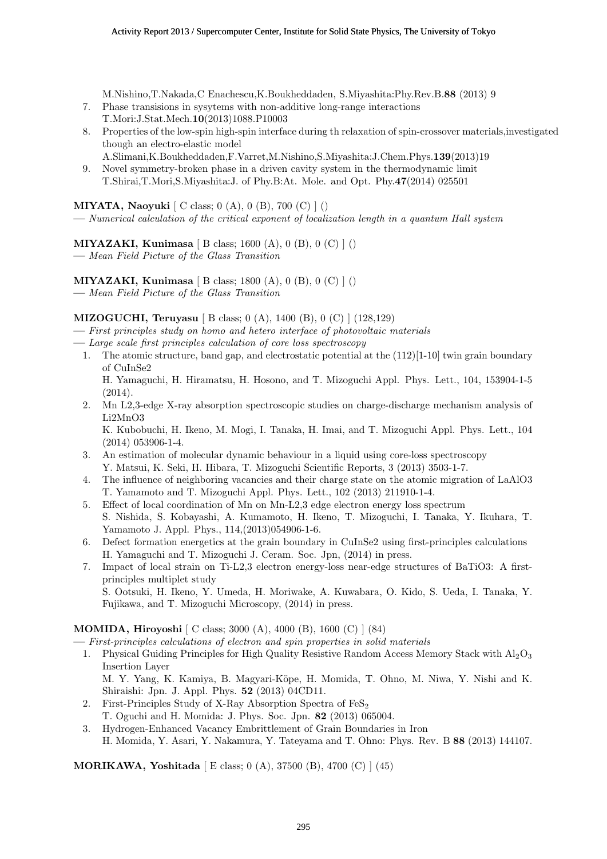M.Nishino,T.Nakada,C Enachescu,K.Boukheddaden, S.Miyashita:Phy.Rev.B.**88** (2013) 9

- 7. Phase transisions in sysytems with non-additive long-range interactions T.Mori:J.Stat.Mech.**10**(2013)1088.P10003
- 8. Properties of the low-spin high-spin interface during th relaxation of spin-crossover materials,investigated though an electro-elastic model
	- A.Slimani,K.Boukheddaden,F.Varret,M.Nishino,S.Miyashita:J.Chem.Phys.**139**(2013)19
- 9. Novel symmetry-broken phase in a driven cavity system in the thermodynamic limit T.Shirai,T.Mori,S.Miyashita:J. of Phy.B:At. Mole. and Opt. Phy.**47**(2014) 025501

**MIYATA, Naoyuki** [ C class; 0 (A), 0 (B), 700 (C) ] ()

**—** *Numerical calculation of the critical exponent of localization length in a quantum Hall system*

# **MIYAZAKI, Kunimasa** [ B class; 1600 (A), 0 (B), 0 (C) ] ()

**—** *Mean Field Picture of the Glass Transition*

**MIYAZAKI, Kunimasa** [ B class; 1800 (A), 0 (B), 0 (C) ] ()

**—** *Mean Field Picture of the Glass Transition*

## **MIZOGUCHI, Teruyasu** [ B class; 0 (A), 1400 (B), 0 (C) ] (128,129)

- **—** *First principles study on homo and hetero interface of photovoltaic materials*
- **—** *Large scale first principles calculation of core loss spectroscopy*
- 1. The atomic structure, band gap, and electrostatic potential at the (112)[1-10] twin grain boundary of CuInSe2

H. Yamaguchi, H. Hiramatsu, H. Hosono, and T. Mizoguchi Appl. Phys. Lett., 104, 153904-1-5 (2014).

2. Mn L2,3-edge X-ray absorption spectroscopic studies on charge-discharge mechanism analysis of Li2MnO3

K. Kubobuchi, H. Ikeno, M. Mogi, I. Tanaka, H. Imai, and T. Mizoguchi Appl. Phys. Lett., 104 (2014) 053906-1-4.

- 3. An estimation of molecular dynamic behaviour in a liquid using core-loss spectroscopy Y. Matsui, K. Seki, H. Hibara, T. Mizoguchi Scientific Reports, 3 (2013) 3503-1-7.
- 4. The influence of neighboring vacancies and their charge state on the atomic migration of LaAlO3 T. Yamamoto and T. Mizoguchi Appl. Phys. Lett., 102 (2013) 211910-1-4.
- 5. Effect of local coordination of Mn on Mn-L2,3 edge electron energy loss spectrum S. Nishida, S. Kobayashi, A. Kumamoto, H. Ikeno, T. Mizoguchi, I. Tanaka, Y. Ikuhara, T. Yamamoto J. Appl. Phys., 114,(2013)054906-1-6.
- 6. Defect formation energetics at the grain boundary in CuInSe2 using first-principles calculations H. Yamaguchi and T. Mizoguchi J. Ceram. Soc. Jpn, (2014) in press.
- 7. Impact of local strain on Ti-L2,3 electron energy-loss near-edge structures of BaTiO3: A firstprinciples multiplet study S. Ootsuki, H. Ikeno, Y. Umeda, H. Moriwake, A. Kuwabara, O. Kido, S. Ueda, I. Tanaka, Y. Fujikawa, and T. Mizoguchi Microscopy, (2014) in press.

## **MOMIDA, Hiroyoshi** [ C class; 3000 (A), 4000 (B), 1600 (C) ] (84)

- **—** *First-principles calculations of electron and spin properties in solid materials*
- 1. Physical Guiding Principles for High Quality Resistive Random Access Memory Stack with  $A_1O_3$ Insertion Layer M. Y. Yang, K. Kamiya, B. Magyari-Köpe, H. Momida, T. Ohno, M. Niwa, Y. Nishi and K.
	- Shiraishi: Jpn. J. Appl. Phys. **52** (2013) 04CD11.
- 2. First-Principles Study of X-Ray Absorption Spectra of  $\text{FeS}_2$ T. Oguchi and H. Momida: J. Phys. Soc. Jpn. **82** (2013) 065004.
- 3. Hydrogen-Enhanced Vacancy Embrittlement of Grain Boundaries in Iron H. Momida, Y. Asari, Y. Nakamura, Y. Tateyama and T. Ohno: Phys. Rev. B **88** (2013) 144107.

**MORIKAWA, Yoshitada** [ E class; 0 (A), 37500 (B), 4700 (C) ] (45)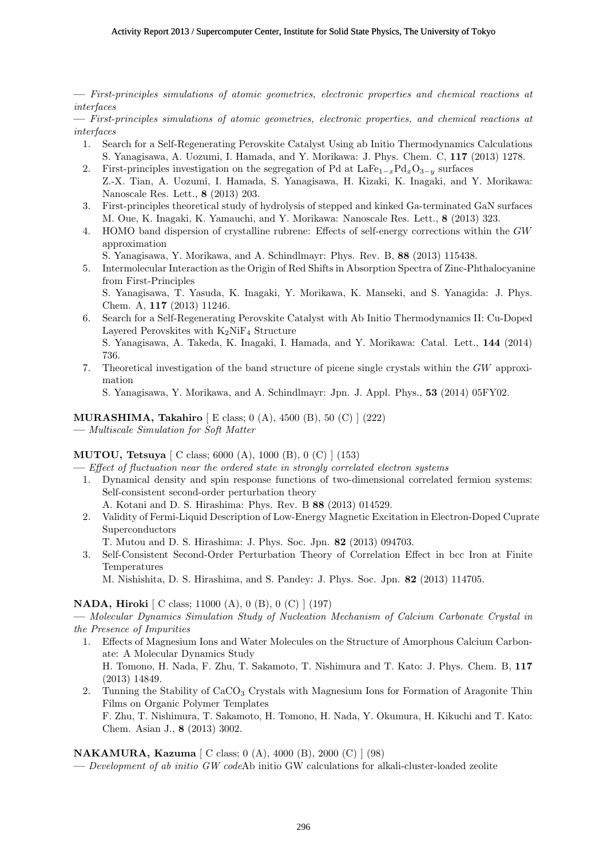**—** *First-principles simulations of atomic geometries, electronic properties and chemical reactions at interfaces*

**—** *First-principles simulations of atomic geometries, electronic properties, and chemical reactions at interfaces*

- 1. Search for a Self-Regenerating Perovskite Catalyst Using ab Initio Thermodynamics Calculations S. Yanagisawa, A. Uozumi, I. Hamada, and Y. Morikawa: J. Phys. Chem. C, **117** (2013) 1278.
- 2. First-principles investigation on the segregation of Pd at LaFe<sup>1</sup>*−<sup>x</sup>*Pd*x*O<sup>3</sup>*−<sup>y</sup>* surfaces
- Z.-X. Tian, A. Uozumi, I. Hamada, S. Yanagisawa, H. Kizaki, K. Inagaki, and Y. Morikawa: Nanoscale Res. Lett., **8** (2013) 203.
- 3. First-principles theoretical study of hydrolysis of stepped and kinked Ga-terminated GaN surfaces M. Oue, K. Inagaki, K. Yamauchi, and Y. Morikawa: Nanoscale Res. Lett., **8** (2013) 323.
- 4. HOMO band dispersion of crystalline rubrene: Effects of self-energy corrections within the *GW* approximation

S. Yanagisawa, Y. Morikawa, and A. Schindlmayr: Phys. Rev. B, **88** (2013) 115438.

5. Intermolecular Interaction as the Origin of Red Shifts in Absorption Spectra of Zinc-Phthalocyanine from First-Principles S. Yanagisawa, T. Yasuda, K. Inagaki, Y. Morikawa, K. Manseki, and S. Yanagida: J. Phys.

Chem. A, **117** (2013) 11246.

- 6. Search for a Self-Regenerating Perovskite Catalyst with Ab Initio Thermodynamics II: Cu-Doped Layered Perovskites with  $K_2NiF_4$  Structure S. Yanagisawa, A. Takeda, K. Inagaki, I. Hamada, and Y. Morikawa: Catal. Lett., **144** (2014) 736.
- 7. Theoretical investigation of the band structure of picene single crystals within the *GW* approximation

S. Yanagisawa, Y. Morikawa, and A. Schindlmayr: Jpn. J. Appl. Phys., **53** (2014) 05FY02.

#### **MURASHIMA, Takahiro** [ E class; 0 (A), 4500 (B), 50 (C) ] (222)

**—** *Multiscale Simulation for Soft Matter*

#### **MUTOU, Tetsuya** [ C class; 6000 (A), 1000 (B), 0 (C) ] (153)

**—** *Effect of fluctuation near the ordered state in strongly correlated electron systems*

- 1. Dynamical density and spin response functions of two-dimensional correlated fermion systems: Self-consistent second-order perturbation theory
	- A. Kotani and D. S. Hirashima: Phys. Rev. B **88** (2013) 014529.
- 2. Validity of Fermi-Liquid Description of Low-Energy Magnetic Excitation in Electron-Doped Cuprate Superconductors
	- T. Mutou and D. S. Hirashima: J. Phys. Soc. Jpn. **82** (2013) 094703.
- 3. Self-Consistent Second-Order Perturbation Theory of Correlation Effect in bcc Iron at Finite Temperatures

M. Nishishita, D. S. Hirashima, and S. Pandey: J. Phys. Soc. Jpn. **82** (2013) 114705.

#### **NADA, Hiroki** [ C class; 11000 (A), 0 (B), 0 (C) ] (197)

**—** *Molecular Dynamics Simulation Study of Nucleation Mechanism of Calcium Carbonate Crystal in the Presence of Impurities*

- 1. Effects of Magnesium Ions and Water Molecules on the Structure of Amorphous Calcium Carbonate: A Molecular Dynamics Study H. Tomono, H. Nada, F. Zhu, T. Sakamoto, T. Nishimura and T. Kato: J. Phys. Chem. B, **117** (2013) 14849.
- 2. Tunning the Stability of CaCO<sub>3</sub> Crystals with Magnesium Ions for Formation of Aragonite Thin Films on Organic Polymer Templates

F. Zhu, T. Nishimura, T. Sakamoto, H. Tomono, H. Nada, Y. Okumura, H. Kikuchi and T. Kato: Chem. Asian J., **8** (2013) 3002.

#### **NAKAMURA, Kazuma** [ C class; 0 (A), 4000 (B), 2000 (C) ] (98)

**—** *Development of ab initio GW code*Ab initio GW calculations for alkali-cluster-loaded zeolite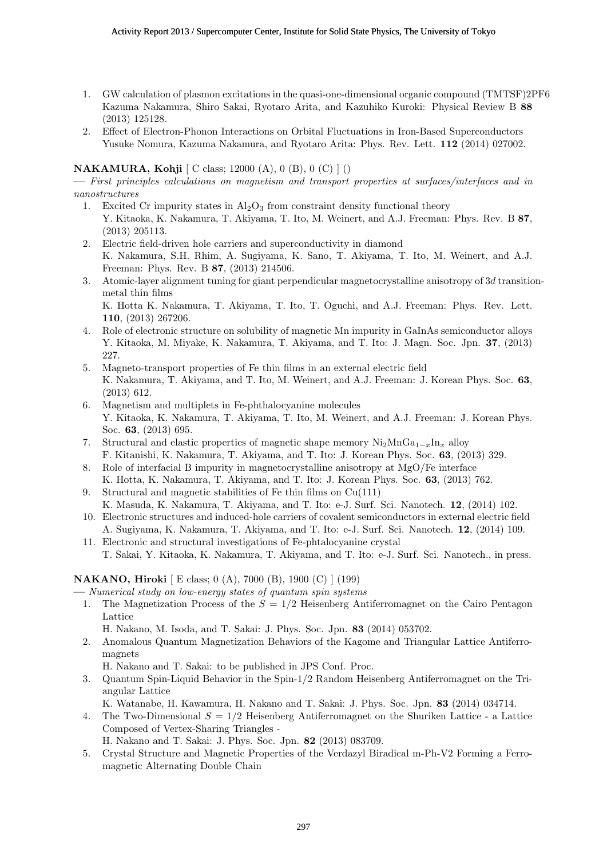- 1. GW calculation of plasmon excitations in the quasi-one-dimensional organic compound (TMTSF)2PF6 Kazuma Nakamura, Shiro Sakai, Ryotaro Arita, and Kazuhiko Kuroki: Physical Review B **88** (2013) 125128.
- 2. Effect of Electron-Phonon Interactions on Orbital Fluctuations in Iron-Based Superconductors Yusuke Nomura, Kazuma Nakamura, and Ryotaro Arita: Phys. Rev. Lett. **112** (2014) 027002.

## **NAKAMURA, Kohji** [ C class; 12000 (A), 0 (B), 0 (C) ] ()

**—** *First principles calculations on magnetism and transport properties at surfaces/interfaces and in nanostructures*

- 1. Excited Cr impurity states in  $\text{Al}_2\text{O}_3$  from constraint density functional theory Y. Kitaoka, K. Nakamura, T. Akiyama, T. Ito, M. Weinert, and A.J. Freeman: Phys. Rev. B **87**, (2013) 205113.
- 2. Electric field-driven hole carriers and superconductivity in diamond K. Nakamura, S.H. Rhim, A. Sugiyama, K. Sano, T. Akiyama, T. Ito, M. Weinert, and A.J. Freeman: Phys. Rev. B **87**, (2013) 214506.
- 3. Atomic-layer alignment tuning for giant perpendicular magnetocrystalline anisotropy of 3*d* transitionmetal thin films K. Hotta K. Nakamura, T. Akiyama, T. Ito, T. Oguchi, and A.J. Freeman: Phys. Rev. Lett. **110**, (2013) 267206.
- 4. Role of electronic structure on solubility of magnetic Mn impurity in GaInAs semiconductor alloys Y. Kitaoka, M. Miyake, K. Nakamura, T. Akiyama, and T. Ito: J. Magn. Soc. Jpn. **37**, (2013) 227.
- 5. Magneto-transport properties of Fe thin films in an external electric field K. Nakamura, T. Akiyama, and T. Ito, M. Weinert, and A.J. Freeman: J. Korean Phys. Soc. **63**, (2013) 612.
- 6. Magnetism and multiplets in Fe-phthalocyanine molecules Y. Kitaoka, K. Nakamura, T. Akiyama, T. Ito, M. Weinert, and A.J. Freeman: J. Korean Phys. Soc. **63**, (2013) 695.
- 7. Structural and elastic properties of magnetic shape memory Ni2MnGa<sup>1</sup>*−<sup>x</sup>*In*<sup>x</sup>* alloy F. Kitanishi, K. Nakamura, T. Akiyama, and T. Ito: J. Korean Phys. Soc. **63**, (2013) 329.
- 8. Role of interfacial B impurity in magnetocrystalline anisotropy at MgO/Fe interface K. Hotta, K. Nakamura, T. Akiyama, and T. Ito: J. Korean Phys. Soc. **63**, (2013) 762.
- 9. Structural and magnetic stabilities of Fe thin films on Cu(111) K. Masuda, K. Nakamura, T. Akiyama, and T. Ito: e-J. Surf. Sci. Nanotech. **12**, (2014) 102.
- 10. Electronic structures and induced-hole carriers of covalent semiconductors in external electric field A. Sugiyama, K. Nakamura, T. Akiyama, and T. Ito: e-J. Surf. Sci. Nanotech. **12**, (2014) 109.
- 11. Electronic and structural investigations of Fe-phtalocyanine crystal T. Sakai, Y. Kitaoka, K. Nakamura, T. Akiyama, and T. Ito: e-J. Surf. Sci. Nanotech., in press.

## **NAKANO, Hiroki** [ E class; 0 (A), 7000 (B), 1900 (C) ] (199)

- **—** *Numerical study on low-energy states of quantum spin systems*
- 1. The Magnetization Process of the *S* = 1*/*2 Heisenberg Antiferromagnet on the Cairo Pentagon Lattice
	- H. Nakano, M. Isoda, and T. Sakai: J. Phys. Soc. Jpn. **83** (2014) 053702.
- 2. Anomalous Quantum Magnetization Behaviors of the Kagome and Triangular Lattice Antiferromagnets
	- H. Nakano and T. Sakai: to be published in JPS Conf. Proc.
- 3. Quantum Spin-Liquid Behavior in the Spin-1/2 Random Heisenberg Antiferromagnet on the Triangular Lattice
	- K. Watanabe, H. Kawamura, H. Nakano and T. Sakai: J. Phys. Soc. Jpn. **83** (2014) 034714.
- 4. The Two-Dimensional *S* = 1*/*2 Heisenberg Antiferromagnet on the Shuriken Lattice a Lattice Composed of Vertex-Sharing Triangles -

H. Nakano and T. Sakai: J. Phys. Soc. Jpn. **82** (2013) 083709.

5. Crystal Structure and Magnetic Properties of the Verdazyl Biradical m-Ph-V2 Forming a Ferromagnetic Alternating Double Chain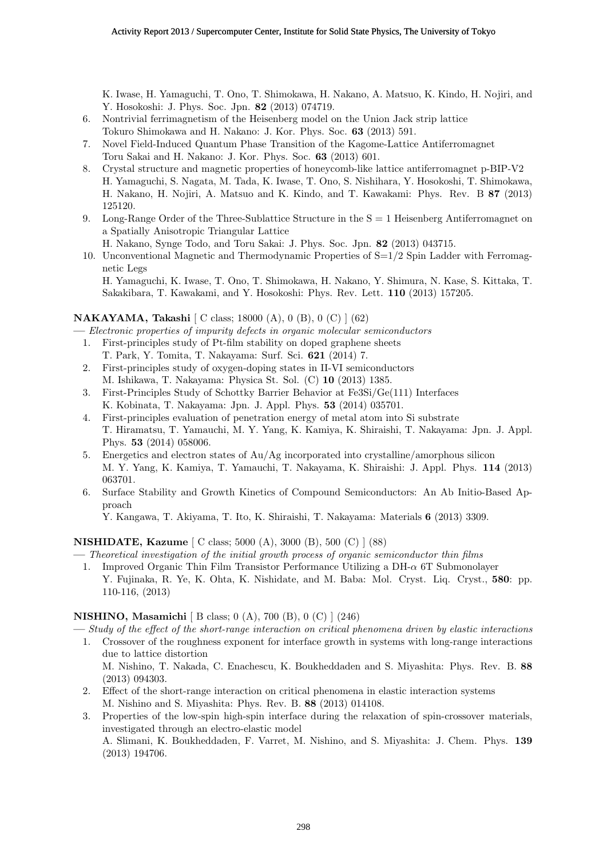K. Iwase, H. Yamaguchi, T. Ono, T. Shimokawa, H. Nakano, A. Matsuo, K. Kindo, H. Nojiri, and Y. Hosokoshi: J. Phys. Soc. Jpn. **82** (2013) 074719.

- 6. Nontrivial ferrimagnetism of the Heisenberg model on the Union Jack strip lattice Tokuro Shimokawa and H. Nakano: J. Kor. Phys. Soc. **63** (2013) 591.
- 7. Novel Field-Induced Quantum Phase Transition of the Kagome-Lattice Antiferromagnet Toru Sakai and H. Nakano: J. Kor. Phys. Soc. **63** (2013) 601.
- 8. Crystal structure and magnetic properties of honeycomb-like lattice antiferromagnet p-BIP-V2 H. Yamaguchi, S. Nagata, M. Tada, K. Iwase, T. Ono, S. Nishihara, Y. Hosokoshi, T. Shimokawa, H. Nakano, H. Nojiri, A. Matsuo and K. Kindo, and T. Kawakami: Phys. Rev. B **87** (2013) 125120.
- 9. Long-Range Order of the Three-Sublattice Structure in the  $S = 1$  Heisenberg Antiferromagnet on a Spatially Anisotropic Triangular Lattice
	- H. Nakano, Synge Todo, and Toru Sakai: J. Phys. Soc. Jpn. **82** (2013) 043715.
- 10. Unconventional Magnetic and Thermodynamic Properties of  $S=1/2$  Spin Ladder with Ferromagnetic Legs

## **NAKAYAMA, Takashi** [ C class; 18000 (A), 0 (B), 0 (C) ] (62)

**—** *Electronic properties of impurity defects in organic molecular semiconductors*

- 1. First-principles study of Pt-film stability on doped graphene sheets
- T. Park, Y. Tomita, T. Nakayama: Surf. Sci. **621** (2014) 7.
- 2. First-principles study of oxygen-doping states in II-VI semiconductors M. Ishikawa, T. Nakayama: Physica St. Sol. (C) **10** (2013) 1385.
- 3. First-Principles Study of Schottky Barrier Behavior at Fe3Si/Ge(111) Interfaces K. Kobinata, T. Nakayama: Jpn. J. Appl. Phys. **53** (2014) 035701.
- 4. First-principles evaluation of penetration energy of metal atom into Si substrate T. Hiramatsu, T. Yamauchi, M. Y. Yang, K. Kamiya, K. Shiraishi, T. Nakayama: Jpn. J. Appl. Phys. **53** (2014) 058006.
- 5. Energetics and electron states of Au/Ag incorporated into crystalline/amorphous silicon M. Y. Yang, K. Kamiya, T. Yamauchi, T. Nakayama, K. Shiraishi: J. Appl. Phys. **114** (2013) 063701.
- 6. Surface Stability and Growth Kinetics of Compound Semiconductors: An Ab Initio-Based Approach

Y. Kangawa, T. Akiyama, T. Ito, K. Shiraishi, T. Nakayama: Materials **6** (2013) 3309.

## **NISHIDATE, Kazume** [ C class; 5000 (A), 3000 (B), 500 (C) ] (88)

- **—** *Theoretical investigation of the initial growth process of organic semiconductor thin films*
- 1. Improved Organic Thin Film Transistor Performance Utilizing a DH-*α* 6T Submonolayer Y. Fujinaka, R. Ye, K. Ohta, K. Nishidate, and M. Baba: Mol. Cryst. Liq. Cryst., **580**: pp. 110-116, (2013)

## **NISHINO, Masamichi** [ B class; 0 (A), 700 (B), 0 (C) ] (246)

- **—** *Study of the effect of the short-range interaction on critical phenomena driven by elastic interactions*
- 1. Crossover of the roughness exponent for interface growth in systems with long-range interactions due to lattice distortion M. Nishino, T. Nakada, C. Enachescu, K. Boukheddaden and S. Miyashita: Phys. Rev. B. **88** (2013) 094303.
- 2. Effect of the short-range interaction on critical phenomena in elastic interaction systems M. Nishino and S. Miyashita: Phys. Rev. B. **88** (2013) 014108.
- 3. Properties of the low-spin high-spin interface during the relaxation of spin-crossover materials, investigated through an electro-elastic model A. Slimani, K. Boukheddaden, F. Varret, M. Nishino, and S. Miyashita: J. Chem. Phys. **139** (2013) 194706.

H. Yamaguchi, K. Iwase, T. Ono, T. Shimokawa, H. Nakano, Y. Shimura, N. Kase, S. Kittaka, T. Sakakibara, T. Kawakami, and Y. Hosokoshi: Phys. Rev. Lett. **110** (2013) 157205.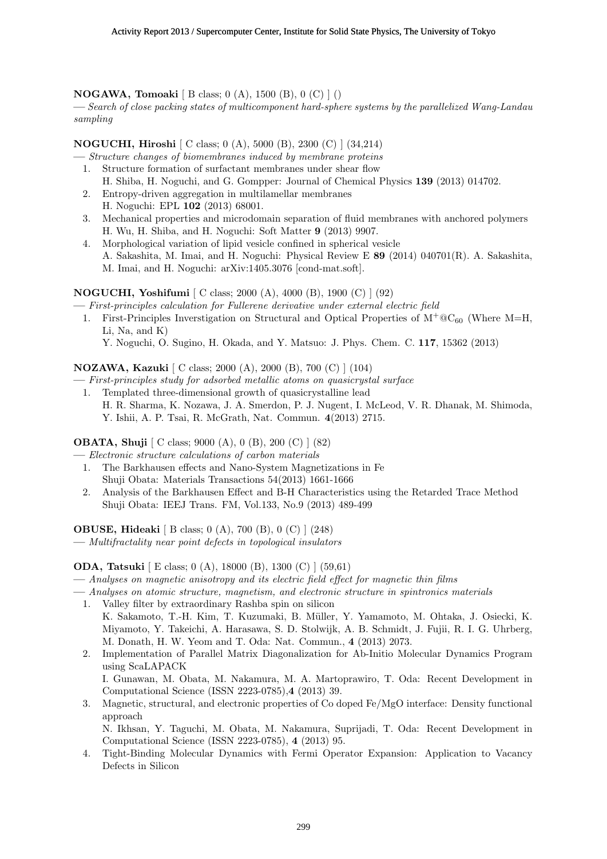## **NOGAWA, Tomoaki** [ B class; 0 (A), 1500 (B), 0 (C) ] ()

**—** *Search of close packing states of multicomponent hard-sphere systems by the parallelized Wang-Landau sampling*

## **NOGUCHI, Hiroshi** [ C class; 0 (A), 5000 (B), 2300 (C) ] (34,214)

- **—** *Structure changes of biomembranes induced by membrane proteins*
	- 1. Structure formation of surfactant membranes under shear flow H. Shiba, H. Noguchi, and G. Gompper: Journal of Chemical Physics **139** (2013) 014702.
	- 2. Entropy-driven aggregation in multilamellar membranes H. Noguchi: EPL **102** (2013) 68001.
	- 3. Mechanical properties and microdomain separation of fluid membranes with anchored polymers H. Wu, H. Shiba, and H. Noguchi: Soft Matter **9** (2013) 9907.
	- 4. Morphological variation of lipid vesicle confined in spherical vesicle A. Sakashita, M. Imai, and H. Noguchi: Physical Review E **89** (2014) 040701(R). A. Sakashita, M. Imai, and H. Noguchi: arXiv:1405.3076 [cond-mat.soft].

## **NOGUCHI, Yoshifumi** [ C class; 2000 (A), 4000 (B), 1900 (C) ] (92)

**—** *First-principles calculation for Fullerene derivative under external electric field*

1. First-Principles Inverstigation on Structural and Optical Properties of  $M^+ \otimes C_{60}$  (Where M=H, Li, Na, and K)

# Y. Noguchi, O. Sugino, H. Okada, and Y. Matsuo: J. Phys. Chem. C. **117**, 15362 (2013)

## **NOZAWA, Kazuki** [ C class; 2000 (A), 2000 (B), 700 (C) ] (104)

**—** *First-principles study for adsorbed metallic atoms on quasicrystal surface*

1. Templated three-dimensional growth of quasicrystalline lead H. R. Sharma, K. Nozawa, J. A. Smerdon, P. J. Nugent, I. McLeod, V. R. Dhanak, M. Shimoda, Y. Ishii, A. P. Tsai, R. McGrath, Nat. Commun. **4**(2013) 2715.

## **OBATA, Shuji** [ C class; 9000 (A), 0 (B), 200 (C) ] (82)

**—** *Electronic structure calculations of carbon materials*

- 1. The Barkhausen effects and Nano-System Magnetizations in Fe Shuji Obata: Materials Transactions 54(2013) 1661-1666
- 2. Analysis of the Barkhausen Effect and B-H Characteristics using the Retarded Trace Method Shuji Obata: IEEJ Trans. FM, Vol.133, No.9 (2013) 489-499

**OBUSE, Hideaki** [ B class; 0 (A), 700 (B), 0 (C) ] (248)

**—** *Multifractality near point defects in topological insulators*

## **ODA, Tatsuki** [ E class; 0 (A), 18000 (B), 1300 (C) ] (59,61)

**—** *Analyses on magnetic anisotropy and its electric field effect for magnetic thin films*

- **—** *Analyses on atomic structure, magnetism, and electronic structure in spintronics materials*
- 1. Valley filter by extraordinary Rashba spin on silicon K. Sakamoto, T.-H. Kim, T. Kuzumaki, B. M¨uller, Y. Yamamoto, M. Ohtaka, J. Osiecki, K. Miyamoto, Y. Takeichi, A. Harasawa, S. D. Stolwijk, A. B. Schmidt, J. Fujii, R. I. G. Uhrberg, M. Donath, H. W. Yeom and T. Oda: Nat. Commun., **4** (2013) 2073.
- 2. Implementation of Parallel Matrix Diagonalization for Ab-Initio Molecular Dynamics Program using ScaLAPACK

I. Gunawan, M. Obata, M. Nakamura, M. A. Martoprawiro, T. Oda: Recent Development in Computational Science (ISSN 2223-0785),**4** (2013) 39.

3. Magnetic, structural, and electronic properties of Co doped Fe/MgO interface: Density functional approach

N. Ikhsan, Y. Taguchi, M. Obata, M. Nakamura, Suprijadi, T. Oda: Recent Development in Computational Science (ISSN 2223-0785), **4** (2013) 95.

4. Tight-Binding Molecular Dynamics with Fermi Operator Expansion: Application to Vacancy Defects in Silicon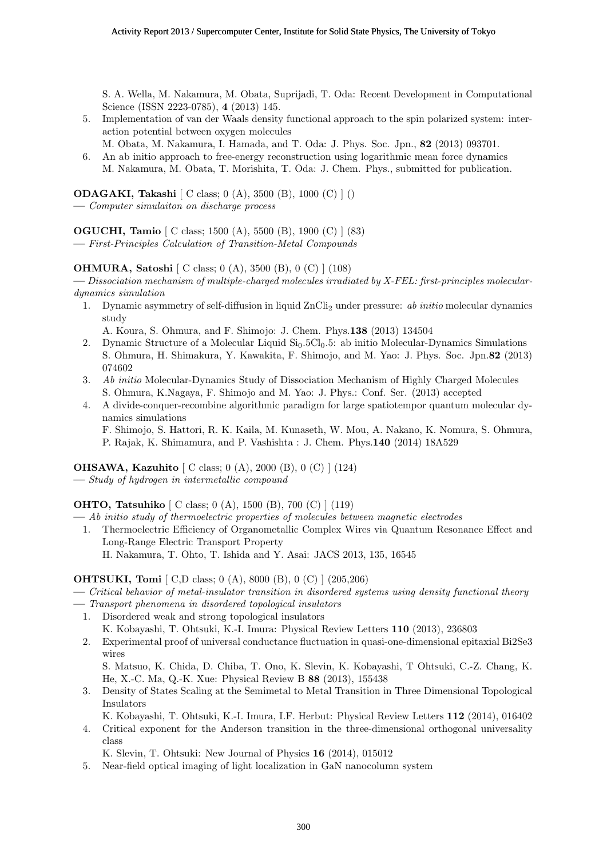S. A. Wella, M. Nakamura, M. Obata, Suprijadi, T. Oda: Recent Development in Computational Science (ISSN 2223-0785), **4** (2013) 145.

- 5. Implementation of van der Waals density functional approach to the spin polarized system: interaction potential between oxygen molecules
- M. Obata, M. Nakamura, I. Hamada, and T. Oda: J. Phys. Soc. Jpn., **82** (2013) 093701.
- 6. An ab initio approach to free-energy reconstruction using logarithmic mean force dynamics M. Nakamura, M. Obata, T. Morishita, T. Oda: J. Chem. Phys., submitted for publication.

**ODAGAKI, Takashi** [ C class; 0 (A), 3500 (B), 1000 (C) ] ()

**—** *Computer simulaiton on discharge process*

**OGUCHI, Tamio** [ C class; 1500 (A), 5500 (B), 1900 (C) ] (83)

**—** *First-Principles Calculation of Transition-Metal Compounds*

# **OHMURA, Satoshi** [ C class; 0 (A), 3500 (B), 0 (C) ] (108)

**—** *Dissociation mechanism of multiple-charged molecules irradiated by X-FEL: first-principles moleculardynamics simulation*

1. Dynamic asymmetry of self-diffusion in liquid ZnCli<sup>2</sup> under pressure: *ab initio* molecular dynamics study

A. Koura, S. Ohmura, and F. Shimojo: J. Chem. Phys.**138** (2013) 134504

- 2. Dynamic Structure of a Molecular Liquid Si<sub>0</sub>.5Cl<sub>0</sub>.5: ab initio Molecular-Dynamics Simulations S. Ohmura, H. Shimakura, Y. Kawakita, F. Shimojo, and M. Yao: J. Phys. Soc. Jpn.**82** (2013) 074602
- 3. *Ab initio* Molecular-Dynamics Study of Dissociation Mechanism of Highly Charged Molecules S. Ohmura, K.Nagaya, F. Shimojo and M. Yao: J. Phys.: Conf. Ser. (2013) accepted
- 4. A divide-conquer-recombine algorithmic paradigm for large spatiotempor quantum molecular dynamics simulations
	- F. Shimojo, S. Hattori, R. K. Kaila, M. Kunaseth, W. Mou, A. Nakano, K. Nomura, S. Ohmura, P. Rajak, K. Shimamura, and P. Vashishta : J. Chem. Phys.**140** (2014) 18A529

**OHSAWA, Kazuhito** [ C class; 0 (A), 2000 (B), 0 (C) ] (124)

**—** *Study of hydrogen in intermetallic compound*

**OHTO, Tatsuhiko** [ C class; 0 (A), 1500 (B), 700 (C) ] (119)

- **—** *Ab initio study of thermoelectric properties of molecules between magnetic electrodes*
	- 1. Thermoelectric Efficiency of Organometallic Complex Wires via Quantum Resonance Effect and Long-Range Electric Transport Property H. Nakamura, T. Ohto, T. Ishida and Y. Asai: JACS 2013, 135, 16545

## **OHTSUKI, Tomi** [ C,D class; 0 (A), 8000 (B), 0 (C) ] (205,206)

- **—** *Critical behavior of metal-insulator transition in disordered systems using density functional theory*
- **—** *Transport phenomena in disordered topological insulators*
	- 1. Disordered weak and strong topological insulators K. Kobayashi, T. Ohtsuki, K.-I. Imura: Physical Review Letters **110** (2013), 236803
	- 2. Experimental proof of universal conductance fluctuation in quasi-one-dimensional epitaxial Bi2Se3 wires

S. Matsuo, K. Chida, D. Chiba, T. Ono, K. Slevin, K. Kobayashi, T Ohtsuki, C.-Z. Chang, K. He, X.-C. Ma, Q.-K. Xue: Physical Review B **88** (2013), 155438

- 3. Density of States Scaling at the Semimetal to Metal Transition in Three Dimensional Topological Insulators
- K. Kobayashi, T. Ohtsuki, K.-I. Imura, I.F. Herbut: Physical Review Letters **112** (2014), 016402 4. Critical exponent for the Anderson transition in the three-dimensional orthogonal universality class

K. Slevin, T. Ohtsuki: New Journal of Physics **16** (2014), 015012

5. Near-field optical imaging of light localization in GaN nanocolumn system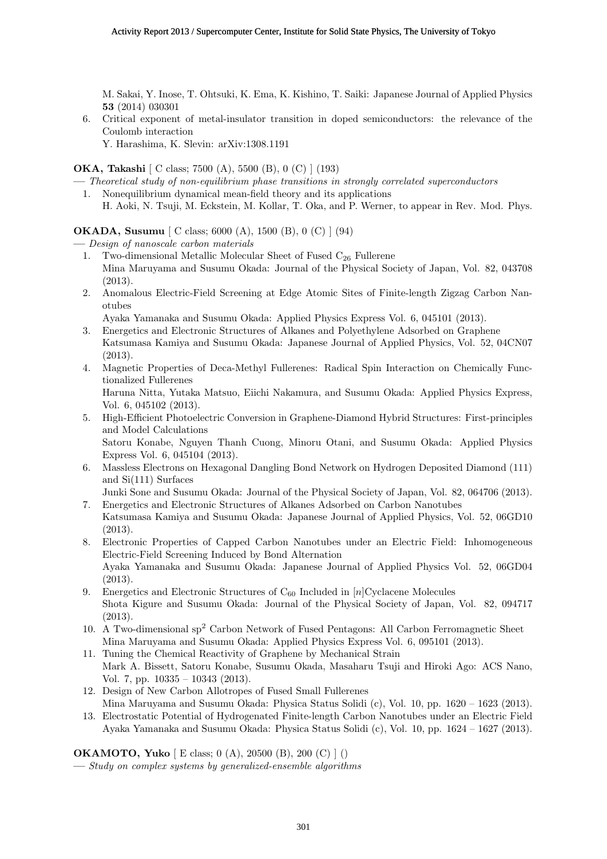M. Sakai, Y. Inose, T. Ohtsuki, K. Ema, K. Kishino, T. Saiki: Japanese Journal of Applied Physics **53** (2014) 030301

6. Critical exponent of metal-insulator transition in doped semiconductors: the relevance of the Coulomb interaction

Y. Harashima, K. Slevin: arXiv:1308.1191

**OKA, Takashi** [ C class; 7500 (A), 5500 (B), 0 (C) ] (193)

- **—** *Theoretical study of non-equilibrium phase transitions in strongly correlated superconductors* 1. Nonequilibrium dynamical mean-field theory and its applications
- H. Aoki, N. Tsuji, M. Eckstein, M. Kollar, T. Oka, and P. Werner, to appear in Rev. Mod. Phys.

**OKADA, Susumu** [ C class; 6000 (A), 1500 (B), 0 (C) ] (94)

**—** *Design of nanoscale carbon materials*

- 1. Two-dimensional Metallic Molecular Sheet of Fused  $C_{26}$  Fullerene Mina Maruyama and Susumu Okada: Journal of the Physical Society of Japan, Vol. 82, 043708 (2013).
- 2. Anomalous Electric-Field Screening at Edge Atomic Sites of Finite-length Zigzag Carbon Nanotubes

Ayaka Yamanaka and Susumu Okada: Applied Physics Express Vol. 6, 045101 (2013).

- 3. Energetics and Electronic Structures of Alkanes and Polyethylene Adsorbed on Graphene Katsumasa Kamiya and Susumu Okada: Japanese Journal of Applied Physics, Vol. 52, 04CN07 (2013).
- 4. Magnetic Properties of Deca-Methyl Fullerenes: Radical Spin Interaction on Chemically Functionalized Fullerenes Haruna Nitta, Yutaka Matsuo, Eiichi Nakamura, and Susumu Okada: Applied Physics Express, Vol. 6, 045102 (2013).
- 5. High-Efficient Photoelectric Conversion in Graphene-Diamond Hybrid Structures: First-principles and Model Calculations Satoru Konabe, Nguyen Thanh Cuong, Minoru Otani, and Susumu Okada: Applied Physics Express Vol. 6, 045104 (2013).
- 6. Massless Electrons on Hexagonal Dangling Bond Network on Hydrogen Deposited Diamond (111) and Si(111) Surfaces

Junki Sone and Susumu Okada: Journal of the Physical Society of Japan, Vol. 82, 064706 (2013).

- 7. Energetics and Electronic Structures of Alkanes Adsorbed on Carbon Nanotubes Katsumasa Kamiya and Susumu Okada: Japanese Journal of Applied Physics, Vol. 52, 06GD10 (2013).
- 8. Electronic Properties of Capped Carbon Nanotubes under an Electric Field: Inhomogeneous Electric-Field Screening Induced by Bond Alternation Ayaka Yamanaka and Susumu Okada: Japanese Journal of Applied Physics Vol. 52, 06GD04 (2013).
- 9. Energetics and Electronic Structures of  $C_{60}$  Included in  $[n]$ Cyclacene Molecules Shota Kigure and Susumu Okada: Journal of the Physical Society of Japan, Vol. 82, 094717 (2013).
- 10. A Two-dimensional sp<sup>2</sup> Carbon Network of Fused Pentagons: All Carbon Ferromagnetic Sheet Mina Maruyama and Susumu Okada: Applied Physics Express Vol. 6, 095101 (2013).
- 11. Tuning the Chemical Reactivity of Graphene by Mechanical Strain Mark A. Bissett, Satoru Konabe, Susumu Okada, Masaharu Tsuji and Hiroki Ago: ACS Nano, Vol. 7, pp. 10335 – 10343 (2013).
- 12. Design of New Carbon Allotropes of Fused Small Fullerenes Mina Maruyama and Susumu Okada: Physica Status Solidi (c), Vol. 10, pp. 1620 – 1623 (2013).
- 13. Electrostatic Potential of Hydrogenated Finite-length Carbon Nanotubes under an Electric Field Ayaka Yamanaka and Susumu Okada: Physica Status Solidi (c), Vol. 10, pp. 1624 – 1627 (2013).

**OKAMOTO, Yuko** [ E class; 0 (A), 20500 (B), 200 (C) ] ()

**—** *Study on complex systems by generalized-ensemble algorithms*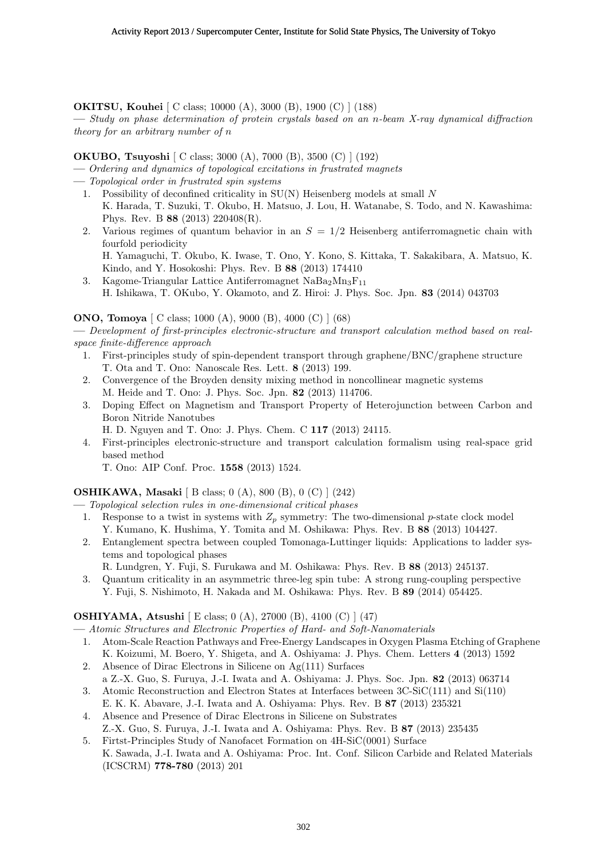**OKITSU, Kouhei** [ C class; 10000 (A), 3000 (B), 1900 (C) ] (188)

**—** *Study on phase determination of protein crystals based on an n-beam X-ray dynamical diffraction theory for an arbitrary number of n*

## **OKUBO, Tsuyoshi** [ C class; 3000 (A), 7000 (B), 3500 (C) ] (192)

**—** *Ordering and dynamics of topological excitations in frustrated magnets*

- **—** *Topological order in frustrated spin systems*
	- 1. Possibility of deconfined criticality in SU(N) Heisenberg models at small *N* K. Harada, T. Suzuki, T. Okubo, H. Matsuo, J. Lou, H. Watanabe, S. Todo, and N. Kawashima: Phys. Rev. B **88** (2013) 220408(R).
	- 2. Various regimes of quantum behavior in an *S* = 1*/*2 Heisenberg antiferromagnetic chain with fourfold periodicity

H. Yamaguchi, T. Okubo, K. Iwase, T. Ono, Y. Kono, S. Kittaka, T. Sakakibara, A. Matsuo, K. Kindo, and Y. Hosokoshi: Phys. Rev. B **88** (2013) 174410

3. Kagome-Triangular Lattice Antiferromagnet  $NaBa<sub>2</sub>Mn<sub>3</sub>F<sub>11</sub>$ H. Ishikawa, T. OKubo, Y. Okamoto, and Z. Hiroi: J. Phys. Soc. Jpn. **83** (2014) 043703

# **ONO, Tomoya** [ C class; 1000 (A), 9000 (B), 4000 (C) ] (68)

**—** *Development of first-principles electronic-structure and transport calculation method based on realspace finite-difference approach*

- 1. First-principles study of spin-dependent transport through graphene/BNC/graphene structure T. Ota and T. Ono: Nanoscale Res. Lett. **8** (2013) 199.
- 2. Convergence of the Broyden density mixing method in noncollinear magnetic systems M. Heide and T. Ono: J. Phys. Soc. Jpn. **82** (2013) 114706.
- 3. Doping Effect on Magnetism and Transport Property of Heterojunction between Carbon and Boron Nitride Nanotubes
	- H. D. Nguyen and T. Ono: J. Phys. Chem. C **117** (2013) 24115.
- 4. First-principles electronic-structure and transport calculation formalism using real-space grid based method
	- T. Ono: AIP Conf. Proc. **1558** (2013) 1524.

## **OSHIKAWA, Masaki** [ B class; 0 (A), 800 (B), 0 (C) ] (242)

**—** *Topological selection rules in one-dimensional critical phases*

- 1. Response to a twist in systems with *Z<sup>p</sup>* symmetry: The two-dimensional *p*-state clock model Y. Kumano, K. Hushima, Y. Tomita and M. Oshikawa: Phys. Rev. B **88** (2013) 104427.
- 2. Entanglement spectra between coupled Tomonaga-Luttinger liquids: Applications to ladder systems and topological phases
	- R. Lundgren, Y. Fuji, S. Furukawa and M. Oshikawa: Phys. Rev. B **88** (2013) 245137.
- 3. Quantum criticality in an asymmetric three-leg spin tube: A strong rung-coupling perspective Y. Fuji, S. Nishimoto, H. Nakada and M. Oshikawa: Phys. Rev. B **89** (2014) 054425.

## **OSHIYAMA, Atsushi** [ E class; 0 (A), 27000 (B), 4100 (C) ] (47)

**—** *Atomic Structures and Electronic Properties of Hard- and Soft-Nanomaterials*

- 1. Atom-Scale Reaction Pathways and Free-Energy Landscapes in Oxygen Plasma Etching of Graphene K. Koizumi, M. Boero, Y. Shigeta, and A. Oshiyama: J. Phys. Chem. Letters **4** (2013) 1592
- 2. Absence of Dirac Electrons in Silicene on Ag(111) Surfaces
- a Z.-X. Guo, S. Furuya, J.-I. Iwata and A. Oshiyama: J. Phys. Soc. Jpn. **82** (2013) 063714
- 3. Atomic Reconstruction and Electron States at Interfaces between 3C-SiC(111) and Si(110) E. K. K. Abavare, J.-I. Iwata and A. Oshiyama: Phys. Rev. B **87** (2013) 235321
- 4. Absence and Presence of Dirac Electrons in Silicene on Substrates Z.-X. Guo, S. Furuya, J.-I. Iwata and A. Oshiyama: Phys. Rev. B **87** (2013) 235435
- 5. Firtst-Principles Study of Nanofacet Formation on 4H-SiC(0001) Surface K. Sawada, J.-I. Iwata and A. Oshiyama: Proc. Int. Conf. Silicon Carbide and Related Materials (ICSCRM) **778-780** (2013) 201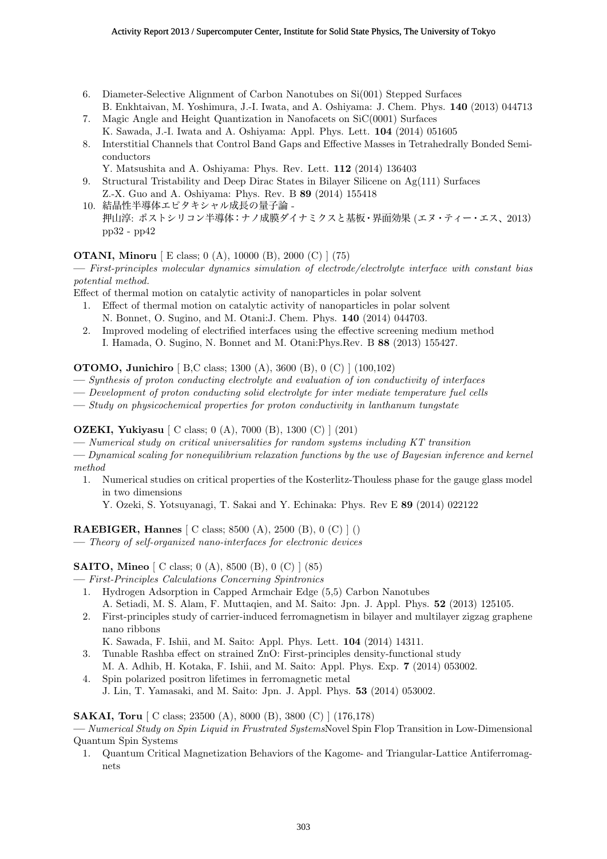- 6. Diameter-Selective Alignment of Carbon Nanotubes on Si(001) Stepped Surfaces B. Enkhtaivan, M. Yoshimura, J.-I. Iwata, and A. Oshiyama: J. Chem. Phys. **140** (2013) 044713
- 7. Magic Angle and Height Quantization in Nanofacets on SiC(0001) Surfaces K. Sawada, J.-I. Iwata and A. Oshiyama: Appl. Phys. Lett. **104** (2014) 051605
- 8. Interstitial Channels that Control Band Gaps and Effective Masses in Tetrahedrally Bonded Semiconductors
	- Y. Matsushita and A. Oshiyama: Phys. Rev. Lett. **112** (2014) 136403
- 9. Structural Tristability and Deep Dirac States in Bilayer Silicene on Ag(111) Surfaces Z.-X. Guo and A. Oshiyama: Phys. Rev. B **89** (2014) 155418
- 10. 結晶性半導体エピタキシャル成長の量子論 押山淳: ポストシリコン半導体:ナノ成膜ダイナミクスと基板・界面効果 (エヌ・ティー・エス、2013) pp32 - pp42

# **OTANI, Minoru** [ E class; 0 (A), 10000 (B), 2000 (C) ] (75)

**—** *First-principles molecular dynamics simulation of electrode/electrolyte interface with constant bias potential method.*

Effect of thermal motion on catalytic activity of nanoparticles in polar solvent

- 1. Effect of thermal motion on catalytic activity of nanoparticles in polar solvent N. Bonnet, O. Sugino, and M. Otani:J. Chem. Phys. **140** (2014) 044703.
- 2. Improved modeling of electrified interfaces using the effective screening medium method I. Hamada, O. Sugino, N. Bonnet and M. Otani:Phys.Rev. B **88** (2013) 155427.

**OTOMO, Junichiro** [ B,C class; 1300 (A), 3600 (B), 0 (C) ] (100,102)

- **—** *Synthesis of proton conducting electrolyte and evaluation of ion conductivity of interfaces*
- **—** *Development of proton conducting solid electrolyte for inter mediate temperature fuel cells*
- **—** *Study on physicochemical properties for proton conductivity in lanthanum tungstate*

## **OZEKI, Yukiyasu** [ C class; 0 (A), 7000 (B), 1300 (C) ] (201)

- **—** *Numerical study on critical universalities for random systems including KT transition*
- **—** *Dynamical scaling for nonequilibrium relaxation functions by the use of Bayesian inference and kernel method*
- 1. Numerical studies on critical properties of the Kosterlitz-Thouless phase for the gauge glass model in two dimensions

Y. Ozeki, S. Yotsuyanagi, T. Sakai and Y. Echinaka: Phys. Rev E **89** (2014) 022122

## **RAEBIGER, Hannes** [ C class; 8500 (A), 2500 (B), 0 (C) ] ()

**—** *Theory of self-organized nano-interfaces for electronic devices*

## **SAITO, Mineo** [ C class; 0 (A), 8500 (B), 0 (C) ] (85)

- **—** *First-Principles Calculations Concerning Spintronics*
	- 1. Hydrogen Adsorption in Capped Armchair Edge (5,5) Carbon Nanotubes
	- A. Setiadi, M. S. Alam, F. Muttaqien, and M. Saito: Jpn. J. Appl. Phys. **52** (2013) 125105.
	- 2. First-principles study of carrier-induced ferromagnetism in bilayer and multilayer zigzag graphene nano ribbons

K. Sawada, F. Ishii, and M. Saito: Appl. Phys. Lett. **104** (2014) 14311.

- 3. Tunable Rashba effect on strained ZnO: First-principles density-functional study M. A. Adhib, H. Kotaka, F. Ishii, and M. Saito: Appl. Phys. Exp. **7** (2014) 053002.
- 4. Spin polarized positron lifetimes in ferromagnetic metal J. Lin, T. Yamasaki, and M. Saito: Jpn. J. Appl. Phys. **53** (2014) 053002.

## **SAKAI, Toru** [ C class; 23500 (A), 8000 (B), 3800 (C) ] (176,178)

**—** *Numerical Study on Spin Liquid in Frustrated Systems*Novel Spin Flop Transition in Low-Dimensional Quantum Spin Systems

1. Quantum Critical Magnetization Behaviors of the Kagome- and Triangular-Lattice Antiferromagnets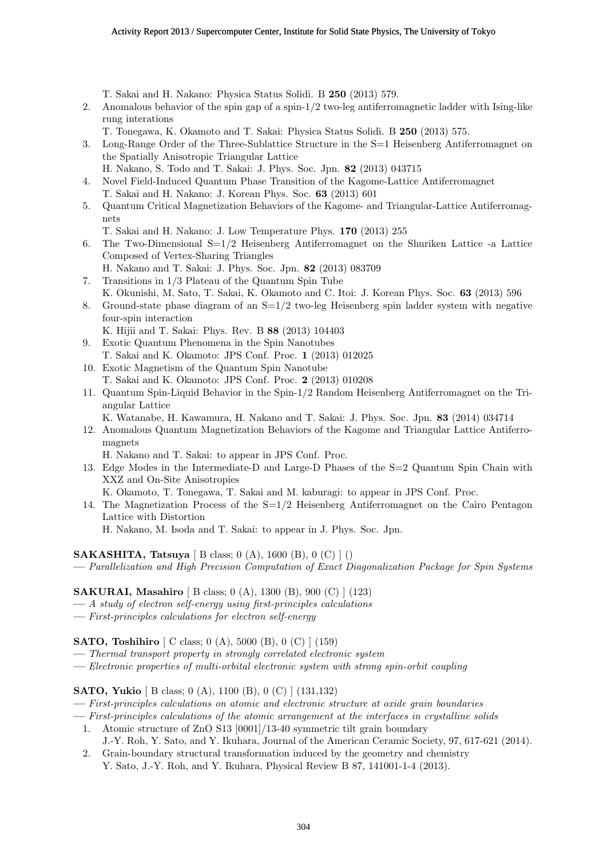T. Sakai and H. Nakano: Physica Status Solidi. B **250** (2013) 579.

- 2. Anomalous behavior of the spin gap of a spin-1/2 two-leg antiferromagnetic ladder with Ising-like rung interations
	- T. Tonegawa, K. Okamoto and T. Sakai: Physica Status Solidi. B **250** (2013) 575.
- 3. Long-Range Order of the Three-Sublattice Structure in the S=1 Heisenberg Antiferromagnet on the Spatially Anisotropic Triangular Lattice H. Nakano, S. Todo and T. Sakai: J. Phys. Soc. Jpn. **82** (2013) 043715
- 4. Novel Field-Induced Quantum Phase Transition of the Kagome-Lattice Antiferromagnet
	- T. Sakai and H. Nakano: J. Korean Phys. Soc. **63** (2013) 601
- 5. Quantum Critical Magnetization Behaviors of the Kagome- and Triangular-Lattice Antiferromagnets
	- T. Sakai and H. Nakano: J. Low Temperature Phys. **170** (2013) 255
- 6. The Two-Dimensional  $S=1/2$  Heisenberg Antiferromagnet on the Shuriken Lattice -a Lattice Composed of Vertex-Sharing Triangles
- H. Nakano and T. Sakai: J. Phys. Soc. Jpn. **82** (2013) 083709
- 7. Transitions in 1/3 Plateau of the Quantum Spin Tube
- K. Okunishi, M. Sato, T. Sakai, K. Okamoto and C. Itoi: J. Korean Phys. Soc. **63** (2013) 596
- 8. Ground-state phase diagram of an  $S=1/2$  two-leg Heisenberg spin ladder system with negative four-spin interaction
	- K. Hijii and T. Sakai: Phys. Rev. B **88** (2013) 104403
- 9. Exotic Quantum Phenomena in the Spin Nanotubes T. Sakai and K. Okamoto: JPS Conf. Proc. **1** (2013) 012025 10. Exotic Magnetism of the Quantum Spin Nanotube
- T. Sakai and K. Okamoto: JPS Conf. Proc. **2** (2013) 010208
- 11. Quantum Spin-Liquid Behavior in the Spin-1/2 Random Heisenberg Antiferromagnet on the Triangular Lattice

K. Watanabe, H. Kawamura, H. Nakano and T. Sakai: J. Phys. Soc. Jpn. **83** (2014) 034714

12. Anomalous Quantum Magnetization Behaviors of the Kagome and Triangular Lattice Antiferromagnets

H. Nakano and T. Sakai: to appear in JPS Conf. Proc.

- 13. Edge Modes in the Intermediate-D and Large-D Phases of the S=2 Quantum Spin Chain with XXZ and On-Site Anisotropies K. Okamoto, T. Tonegawa, T. Sakai and M. kaburagi: to appear in JPS Conf. Proc.
- 14. The Magnetization Process of the  $S=1/2$  Heisenberg Antiferromagnet on the Cairo Pentagon Lattice with Distortion

H. Nakano, M. Isoda and T. Sakai: to appear in J. Phys. Soc. Jpn.

#### **SAKASHITA, Tatsuya** [ B class; 0 (A), 1600 (B), 0 (C) ] ()

**—** *Parallelization and High Precision Computation of Exact Diagonalization Package for Spin Systems*

#### **SAKURAI, Masahiro** [ B class; 0 (A), 1300 (B), 900 (C) ] (123)

- **—** *A study of electron self-energy using first-principles calculations*
- **—** *First-principles calculations for electron self-energy*

**SATO, Toshihiro** [ C class; 0 (A), 5000 (B), 0 (C) ] (159)

- **—** *Thermal transport property in strongly correlated electronic system*
- **—** *Electronic properties of multi-orbital electronic system with strong spin-orbit coupling*

#### **SATO, Yukio** [ B class; 0 (A), 1100 (B), 0 (C) ] (131,132)

- **—** *First-principles calculations on atomic and electronic structure at oxide grain boundaries*
- **—** *First-principles calculations of the atomic arrangement at the interfaces in crystalline solids*
	- 1. Atomic structure of ZnO S13 [0001]/13-40 symmetric tilt grain boundary
	- J.-Y. Roh, Y. Sato, and Y. Ikuhara, Journal of the American Ceramic Society, 97, 617-621 (2014). 2. Grain-boundary structural transformation induced by the geometry and chemistry
		- Y. Sato, J.-Y. Roh, and Y. Ikuhara, Physical Review B 87, 141001-1-4 (2013).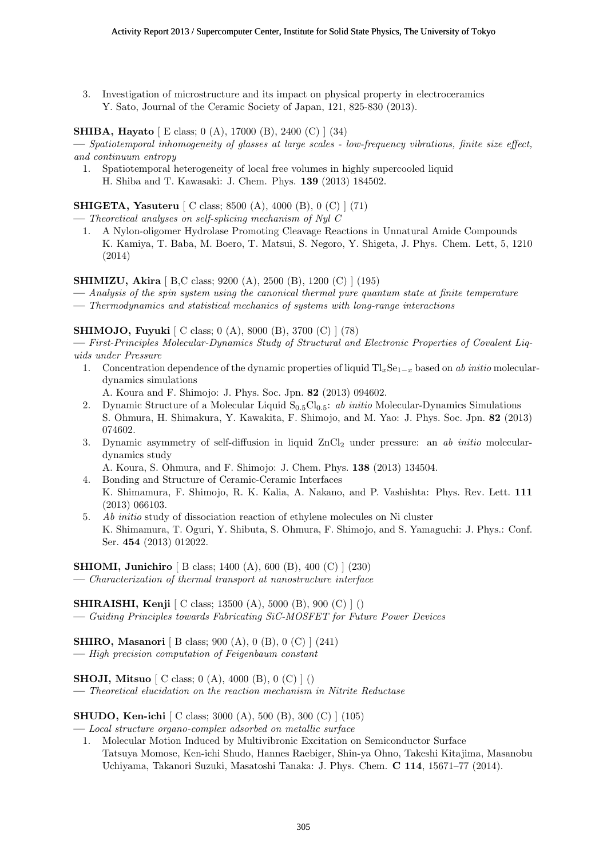3. Investigation of microstructure and its impact on physical property in electroceramics Y. Sato, Journal of the Ceramic Society of Japan, 121, 825-830 (2013).

## **SHIBA, Hayato** [ E class; 0 (A), 17000 (B), 2400 (C) ] (34)

**—** *Spatiotemporal inhomogeneity of glasses at large scales - low-frequency vibrations, finite size effect, and continuum entropy*

1. Spatiotemporal heterogeneity of local free volumes in highly supercooled liquid H. Shiba and T. Kawasaki: J. Chem. Phys. **139** (2013) 184502.

**SHIGETA, Yasuteru** [ C class; 8500 (A), 4000 (B), 0 (C) ] (71)

**—** *Theoretical analyses on self-splicing mechanism of Nyl C*

1. A Nylon-oligomer Hydrolase Promoting Cleavage Reactions in Unnatural Amide Compounds K. Kamiya, T. Baba, M. Boero, T. Matsui, S. Negoro, Y. Shigeta, J. Phys. Chem. Lett, 5, 1210 (2014)

**SHIMIZU, Akira** [ B,C class; 9200 (A), 2500 (B), 1200 (C) ] (195)

**—** *Analysis of the spin system using the canonical thermal pure quantum state at finite temperature*

**—** *Thermodynamics and statistical mechanics of systems with long-range interactions*

## **SHIMOJO, Fuyuki** [ C class; 0 (A), 8000 (B), 3700 (C) ] (78)

**—** *First-Principles Molecular-Dynamics Study of Structural and Electronic Properties of Covalent Liquids under Pressure*

1. Concentration dependence of the dynamic properties of liquid Tl*x*Se<sup>1</sup>*−<sup>x</sup>* based on *ab initio* moleculardynamics simulations

A. Koura and F. Shimojo: J. Phys. Soc. Jpn. **82** (2013) 094602.

- 2. Dynamic Structure of a Molecular Liquid  $S_{0.5}Cl_{0.5}$ : *ab initio* Molecular-Dynamics Simulations S. Ohmura, H. Shimakura, Y. Kawakita, F. Shimojo, and M. Yao: J. Phys. Soc. Jpn. **82** (2013) 074602.
- 3. Dynamic asymmetry of self-diffusion in liquid ZnCl<sup>2</sup> under pressure: an *ab initio* moleculardynamics study

A. Koura, S. Ohmura, and F. Shimojo: J. Chem. Phys. **138** (2013) 134504.

- 4. Bonding and Structure of Ceramic-Ceramic Interfaces K. Shimamura, F. Shimojo, R. K. Kalia, A. Nakano, and P. Vashishta: Phys. Rev. Lett. **111** (2013) 066103.
- 5. *Ab initio* study of dissociation reaction of ethylene molecules on Ni cluster K. Shimamura, T. Oguri, Y. Shibuta, S. Ohmura, F. Shimojo, and S. Yamaguchi: J. Phys.: Conf. Ser. **454** (2013) 012022.

**SHIOMI, Junichiro** [ B class; 1400 (A), 600 (B), 400 (C) ] (230)

**—** *Characterization of thermal transport at nanostructure interface*

## **SHIRAISHI, Kenji** [ C class; 13500 (A), 5000 (B), 900 (C) ] ()

**—** *Guiding Principles towards Fabricating SiC-MOSFET for Future Power Devices*

## **SHIRO, Masanori** [ B class; 900 (A), 0 (B), 0 (C) ] (241)

**—** *High precision computation of Feigenbaum constant*

**SHOJI, Mitsuo** [ C class; 0 (A), 4000 (B), 0 (C) ] ()

**—** *Theoretical elucidation on the reaction mechanism in Nitrite Reductase*

**SHUDO, Ken-ichi** [ C class; 3000 (A), 500 (B), 300 (C) ] (105)

- **—** *Local structure organo-complex adsorbed on metallic surface*
- 1. Molecular Motion Induced by Multivibronic Excitation on Semiconductor Surface Tatsuya Momose, Ken-ichi Shudo, Hannes Raebiger, Shin-ya Ohno, Takeshi Kitajima, Masanobu Uchiyama, Takanori Suzuki, Masatoshi Tanaka: J. Phys. Chem. **C 114**, 15671–77 (2014).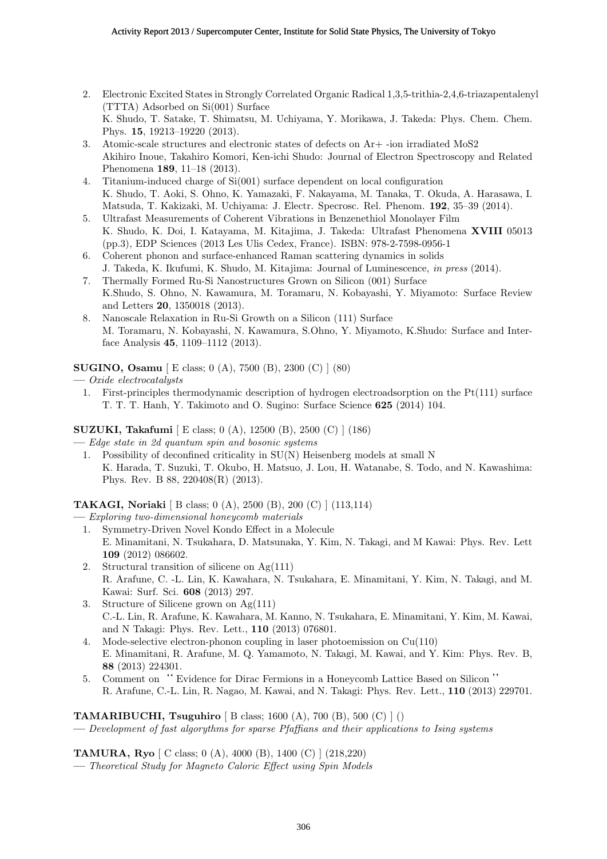- 2. Electronic Excited States in Strongly Correlated Organic Radical 1,3,5-trithia-2,4,6-triazapentalenyl (TTTA) Adsorbed on Si(001) Surface K. Shudo, T. Satake, T. Shimatsu, M. Uchiyama, Y. Morikawa, J. Takeda: Phys. Chem. Chem. Phys. **15**, 19213–19220 (2013).
- 3. Atomic-scale structures and electronic states of defects on Ar+ -ion irradiated MoS2 Akihiro Inoue, Takahiro Komori, Ken-ichi Shudo: Journal of Electron Spectroscopy and Related Phenomena **189**, 11–18 (2013).
- 4. Titanium-induced charge of Si(001) surface dependent on local configuration K. Shudo, T. Aoki, S. Ohno, K. Yamazaki, F. Nakayama, M. Tanaka, T. Okuda, A. Harasawa, I. Matsuda, T. Kakizaki, M. Uchiyama: J. Electr. Specrosc. Rel. Phenom. **192**, 35–39 (2014).
- 5. Ultrafast Measurements of Coherent Vibrations in Benzenethiol Monolayer Film K. Shudo, K. Doi, I. Katayama, M. Kitajima, J. Takeda: Ultrafast Phenomena **XVIII** 05013 (pp.3), EDP Sciences (2013 Les Ulis Cedex, France). ISBN: 978-2-7598-0956-1
- 6. Coherent phonon and surface-enhanced Raman scattering dynamics in solids J. Takeda, K. Ikufumi, K. Shudo, M. Kitajima: Journal of Luminescence, *in press* (2014).
- 7. Thermally Formed Ru-Si Nanostructures Grown on Silicon (001) Surface K.Shudo, S. Ohno, N. Kawamura, M. Toramaru, N. Kobayashi, Y. Miyamoto: Surface Review and Letters **20**, 1350018 (2013).
- 8. Nanoscale Relaxation in Ru-Si Growth on a Silicon (111) Surface M. Toramaru, N. Kobayashi, N. Kawamura, S.Ohno, Y. Miyamoto, K.Shudo: Surface and Interface Analysis **45**, 1109–1112 (2013).

**SUGINO, Osamu** [ E class; 0 (A), 7500 (B), 2300 (C) ] (80)

- **—** *Oxide electrocatalysts*
	- 1. First-principles thermodynamic description of hydrogen electroadsorption on the Pt(111) surface T. T. T. Hanh, Y. Takimoto and O. Sugino: Surface Science **625** (2014) 104.

## **SUZUKI, Takafumi** [ E class; 0 (A), 12500 (B), 2500 (C) ] (186)

**—** *Edge state in 2d quantum spin and bosonic systems*

1. Possibility of deconfined criticality in SU(N) Heisenberg models at small N K. Harada, T. Suzuki, T. Okubo, H. Matsuo, J. Lou, H. Watanabe, S. Todo, and N. Kawashima: Phys. Rev. B 88, 220408(R) (2013).

**TAKAGI, Noriaki** [ B class; 0 (A), 2500 (B), 200 (C) ] (113,114)

**—** *Exploring two-dimensional honeycomb materials*

- 1. Symmetry-Driven Novel Kondo Effect in a Molecule E. Minamitani, N. Tsukahara, D. Matsunaka, Y. Kim, N. Takagi, and M Kawai: Phys. Rev. Lett **109** (2012) 086602.
- 2. Structural transition of silicene on  $Ag(111)$ R. Arafune, C. -L. Lin, K. Kawahara, N. Tsukahara, E. Minamitani, Y. Kim, N. Takagi, and M. Kawai: Surf. Sci. **608** (2013) 297.
- 3. Structure of Silicene grown on Ag(111) C.-L. Lin, R. Arafune, K. Kawahara, M. Kanno, N. Tsukahara, E. Minamitani, Y. Kim, M. Kawai, and N Takagi: Phys. Rev. Lett., **110** (2013) 076801.
- 4. Mode-selective electron-phonon coupling in laser photoemission on Cu(110) E. Minamitani, R. Arafune, M. Q. Yamamoto, N. Takagi, M. Kawai, and Y. Kim: Phys. Rev. B, **88** (2013) 224301.
- 5. Comment on'' Evidence for Dirac Fermions in a Honeycomb Lattice Based on Silicon '' R. Arafune, C.-L. Lin, R. Nagao, M. Kawai, and N. Takagi: Phys. Rev. Lett., **110** (2013) 229701.

**TAMARIBUCHI, Tsuguhiro** [ B class; 1600 (A), 700 (B), 500 (C) ] () **—** *Development of fast algorythms for sparse Pfaffians and their applications to Ising systems*

**TAMURA, Ryo** [ C class; 0 (A), 4000 (B), 1400 (C) ] (218,220)

**—** *Theoretical Study for Magneto Caloric Effect using Spin Models*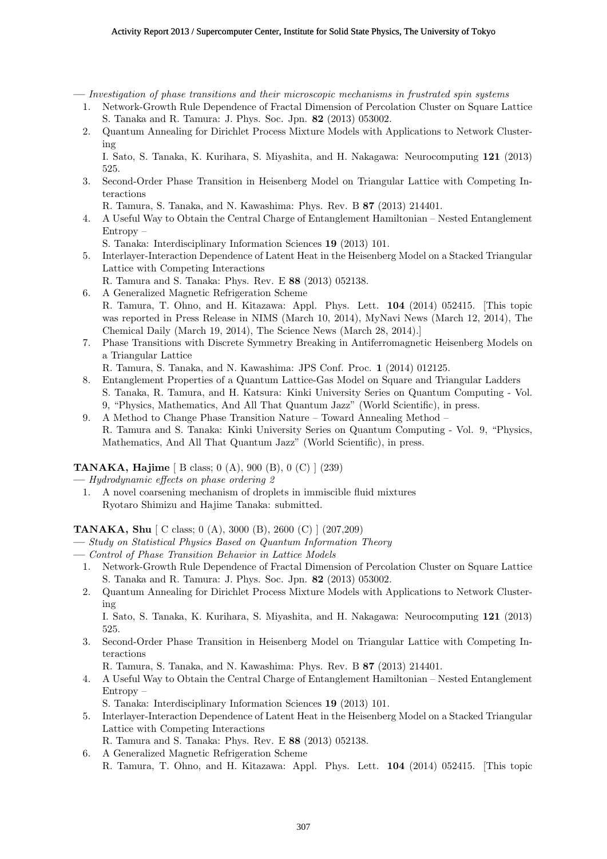**—** *Investigation of phase transitions and their microscopic mechanisms in frustrated spin systems*

- 1. Network-Growth Rule Dependence of Fractal Dimension of Percolation Cluster on Square Lattice S. Tanaka and R. Tamura: J. Phys. Soc. Jpn. **82** (2013) 053002.
- 2. Quantum Annealing for Dirichlet Process Mixture Models with Applications to Network Clustering

I. Sato, S. Tanaka, K. Kurihara, S. Miyashita, and H. Nakagawa: Neurocomputing **121** (2013) 525.

3. Second-Order Phase Transition in Heisenberg Model on Triangular Lattice with Competing Interactions

R. Tamura, S. Tanaka, and N. Kawashima: Phys. Rev. B **87** (2013) 214401.

4. A Useful Way to Obtain the Central Charge of Entanglement Hamiltonian – Nested Entanglement Entropy –

S. Tanaka: Interdisciplinary Information Sciences **19** (2013) 101.

- 5. Interlayer-Interaction Dependence of Latent Heat in the Heisenberg Model on a Stacked Triangular Lattice with Competing Interactions
	- R. Tamura and S. Tanaka: Phys. Rev. E **88** (2013) 052138.
- 6. A Generalized Magnetic Refrigeration Scheme R. Tamura, T. Ohno, and H. Kitazawa: Appl. Phys. Lett. **104** (2014) 052415. [This topic was reported in Press Release in NIMS (March 10, 2014), MyNavi News (March 12, 2014), The Chemical Daily (March 19, 2014), The Science News (March 28, 2014).]
- 7. Phase Transitions with Discrete Symmetry Breaking in Antiferromagnetic Heisenberg Models on a Triangular Lattice

R. Tamura, S. Tanaka, and N. Kawashima: JPS Conf. Proc. **1** (2014) 012125.

- 8. Entanglement Properties of a Quantum Lattice-Gas Model on Square and Triangular Ladders S. Tanaka, R. Tamura, and H. Katsura: Kinki University Series on Quantum Computing - Vol. 9, "Physics, Mathematics, And All That Quantum Jazz" (World Scientific), in press.
- 9. A Method to Change Phase Transition Nature Toward Annealing Method R. Tamura and S. Tanaka: Kinki University Series on Quantum Computing - Vol. 9, "Physics, Mathematics, And All That Quantum Jazz" (World Scientific), in press.

## **TANAKA, Hajime** [ B class; 0 (A), 900 (B), 0 (C) ] (239)

- **—** *Hydrodynamic effects on phase ordering 2*
- 1. A novel coarsening mechanism of droplets in immiscible fluid mixtures Ryotaro Shimizu and Hajime Tanaka: submitted.

#### **TANAKA, Shu** [ C class; 0 (A), 3000 (B), 2600 (C) ] (207,209)

- **—** *Study on Statistical Physics Based on Quantum Information Theory*
- **—** *Control of Phase Transition Behavior in Lattice Models*
- 1. Network-Growth Rule Dependence of Fractal Dimension of Percolation Cluster on Square Lattice S. Tanaka and R. Tamura: J. Phys. Soc. Jpn. **82** (2013) 053002.
- 2. Quantum Annealing for Dirichlet Process Mixture Models with Applications to Network Clustering

I. Sato, S. Tanaka, K. Kurihara, S. Miyashita, and H. Nakagawa: Neurocomputing **121** (2013) 525.

3. Second-Order Phase Transition in Heisenberg Model on Triangular Lattice with Competing Interactions

R. Tamura, S. Tanaka, and N. Kawashima: Phys. Rev. B **87** (2013) 214401.

4. A Useful Way to Obtain the Central Charge of Entanglement Hamiltonian – Nested Entanglement Entropy –

S. Tanaka: Interdisciplinary Information Sciences **19** (2013) 101.

- 5. Interlayer-Interaction Dependence of Latent Heat in the Heisenberg Model on a Stacked Triangular Lattice with Competing Interactions
	- R. Tamura and S. Tanaka: Phys. Rev. E **88** (2013) 052138.
- 6. A Generalized Magnetic Refrigeration Scheme
	- R. Tamura, T. Ohno, and H. Kitazawa: Appl. Phys. Lett. **104** (2014) 052415. [This topic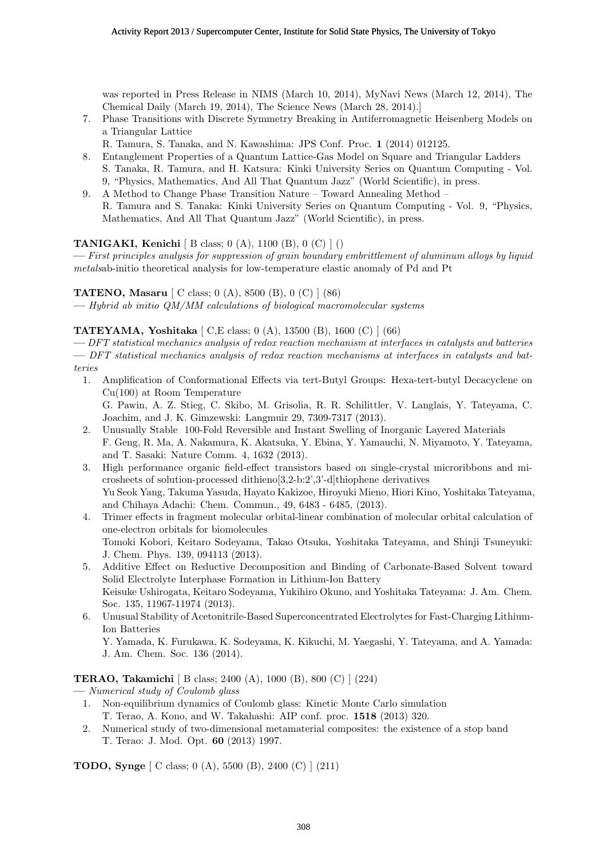was reported in Press Release in NIMS (March 10, 2014), MyNavi News (March 12, 2014), The Chemical Daily (March 19, 2014), The Science News (March 28, 2014).]

- 7. Phase Transitions with Discrete Symmetry Breaking in Antiferromagnetic Heisenberg Models on a Triangular Lattice
- R. Tamura, S. Tanaka, and N. Kawashima: JPS Conf. Proc. **1** (2014) 012125.
- 8. Entanglement Properties of a Quantum Lattice-Gas Model on Square and Triangular Ladders S. Tanaka, R. Tamura, and H. Katsura: Kinki University Series on Quantum Computing - Vol. 9, "Physics, Mathematics, And All That Quantum Jazz" (World Scientific), in press.
- 9. A Method to Change Phase Transition Nature Toward Annealing Method –
- R. Tamura and S. Tanaka: Kinki University Series on Quantum Computing Vol. 9, "Physics, Mathematics, And All That Quantum Jazz" (World Scientific), in press.

## **TANIGAKI, Kenichi** [ B class; 0 (A), 1100 (B), 0 (C) ] ()

**—** *First principles analysis for suppression of grain boundary embrittlement of aluminum alloys by liquid metals*ab-initio theoretical analysis for low-temperature elastic anomaly of Pd and Pt

## **TATENO, Masaru** [ C class; 0 (A), 8500 (B), 0 (C) ] (86)

**—** *Hybrid ab initio QM/MM calculations of biological macromolecular systems*

## **TATEYAMA, Yoshitaka** [ C,E class; 0 (A), 13500 (B), 1600 (C) ] (66)

**—** *DFT statistical mechanics analysis of redox reaction mechanism at interfaces in catalysts and batteries* **—** *DFT statistical mechanics analysis of redox reaction mechanisms at interfaces in catalysts and batteries*

- 1. Amplification of Conformational Effects via tert-Butyl Groups: Hexa-tert-butyl Decacyclene on Cu(100) at Room Temperature G. Pawin, A. Z. Stieg, C. Skibo, M. Grisolia, R. R. Schilittler, V. Langlais, Y. Tateyama, C. Joachim, and J. K. Gimzewski: Langmuir 29, 7309-7317 (2013).
- 2. Unusually Stable 100-Fold Reversible and Instant Swelling of Inorganic Layered Materials F. Geng, R. Ma, A. Nakamura, K. Akatsuka, Y. Ebina, Y. Yamauchi, N. Miyamoto, Y. Tateyama, and T. Sasaki: Nature Comm. 4, 1632 (2013).
- 3. High performance organic field-effect transistors based on single-crystal microribbons and microsheets of solution-processed dithieno[3,2-b:2',3'-d]thiophene derivatives Yu Seok Yang, Takuma Yasuda, Hayato Kakizoe, Hiroyuki Mieno, Hiori Kino, Yoshitaka Tateyama, and Chihaya Adachi: Chem. Commun., 49, 6483 - 6485, (2013).
- 4. Trimer effects in fragment molecular orbital-linear combination of molecular orbital calculation of one-electron orbitals for biomolecules Tomoki Kobori, Keitaro Sodeyama, Takao Otsuka, Yoshitaka Tateyama, and Shinji Tsuneyuki: J. Chem. Phys. 139, 094113 (2013).
- 5. Additive Effect on Reductive Decomposition and Binding of Carbonate-Based Solvent toward Solid Electrolyte Interphase Formation in Lithium-Ion Battery Keisuke Ushirogata, Keitaro Sodeyama, Yukihiro Okuno, and Yoshitaka Tateyama: J. Am. Chem. Soc. 135, 11967-11974 (2013).
- 6. Unusual Stability of Acetonitrile-Based Superconcentrated Electrolytes for Fast-Charging Lithium-Ion Batteries

#### **TERAO, Takamichi** [ B class; 2400 (A), 1000 (B), 800 (C) ] (224)

- **—** *Numerical study of Coulomb glass*
- 1. Non-equilibrium dynamics of Coulomb glass: Kinetic Monte Carlo simulation T. Terao, A. Kono, and W. Takahashi: AIP conf. proc. **1518** (2013) 320.
- 2. Numerical study of two-dimensional metamaterial composites: the existence of a stop band T. Terao: J. Mod. Opt. **60** (2013) 1997.

## **TODO, Synge** [ C class; 0 (A), 5500 (B), 2400 (C) ] (211)

Y. Yamada, K. Furukawa, K. Sodeyama, K. Kikuchi, M. Yaegashi, Y. Tateyama, and A. Yamada: J. Am. Chem. Soc. 136 (2014).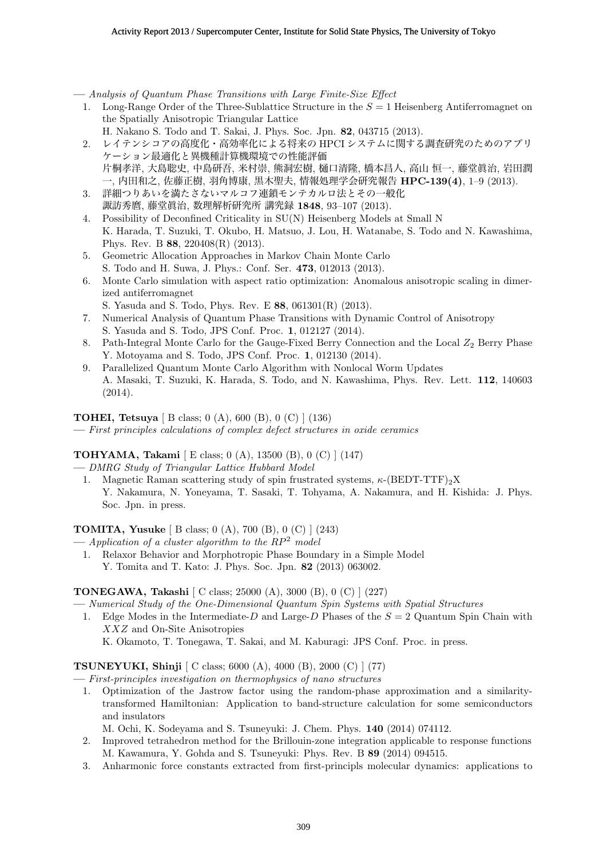**—** *Analysis of Quantum Phase Transitions with Large Finite-Size Effect*

- 1. Long-Range Order of the Three-Sublattice Structure in the *S* = 1 Heisenberg Antiferromagnet on the Spatially Anisotropic Triangular Lattice
	- H. Nakano S. Todo and T. Sakai, J. Phys. Soc. Jpn. **82**, 043715 (2013).
- 2. レイテンシコアの高度化・高効率化による将来の HPCI システムに関する調査研究のためのアプリ ケーション最適化と異機種計算機環境での性能評価 片桐孝洋, 大島聡史, 中島研吾, 米村崇, 熊洞宏樹, 樋口清隆, 橋本昌人, 高山 恒一, 藤堂眞治, 岩田潤 一, 内田和之, 佐藤正樹, 羽角博康, 黒木聖夫, 情報処理学会研究報告 **HPC-139(4)**, 1–9 (2013).
- 3. 詳細つりあいを満たさないマルコフ連鎖モンテカルロ法とその一般化 諏訪秀麿, 藤堂眞治, 数理解析研究所 講究録 **1848**, 93–107 (2013).
- 4. Possibility of Deconfined Criticality in SU(N) Heisenberg Models at Small N K. Harada, T. Suzuki, T. Okubo, H. Matsuo, J. Lou, H. Watanabe, S. Todo and N. Kawashima, Phys. Rev. B **88**, 220408(R) (2013).
- 5. Geometric Allocation Approaches in Markov Chain Monte Carlo S. Todo and H. Suwa, J. Phys.: Conf. Ser. **473**, 012013 (2013).
- 6. Monte Carlo simulation with aspect ratio optimization: Anomalous anisotropic scaling in dimerized antiferromagnet
- S. Yasuda and S. Todo, Phys. Rev. E **88**, 061301(R) (2013).
- 7. Numerical Analysis of Quantum Phase Transitions with Dynamic Control of Anisotropy S. Yasuda and S. Todo, JPS Conf. Proc. **1**, 012127 (2014).
- 8. Path-Integral Monte Carlo for the Gauge-Fixed Berry Connection and the Local  $Z_2$  Berry Phase Y. Motoyama and S. Todo, JPS Conf. Proc. **1**, 012130 (2014).
- 9. Parallelized Quantum Monte Carlo Algorithm with Nonlocal Worm Updates A. Masaki, T. Suzuki, K. Harada, S. Todo, and N. Kawashima, Phys. Rev. Lett. **112**, 140603 (2014).

## **TOHEI, Tetsuya** [ B class; 0 (A), 600 (B), 0 (C) ] (136)

**—** *First principles calculations of complex defect structures in oxide ceramics*

## **TOHYAMA, Takami** [ E class; 0 (A), 13500 (B), 0 (C) ] (147)

**—** *DMRG Study of Triangular Lattice Hubbard Model*

1. Magnetic Raman scattering study of spin frustrated systems, *κ*-(BEDT-TTF)<sub>2</sub>X Y. Nakamura, N. Yoneyama, T. Sasaki, T. Tohyama, A. Nakamura, and H. Kishida: J. Phys. Soc. Jpn. in press.

**TOMITA, Yusuke** [ B class; 0 (A), 700 (B), 0 (C) ] (243)

- **—** *Application of a cluster algorithm to the RP*<sup>2</sup> *model*
	- 1. Relaxor Behavior and Morphotropic Phase Boundary in a Simple Model Y. Tomita and T. Kato: J. Phys. Soc. Jpn. **82** (2013) 063002.

## **TONEGAWA, Takashi** [ C class; 25000 (A), 3000 (B), 0 (C) ] (227)

- **—** *Numerical Study of the One-Dimensional Quantum Spin Systems with Spatial Structures*
- 1. Edge Modes in the Intermediate-*D* and Large-*D* Phases of the *S* = 2 Quantum Spin Chain with *XXZ* and On-Site Anisotropies

# K. Okamoto, T. Tonegawa, T. Sakai, and M. Kaburagi: JPS Conf. Proc. in press.

## **TSUNEYUKI, Shinji** [ C class; 6000 (A), 4000 (B), 2000 (C) ] (77)

**—** *First-principles investigation on thermophysics of nano structures*

1. Optimization of the Jastrow factor using the random-phase approximation and a similaritytransformed Hamiltonian: Application to band-structure calculation for some semiconductors and insulators

M. Ochi, K. Sodeyama and S. Tsuneyuki: J. Chem. Phys. **140** (2014) 074112.

- 2. Improved tetrahedron method for the Brillouin-zone integration applicable to response functions M. Kawamura, Y. Gohda and S. Tsuneyuki: Phys. Rev. B **89** (2014) 094515.
- 3. Anharmonic force constants extracted from first-principls molecular dynamics: applications to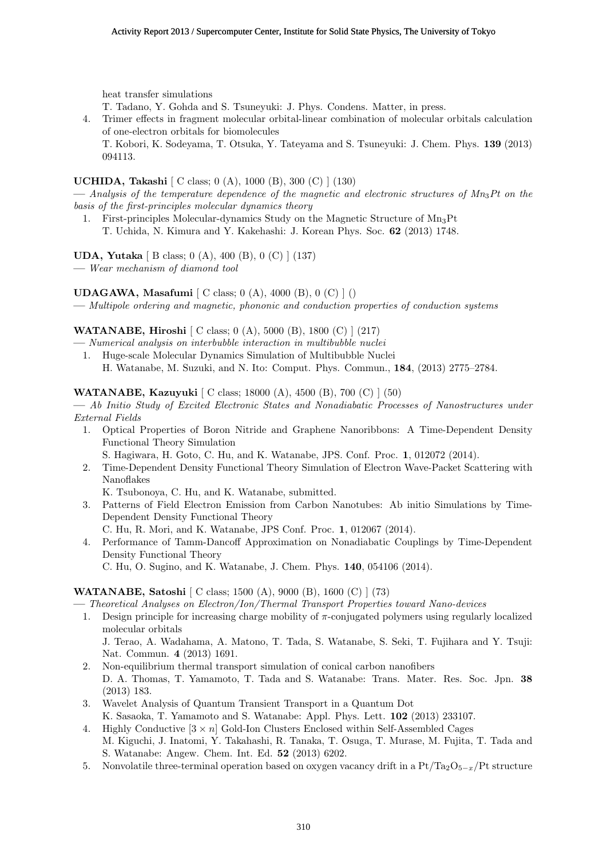heat transfer simulations

- T. Tadano, Y. Gohda and S. Tsuneyuki: J. Phys. Condens. Matter, in press.
- 4. Trimer effects in fragment molecular orbital-linear combination of molecular orbitals calculation of one-electron orbitals for biomolecules

T. Kobori, K. Sodeyama, T. Otsuka, Y. Tateyama and S. Tsuneyuki: J. Chem. Phys. **139** (2013) 094113.

## **UCHIDA, Takashi** [ C class; 0 (A), 1000 (B), 300 (C) ] (130)

**—** *Analysis of the temperature dependence of the magnetic and electronic structures of Mn*3*Pt on the basis of the first-principles molecular dynamics theory*

1. First-principles Molecular-dynamics Study on the Magnetic Structure of  $Mn_3Pt$ T. Uchida, N. Kimura and Y. Kakehashi: J. Korean Phys. Soc. **62** (2013) 1748.

**UDA, Yutaka** [ B class; 0 (A), 400 (B), 0 (C) ] (137)

**—** *Wear mechanism of diamond tool*

## **UDAGAWA, Masafumi** [ C class; 0 (A), 4000 (B), 0 (C) ] ()

**—** *Multipole ordering and magnetic, phononic and conduction properties of conduction systems*

## **WATANABE, Hiroshi** [ C class; 0 (A), 5000 (B), 1800 (C) ] (217)

- **—** *Numerical analysis on interbubble interaction in multibubble nuclei*
- 1. Huge-scale Molecular Dynamics Simulation of Multibubble Nuclei H. Watanabe, M. Suzuki, and N. Ito: Comput. Phys. Commun., **184**, (2013) 2775–2784.

**WATANABE, Kazuyuki** [ C class; 18000 (A), 4500 (B), 700 (C) ] (50)

**—** *Ab Initio Study of Excited Electronic States and Nonadiabatic Processes of Nanostructures under External Fields*

1. Optical Properties of Boron Nitride and Graphene Nanoribbons: A Time-Dependent Density Functional Theory Simulation

S. Hagiwara, H. Goto, C. Hu, and K. Watanabe, JPS. Conf. Proc. **1**, 012072 (2014).

2. Time-Dependent Density Functional Theory Simulation of Electron Wave-Packet Scattering with Nanoflakes

K. Tsubonoya, C. Hu, and K. Watanabe, submitted.

3. Patterns of Field Electron Emission from Carbon Nanotubes: Ab initio Simulations by Time-Dependent Density Functional Theory

C. Hu, R. Mori, and K. Watanabe, JPS Conf. Proc. **1**, 012067 (2014).

4. Performance of Tamm-Dancoff Approximation on Nonadiabatic Couplings by Time-Dependent Density Functional Theory

C. Hu, O. Sugino, and K. Watanabe, J. Chem. Phys. **140**, 054106 (2014).

## **WATANABE, Satoshi** [ C class; 1500 (A), 9000 (B), 1600 (C) ] (73)

- **—** *Theoretical Analyses on Electron/Ion/Thermal Transport Properties toward Nano-devices*
- 1. Design principle for increasing charge mobility of *π*-conjugated polymers using regularly localized molecular orbitals

J. Terao, A. Wadahama, A. Matono, T. Tada, S. Watanabe, S. Seki, T. Fujihara and Y. Tsuji: Nat. Commun. **4** (2013) 1691.

- 2. Non-equilibrium thermal transport simulation of conical carbon nanofibers D. A. Thomas, T. Yamamoto, T. Tada and S. Watanabe: Trans. Mater. Res. Soc. Jpn. **38** (2013) 183.
- 3. Wavelet Analysis of Quantum Transient Transport in a Quantum Dot K. Sasaoka, T. Yamamoto and S. Watanabe: Appl. Phys. Lett. **102** (2013) 233107.
- 4. Highly Conductive [3 *× n*] Gold-Ion Clusters Enclosed within Self-Assembled Cages M. Kiguchi, J. Inatomi, Y. Takahashi, R. Tanaka, T. Osuga, T. Murase, M. Fujita, T. Tada and S. Watanabe: Angew. Chem. Int. Ed. **52** (2013) 6202.
- 5. Nonvolatile three-terminal operation based on oxygen vacancy drift in a Pt/Ta2O<sup>5</sup>*−<sup>x</sup>*/Pt structure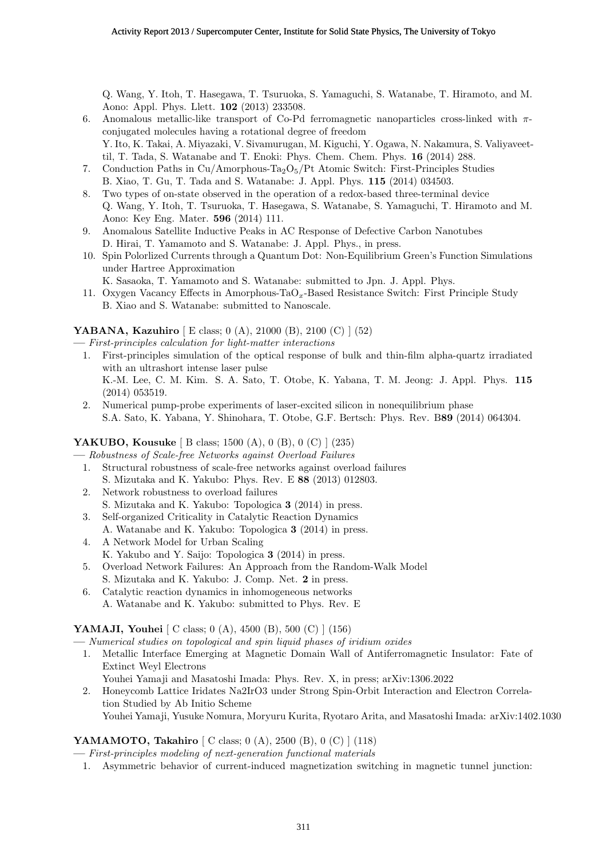Q. Wang, Y. Itoh, T. Hasegawa, T. Tsuruoka, S. Yamaguchi, S. Watanabe, T. Hiramoto, and M. Aono: Appl. Phys. Llett. **102** (2013) 233508.

- 6. Anomalous metallic-like transport of Co-Pd ferromagnetic nanoparticles cross-linked with *π*conjugated molecules having a rotational degree of freedom Y. Ito, K. Takai, A. Miyazaki, V. Sivamurugan, M. Kiguchi, Y. Ogawa, N. Nakamura, S. Valiyaveettil, T. Tada, S. Watanabe and T. Enoki: Phys. Chem. Chem. Phys. **16** (2014) 288.
- 7. Conduction Paths in Cu/Amorphous-Ta<sub>2</sub>O<sub>5</sub>/Pt Atomic Switch: First-Principles Studies B. Xiao, T. Gu, T. Tada and S. Watanabe: J. Appl. Phys. **115** (2014) 034503.
- 8. Two types of on-state observed in the operation of a redox-based three-terminal device Q. Wang, Y. Itoh, T. Tsuruoka, T. Hasegawa, S. Watanabe, S. Yamaguchi, T. Hiramoto and M. Aono: Key Eng. Mater. **596** (2014) 111.
- 9. Anomalous Satellite Inductive Peaks in AC Response of Defective Carbon Nanotubes D. Hirai, T. Yamamoto and S. Watanabe: J. Appl. Phys., in press.
- 10. Spin Polorlized Currents through a Quantum Dot: Non-Equilibrium Green's Function Simulations under Hartree Approximation
	- K. Sasaoka, T. Yamamoto and S. Watanabe: submitted to Jpn. J. Appl. Phys.
- 11. Oxygen Vacancy Effects in Amorphous-TaO*x*-Based Resistance Switch: First Principle Study B. Xiao and S. Watanabe: submitted to Nanoscale.

## **YABANA, Kazuhiro** [ E class; 0 (A), 21000 (B), 2100 (C) ] (52)

**—** *First-principles calculation for light-matter interactions*

- 1. First-principles simulation of the optical response of bulk and thin-film alpha-quartz irradiated with an ultrashort intense laser pulse K.-M. Lee, C. M. Kim. S. A. Sato, T. Otobe, K. Yabana, T. M. Jeong: J. Appl. Phys. **115** (2014) 053519.
- 2. Numerical pump-probe experiments of laser-excited silicon in nonequilibrium phase S.A. Sato, K. Yabana, Y. Shinohara, T. Otobe, G.F. Bertsch: Phys. Rev. B**89** (2014) 064304.

## **YAKUBO, Kousuke** [ B class; 1500 (A), 0 (B), 0 (C) ] (235)

**—** *Robustness of Scale-free Networks against Overload Failures*

- 1. Structural robustness of scale-free networks against overload failures S. Mizutaka and K. Yakubo: Phys. Rev. E **88** (2013) 012803.
- 2. Network robustness to overload failures
- S. Mizutaka and K. Yakubo: Topologica **3** (2014) in press.
- 3. Self-organized Criticality in Catalytic Reaction Dynamics A. Watanabe and K. Yakubo: Topologica **3** (2014) in press.
- 4. A Network Model for Urban Scaling
- K. Yakubo and Y. Saijo: Topologica **3** (2014) in press.
- 5. Overload Network Failures: An Approach from the Random-Walk Model S. Mizutaka and K. Yakubo: J. Comp. Net. **2** in press.
- 6. Catalytic reaction dynamics in inhomogeneous networks A. Watanabe and K. Yakubo: submitted to Phys. Rev. E

## **YAMAJI, Youhei** [ C class; 0 (A), 4500 (B), 500 (C) ] (156)

- **—** *Numerical studies on topological and spin liquid phases of iridium oxides*
- 1. Metallic Interface Emerging at Magnetic Domain Wall of Antiferromagnetic Insulator: Fate of Extinct Weyl Electrons

Youhei Yamaji and Masatoshi Imada: Phys. Rev. X, in press; arXiv:1306.2022

2. Honeycomb Lattice Iridates Na2IrO3 under Strong Spin-Orbit Interaction and Electron Correlation Studied by Ab Initio Scheme

# Youhei Yamaji, Yusuke Nomura, Moryuru Kurita, Ryotaro Arita, and Masatoshi Imada: arXiv:1402.1030

## **YAMAMOTO, Takahiro**  $\begin{bmatrix} C \ \text{class}; 0 \ (A), 2500 \ (B), 0 \ (C) \end{bmatrix}$  (118)

**—** *First-principles modeling of next-generation functional materials*

1. Asymmetric behavior of current-induced magnetization switching in magnetic tunnel junction: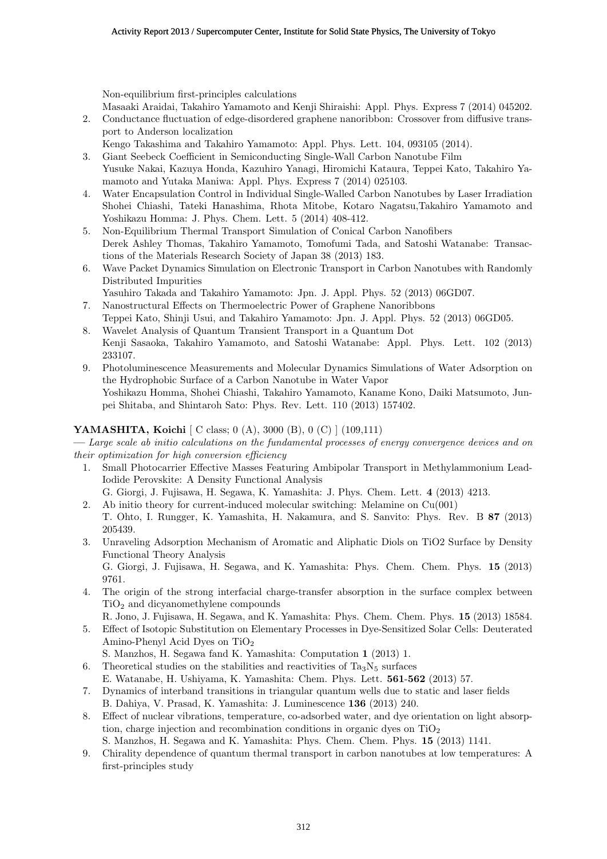Non-equilibrium first-principles calculations

Masaaki Araidai, Takahiro Yamamoto and Kenji Shiraishi: Appl. Phys. Express 7 (2014) 045202.

- 2. Conductance fluctuation of edge-disordered graphene nanoribbon: Crossover from diffusive transport to Anderson localization
- Kengo Takashima and Takahiro Yamamoto: Appl. Phys. Lett. 104, 093105 (2014).
- 3. Giant Seebeck Coefficient in Semiconducting Single-Wall Carbon Nanotube Film Yusuke Nakai, Kazuya Honda, Kazuhiro Yanagi, Hiromichi Kataura, Teppei Kato, Takahiro Yamamoto and Yutaka Maniwa: Appl. Phys. Express 7 (2014) 025103.
- 4. Water Encapsulation Control in Individual Single-Walled Carbon Nanotubes by Laser Irradiation Shohei Chiashi, Tateki Hanashima, Rhota Mitobe, Kotaro Nagatsu,Takahiro Yamamoto and Yoshikazu Homma: J. Phys. Chem. Lett. 5 (2014) 408-412.
- 5. Non-Equilibrium Thermal Transport Simulation of Conical Carbon Nanofibers Derek Ashley Thomas, Takahiro Yamamoto, Tomofumi Tada, and Satoshi Watanabe: Transactions of the Materials Research Society of Japan 38 (2013) 183.
- 6. Wave Packet Dynamics Simulation on Electronic Transport in Carbon Nanotubes with Randomly Distributed Impurities
	- Yasuhiro Takada and Takahiro Yamamoto: Jpn. J. Appl. Phys. 52 (2013) 06GD07.
- 7. Nanostructural Effects on Thermoelectric Power of Graphene Nanoribbons Teppei Kato, Shinji Usui, and Takahiro Yamamoto: Jpn. J. Appl. Phys. 52 (2013) 06GD05.
- 8. Wavelet Analysis of Quantum Transient Transport in a Quantum Dot Kenji Sasaoka, Takahiro Yamamoto, and Satoshi Watanabe: Appl. Phys. Lett. 102 (2013) 233107.
- 9. Photoluminescence Measurements and Molecular Dynamics Simulations of Water Adsorption on the Hydrophobic Surface of a Carbon Nanotube in Water Vapor Yoshikazu Homma, Shohei Chiashi, Takahiro Yamamoto, Kaname Kono, Daiki Matsumoto, Junpei Shitaba, and Shintaroh Sato: Phys. Rev. Lett. 110 (2013) 157402.

## **YAMASHITA, Koichi** [ C class; 0 (A), 3000 (B), 0 (C) ] (109,111)

**—** *Large scale ab initio calculations on the fundamental processes of energy convergence devices and on their optimization for high conversion efficiency*

1. Small Photocarrier Effective Masses Featuring Ambipolar Transport in Methylammonium Lead-Iodide Perovskite: A Density Functional Analysis

G. Giorgi, J. Fujisawa, H. Segawa, K. Yamashita: J. Phys. Chem. Lett. **4** (2013) 4213.

- 2. Ab initio theory for current-induced molecular switching: Melamine on Cu(001) T. Ohto, I. Rungger, K. Yamashita, H. Nakamura, and S. Sanvito: Phys. Rev. B **87** (2013) 205439.
- 3. Unraveling Adsorption Mechanism of Aromatic and Aliphatic Diols on TiO2 Surface by Density Functional Theory Analysis

G. Giorgi, J. Fujisawa, H. Segawa, and K. Yamashita: Phys. Chem. Chem. Phys. **15** (2013) 9761.

4. The origin of the strong interfacial charge-transfer absorption in the surface complex between  $TiO<sub>2</sub>$  and dicyanomethylene compounds

R. Jono, J. Fujisawa, H. Segawa, and K. Yamashita: Phys. Chem. Chem. Phys. **15** (2013) 18584.

- 5. Effect of Isotopic Substitution on Elementary Processes in Dye-Sensitized Solar Cells: Deuterated Amino-Phenyl Acid Dyes on TiO<sup>2</sup>
	- S. Manzhos, H. Segawa fand K. Yamashita: Computation **1** (2013) 1.
- 6. Theoretical studies on the stabilities and reactivities of  $Ta_3N_5$  surfaces E. Watanabe, H. Ushiyama, K. Yamashita: Chem. Phys. Lett. **561**-**562** (2013) 57.
- 7. Dynamics of interband transitions in triangular quantum wells due to static and laser fields B. Dahiya, V. Prasad, K. Yamashita: J. Luminescence **136** (2013) 240.
- 8. Effect of nuclear vibrations, temperature, co-adsorbed water, and dye orientation on light absorption, charge injection and recombination conditions in organic dyes on  $TiO<sub>2</sub>$ S. Manzhos, H. Segawa and K. Yamashita: Phys. Chem. Chem. Phys. **15** (2013) 1141.
- 9. Chirality dependence of quantum thermal transport in carbon nanotubes at low temperatures: A first-principles study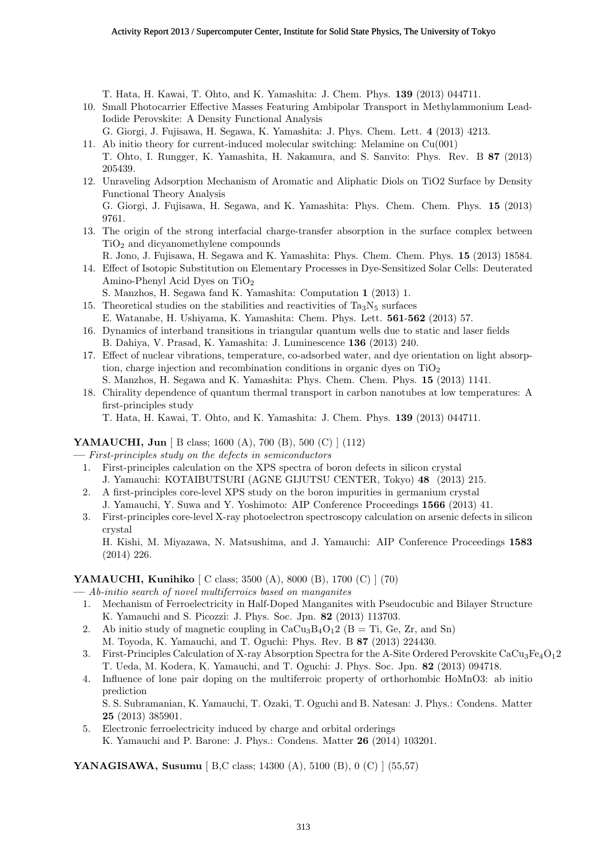T. Hata, H. Kawai, T. Ohto, and K. Yamashita: J. Chem. Phys. **139** (2013) 044711.

10. Small Photocarrier Effective Masses Featuring Ambipolar Transport in Methylammonium Lead-Iodide Perovskite: A Density Functional Analysis

G. Giorgi, J. Fujisawa, H. Segawa, K. Yamashita: J. Phys. Chem. Lett. **4** (2013) 4213.

- 11. Ab initio theory for current-induced molecular switching: Melamine on Cu(001) T. Ohto, I. Rungger, K. Yamashita, H. Nakamura, and S. Sanvito: Phys. Rev. B **87** (2013) 205439.
- 12. Unraveling Adsorption Mechanism of Aromatic and Aliphatic Diols on TiO2 Surface by Density Functional Theory Analysis G. Giorgi, J. Fujisawa, H. Segawa, and K. Yamashita: Phys. Chem. Chem. Phys. **15** (2013) 9761.
- 13. The origin of the strong interfacial charge-transfer absorption in the surface complex between  $TiO<sub>2</sub>$  and dicyanomethylene compounds
	- R. Jono, J. Fujisawa, H. Segawa and K. Yamashita: Phys. Chem. Chem. Phys. **15** (2013) 18584.
- 14. Effect of Isotopic Substitution on Elementary Processes in Dye-Sensitized Solar Cells: Deuterated Amino-Phenyl Acid Dyes on TiO<sup>2</sup>
	- S. Manzhos, H. Segawa fand K. Yamashita: Computation **1** (2013) 1.
- 15. Theoretical studies on the stabilities and reactivities of  $Ta_3N_5$  surfaces E. Watanabe, H. Ushiyama, K. Yamashita: Chem. Phys. Lett. **561**-**562** (2013) 57.
- 16. Dynamics of interband transitions in triangular quantum wells due to static and laser fields B. Dahiya, V. Prasad, K. Yamashita: J. Luminescence **136** (2013) 240.
- 17. Effect of nuclear vibrations, temperature, co-adsorbed water, and dye orientation on light absorption, charge injection and recombination conditions in organic dyes on  $TiO<sub>2</sub>$ S. Manzhos, H. Segawa and K. Yamashita: Phys. Chem. Chem. Phys. **15** (2013) 1141.
- 18. Chirality dependence of quantum thermal transport in carbon nanotubes at low temperatures: A first-principles study

T. Hata, H. Kawai, T. Ohto, and K. Yamashita: J. Chem. Phys. **139** (2013) 044711.

## **YAMAUCHI, Jun** [ B class; 1600 (A), 700 (B), 500 (C) ] (112)

**—** *First-principles study on the defects in semiconductors*

- 1. First-principles calculation on the XPS spectra of boron defects in silicon crystal J. Yamauchi: KOTAIBUTSURI (AGNE GIJUTSU CENTER, Tokyo) **48** (2013) 215.
- 2. A first-principles core-level XPS study on the boron impurities in germanium crystal
- J. Yamauchi, Y. Suwa and Y. Yoshimoto: AIP Conference Proceedings **1566** (2013) 41. 3. First-principles core-level X-ray photoelectron spectroscopy calculation on arsenic defects in silicon

crystal H. Kishi, M. Miyazawa, N. Matsushima, and J. Yamauchi: AIP Conference Proceedings **1583** (2014) 226.

## **YAMAUCHI, Kunihiko** [ C class; 3500 (A), 8000 (B), 1700 (C) ] (70)

**—** *Ab-initio search of novel multiferroics based on manganites*

- 1. Mechanism of Ferroelectricity in Half-Doped Manganites with Pseudocubic and Bilayer Structure K. Yamauchi and S. Picozzi: J. Phys. Soc. Jpn. **82** (2013) 113703.
- 2. Ab initio study of magnetic coupling in  $CaCu<sub>3</sub>B<sub>4</sub>O<sub>1</sub>$  (B = Ti, Ge, Zr, and Sn)
- M. Toyoda, K. Yamauchi, and T. Oguchi: Phys. Rev. B **87** (2013) 224430.
- 3. First-Principles Calculation of X-ray Absorption Spectra for the A-Site Ordered Perovskite CaCu<sub>3</sub>Fe<sub>4</sub>O<sub>1</sub>2 T. Ueda, M. Kodera, K. Yamauchi, and T. Oguchi: J. Phys. Soc. Jpn. **82** (2013) 094718.
- 4. Influence of lone pair doping on the multiferroic property of orthorhombic HoMnO3: ab initio prediction

S. S. Subramanian, K. Yamauchi, T. Ozaki, T. Oguchi and B. Natesan: J. Phys.: Condens. Matter **25** (2013) 385901.

5. Electronic ferroelectricity induced by charge and orbital orderings K. Yamauchi and P. Barone: J. Phys.: Condens. Matter **26** (2014) 103201.

**YANAGISAWA, Susumu** [ B,C class; 14300 (A), 5100 (B), 0 (C) ] (55,57)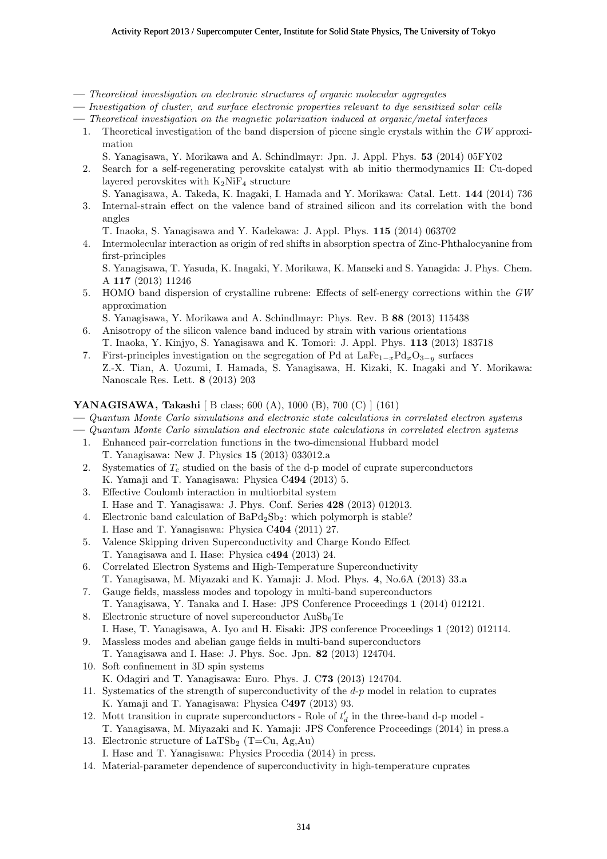- **—** *Theoretical investigation on electronic structures of organic molecular aggregates*
- **—** *Investigation of cluster, and surface electronic properties relevant to dye sensitized solar cells*
- **—** *Theoretical investigation on the magnetic polarization induced at organic/metal interfaces*
	- 1. Theoretical investigation of the band dispersion of picene single crystals within the *GW* approximation
		- S. Yanagisawa, Y. Morikawa and A. Schindlmayr: Jpn. J. Appl. Phys. **53** (2014) 05FY02
	- 2. Search for a self-regenerating perovskite catalyst with ab initio thermodynamics II: Cu-doped layered perovskites with  $K_2N$ i $F_4$  structure
	- S. Yanagisawa, A. Takeda, K. Inagaki, I. Hamada and Y. Morikawa: Catal. Lett. **144** (2014) 736 3. Internal-strain effect on the valence band of strained silicon and its correlation with the bond angles

T. Inaoka, S. Yanagisawa and Y. Kadekawa: J. Appl. Phys. **115** (2014) 063702

4. Intermolecular interaction as origin of red shifts in absorption spectra of Zinc-Phthalocyanine from first-principles

S. Yanagisawa, T. Yasuda, K. Inagaki, Y. Morikawa, K. Manseki and S. Yanagida: J. Phys. Chem. A **117** (2013) 11246

5. HOMO band dispersion of crystalline rubrene: Effects of self-energy corrections within the *GW* approximation

S. Yanagisawa, Y. Morikawa and A. Schindlmayr: Phys. Rev. B **88** (2013) 115438

- 6. Anisotropy of the silicon valence band induced by strain with various orientations T. Inaoka, Y. Kinjyo, S. Yanagisawa and K. Tomori: J. Appl. Phys. **113** (2013) 183718
- 7. First-principles investigation on the segregation of Pd at LaFe<sup>1</sup>*−<sup>x</sup>*Pd*x*O<sup>3</sup>*−<sup>y</sup>* surfaces Z.-X. Tian, A. Uozumi, I. Hamada, S. Yanagisawa, H. Kizaki, K. Inagaki and Y. Morikawa: Nanoscale Res. Lett. **8** (2013) 203

#### **YANAGISAWA, Takashi** [ B class; 600 (A), 1000 (B), 700 (C) ] (161)

**—** *Quantum Monte Carlo simulations and electronic state calculations in correlated electron systems*

- **—** *Quantum Monte Carlo simulation and electronic state calculations in correlated electron systems*
- 1. Enhanced pair-correlation functions in the two-dimensional Hubbard model
	- T. Yanagisawa: New J. Physics **15** (2013) 033012.a
- 2. Systematics of *T<sup>c</sup>* studied on the basis of the d-p model of cuprate superconductors K. Yamaji and T. Yanagisawa: Physica C**494** (2013) 5.
- 3. Effective Coulomb interaction in multiorbital system
- I. Hase and T. Yanagisawa: J. Phys. Conf. Series **428** (2013) 012013.
- 4. Electronic band calculation of  $BaPd_2Sb_2$ : which polymorph is stable?
- I. Hase and T. Yanagisawa: Physica C**404** (2011) 27.
- 5. Valence Skipping driven Superconductivity and Charge Kondo Effect T. Yanagisawa and I. Hase: Physica c**494** (2013) 24.
- 6. Correlated Electron Systems and High-Temperature Superconductivity T. Yanagisawa, M. Miyazaki and K. Yamaji: J. Mod. Phys. **4**, No.6A (2013) 33.a
- 7. Gauge fields, massless modes and topology in multi-band superconductors T. Yanagisawa, Y. Tanaka and I. Hase: JPS Conference Proceedings **1** (2014) 012121.
- 8. Electronic structure of novel superconductor  $AuSb_6Te$ I. Hase, T. Yanagisawa, A. Iyo and H. Eisaki: JPS conference Proceedings **1** (2012) 012114.
- 9. Massless modes and abelian gauge fields in multi-band superconductors T. Yanagisawa and I. Hase: J. Phys. Soc. Jpn. **82** (2013) 124704.
- 10. Soft confinement in 3D spin systems
- K. Odagiri and T. Yanagisawa: Euro. Phys. J. C**73** (2013) 124704.
- 11. Systematics of the strength of superconductivity of the *d*-*p* model in relation to cuprates K. Yamaji and T. Yanagisawa: Physica C**497** (2013) 93.
- 12. Mott transition in cuprate superconductors Role of  $t'_{d}$  in the three-band d-p model -T. Yanagisawa, M. Miyazaki and K. Yamaji: JPS Conference Proceedings (2014) in press.a
- 13. Electronic structure of  $LaTSb<sub>2</sub>$  (T=Cu, Ag,Au) I. Hase and T. Yanagisawa: Physics Procedia (2014) in press.
- 14. Material-parameter dependence of superconductivity in high-temperature cuprates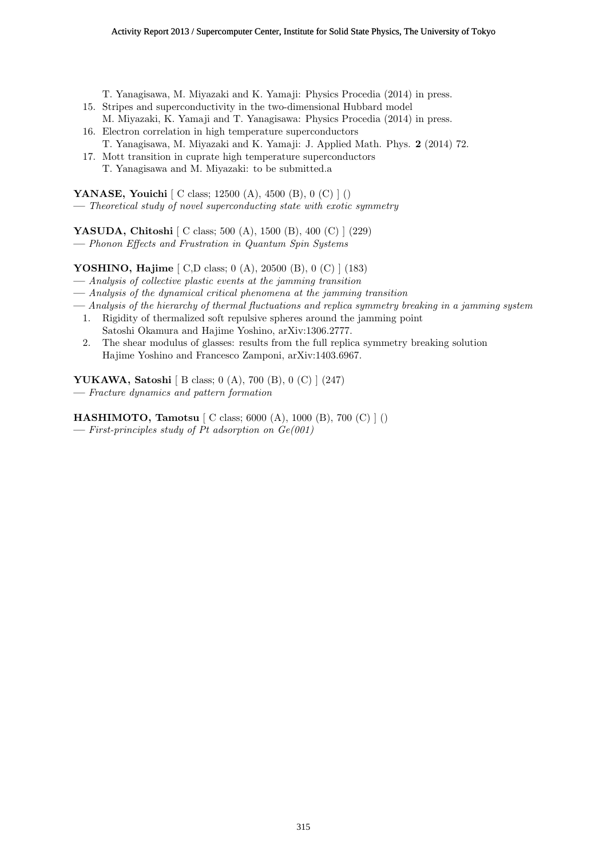T. Yanagisawa, M. Miyazaki and K. Yamaji: Physics Procedia (2014) in press.

- 15. Stripes and superconductivity in the two-dimensional Hubbard model M. Miyazaki, K. Yamaji and T. Yanagisawa: Physics Procedia (2014) in press.
- 16. Electron correlation in high temperature superconductors
- T. Yanagisawa, M. Miyazaki and K. Yamaji: J. Applied Math. Phys. **2** (2014) 72.
- 17. Mott transition in cuprate high temperature superconductors T. Yanagisawa and M. Miyazaki: to be submitted.a

**YANASE, Youichi** [ C class; 12500 (A), 4500 (B), 0 (C) ] ()

**—** *Theoretical study of novel superconducting state with exotic symmetry*

**YASUDA, Chitoshi** [ C class; 500 (A), 1500 (B), 400 (C) ] (229)

**—** *Phonon Effects and Frustration in Quantum Spin Systems*

**YOSHINO, Hajime** [ C,D class; 0 (A), 20500 (B), 0 (C) ] (183)

- **—** *Analysis of collective plastic events at the jamming transition*
- **—** *Analysis of the dynamical critical phenomena at the jamming transition*
- **—** *Analysis of the hierarchy of thermal fluctuations and replica symmetry breaking in a jamming system*
- 1. Rigidity of thermalized soft repulsive spheres around the jamming point Satoshi Okamura and Hajime Yoshino, arXiv:1306.2777.
- 2. The shear modulus of glasses: results from the full replica symmetry breaking solution Hajime Yoshino and Francesco Zamponi, arXiv:1403.6967.

**YUKAWA, Satoshi** [ B class; 0 (A), 700 (B), 0 (C) ] (247) **—** *Fracture dynamics and pattern formation*

**HASHIMOTO, Tamotsu** [ C class; 6000 (A), 1000 (B), 700 (C) ] () **—** *First-principles study of Pt adsorption on Ge(001)*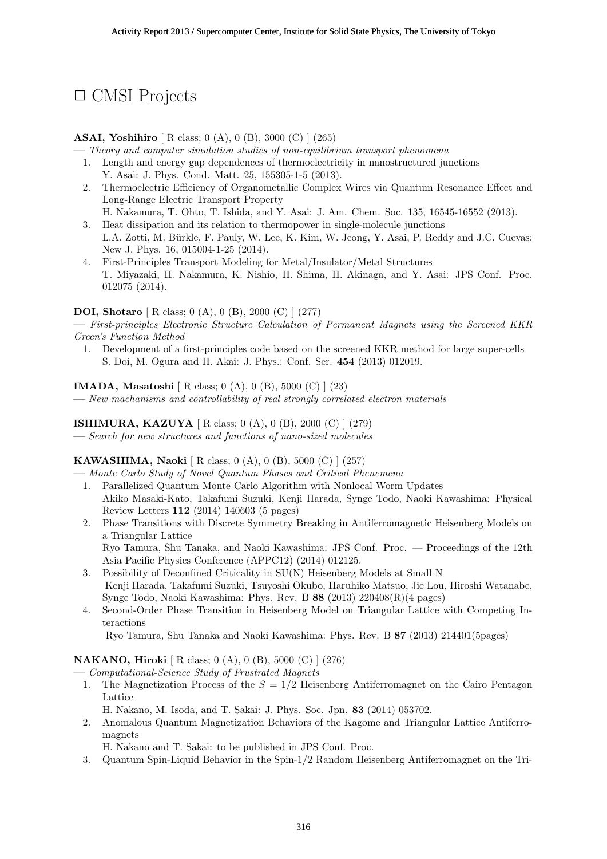# *✷* CMSI Projects

## **ASAI, Yoshihiro** [ R class; 0 (A), 0 (B), 3000 (C) ] (265)

**—** *Theory and computer simulation studies of non-equilibrium transport phenomena*

- 1. Length and energy gap dependences of thermoelectricity in nanostructured junctions Y. Asai: J. Phys. Cond. Matt. 25, 155305-1-5 (2013).
- 2. Thermoelectric Efficiency of Organometallic Complex Wires via Quantum Resonance Effect and Long-Range Electric Transport Property
- H. Nakamura, T. Ohto, T. Ishida, and Y. Asai: J. Am. Chem. Soc. 135, 16545-16552 (2013). 3. Heat dissipation and its relation to thermopower in single-molecule junctions L.A. Zotti, M. Bürkle, F. Pauly, W. Lee, K. Kim, W. Jeong, Y. Asai, P. Reddy and J.C. Cuevas: New J. Phys. 16, 015004-1-25 (2014).
- 4. First-Principles Transport Modeling for Metal/Insulator/Metal Structures T. Miyazaki, H. Nakamura, K. Nishio, H. Shima, H. Akinaga, and Y. Asai: JPS Conf. Proc. 012075 (2014).

## **DOI, Shotaro** [ R class; 0 (A), 0 (B), 2000 (C) ] (277)

**—** *First-principles Electronic Structure Calculation of Permanent Magnets using the Screened KKR Green's Function Method*

1. Development of a first-principles code based on the screened KKR method for large super-cells S. Doi, M. Ogura and H. Akai: J. Phys.: Conf. Ser. **454** (2013) 012019.

**IMADA, Masatoshi** [ R class; 0 (A), 0 (B), 5000 (C) ] (23)

**—** *New machanisms and controllability of real strongly correlated electron materials*

## **ISHIMURA, KAZUYA** [ R class; 0 (A), 0 (B), 2000 (C) ] (279)

**—** *Search for new structures and functions of nano-sized molecules*

## **KAWASHIMA, Naoki** [ R class; 0 (A), 0 (B), 5000 (C) ] (257)

**—** *Monte Carlo Study of Novel Quantum Phases and Critical Phenemena*

- 1. Parallelized Quantum Monte Carlo Algorithm with Nonlocal Worm Updates Akiko Masaki-Kato, Takafumi Suzuki, Kenji Harada, Synge Todo, Naoki Kawashima: Physical Review Letters **112** (2014) 140603 (5 pages)
- 2. Phase Transitions with Discrete Symmetry Breaking in Antiferromagnetic Heisenberg Models on a Triangular Lattice

Ryo Tamura, Shu Tanaka, and Naoki Kawashima: JPS Conf. Proc. — Proceedings of the 12th Asia Pacific Physics Conference (APPC12) (2014) 012125.

- 3. Possibility of Deconfined Criticality in SU(N) Heisenberg Models at Small N Kenji Harada, Takafumi Suzuki, Tsuyoshi Okubo, Haruhiko Matsuo, Jie Lou, Hiroshi Watanabe, Synge Todo, Naoki Kawashima: Phys. Rev. B **88** (2013) 220408(R)(4 pages)
- 4. Second-Order Phase Transition in Heisenberg Model on Triangular Lattice with Competing Interactions

Ryo Tamura, Shu Tanaka and Naoki Kawashima: Phys. Rev. B **87** (2013) 214401(5pages)

#### **NAKANO, Hiroki** [ R class; 0 (A), 0 (B), 5000 (C) ] (276)

**—** *Computational-Science Study of Frustrated Magnets*

- 1. The Magnetization Process of the *S* = 1*/*2 Heisenberg Antiferromagnet on the Cairo Pentagon Lattice
	- H. Nakano, M. Isoda, and T. Sakai: J. Phys. Soc. Jpn. **83** (2014) 053702.
- 2. Anomalous Quantum Magnetization Behaviors of the Kagome and Triangular Lattice Antiferromagnets

H. Nakano and T. Sakai: to be published in JPS Conf. Proc.

3. Quantum Spin-Liquid Behavior in the Spin-1/2 Random Heisenberg Antiferromagnet on the Tri-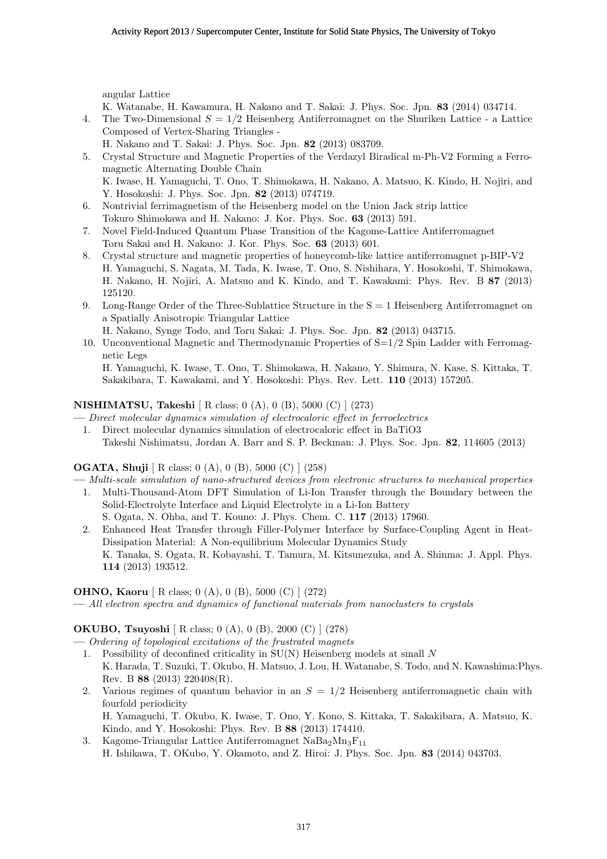angular Lattice

- K. Watanabe, H. Kawamura, H. Nakano and T. Sakai: J. Phys. Soc. Jpn. **83** (2014) 034714.
- 4. The Two-Dimensional *S* = 1*/*2 Heisenberg Antiferromagnet on the Shuriken Lattice a Lattice Composed of Vertex-Sharing Triangles -
- H. Nakano and T. Sakai: J. Phys. Soc. Jpn. **82** (2013) 083709. 5. Crystal Structure and Magnetic Properties of the Verdazyl Biradical m-Ph-V2 Forming a Ferromagnetic Alternating Double Chain
	- K. Iwase, H. Yamaguchi, T. Ono, T. Shimokawa, H. Nakano, A. Matsuo, K. Kindo, H. Nojiri, and Y. Hosokoshi: J. Phys. Soc. Jpn. **82** (2013) 074719.
- 6. Nontrivial ferrimagnetism of the Heisenberg model on the Union Jack strip lattice Tokuro Shimokawa and H. Nakano: J. Kor. Phys. Soc. **63** (2013) 591.
- 7. Novel Field-Induced Quantum Phase Transition of the Kagome-Lattice Antiferromagnet Toru Sakai and H. Nakano: J. Kor. Phys. Soc. **63** (2013) 601.
- 8. Crystal structure and magnetic properties of honeycomb-like lattice antiferromagnet p-BIP-V2 H. Yamaguchi, S. Nagata, M. Tada, K. Iwase, T. Ono, S. Nishihara, Y. Hosokoshi, T. Shimokawa, H. Nakano, H. Nojiri, A. Matsuo and K. Kindo, and T. Kawakami: Phys. Rev. B **87** (2013) 125120.
- 9. Long-Range Order of the Three-Sublattice Structure in the S = 1 Heisenberg Antiferromagnet on a Spatially Anisotropic Triangular Lattice

H. Nakano, Synge Todo, and Toru Sakai: J. Phys. Soc. Jpn. **82** (2013) 043715.

10. Unconventional Magnetic and Thermodynamic Properties of  $S=1/2$  Spin Ladder with Ferromagnetic Legs

H. Yamaguchi, K. Iwase, T. Ono, T. Shimokawa, H. Nakano, Y. Shimura, N. Kase, S. Kittaka, T. Sakakibara, T. Kawakami, and Y. Hosokoshi: Phys. Rev. Lett. **110** (2013) 157205.

# **NISHIMATSU, Takeshi** [ R class; 0 (A), 0 (B), 5000 (C) ] (273)

**—** *Direct molecular dynamics simulation of electrocaloric effect in ferroelectrics*

1. Direct molecular dynamics simulation of electrocaloric effect in BaTiO3 Takeshi Nishimatsu, Jordan A. Barr and S. P. Beckman: J. Phys. Soc. Jpn. **82**, 114605 (2013)

## **OGATA, Shuji** [ R class; 0 (A), 0 (B), 5000 (C) ] (258)

- **—** *Multi-scale simulation of nano-structured devices from electronic structures to mechanical properties*
- 1. Multi-Thousand-Atom DFT Simulation of Li-Ion Transfer through the Boundary between the Solid-Electrolyte Interface and Liquid Electrolyte in a Li-Ion Battery S. Ogata, N. Ohba, and T. Kouno: J. Phys. Chem. C. **117** (2013) 17960.
- 2. Enhanced Heat Transfer through Filler-Polymer Interface by Surface-Coupling Agent in Heat-Dissipation Material: A Non-equilibrium Molecular Dynamics Study K. Tanaka, S. Ogata, R. Kobayashi, T. Tamura, M. Kitsunezuka, and A. Shinma: J. Appl. Phys. **114** (2013) 193512.

## **OHNO, Kaoru** [ R class; 0 (A), 0 (B), 5000 (C) ] (272)

**—** *All electron spectra and dynamics of functional materials from nanoclusters to crystals*

## **OKUBO, Tsuyoshi** [ R class; 0 (A), 0 (B), 2000 (C) ] (278)

- **—** *Ordering of topological excitations of the frustrated magnets*
- 1. Possibility of deconfined criticality in SU(N) Heisenberg models at small *N* K. Harada, T. Suzuki, T. Okubo, H. Matsuo, J. Lou, H. Watanabe, S. Todo, and N. Kawashima:Phys. Rev. B **88** (2013) 220408(R).
- 2. Various regimes of quantum behavior in an  $S = 1/2$  Heisenberg antiferromagnetic chain with fourfold periodicity H. Yamaguchi, T. Okubo, K. Iwase, T. Ono, Y. Kono, S. Kittaka, T. Sakakibara, A. Matsuo, K.
- Kindo, and Y. Hosokoshi: Phys. Rev. B **88** (2013) 174410. 3. Kagome-Triangular Lattice Antiferromagnet  $NaBa<sub>2</sub>Mn<sub>3</sub>F<sub>11</sub>$ H. Ishikawa, T. OKubo, Y. Okamoto, and Z. Hiroi: J. Phys. Soc. Jpn. **83** (2014) 043703.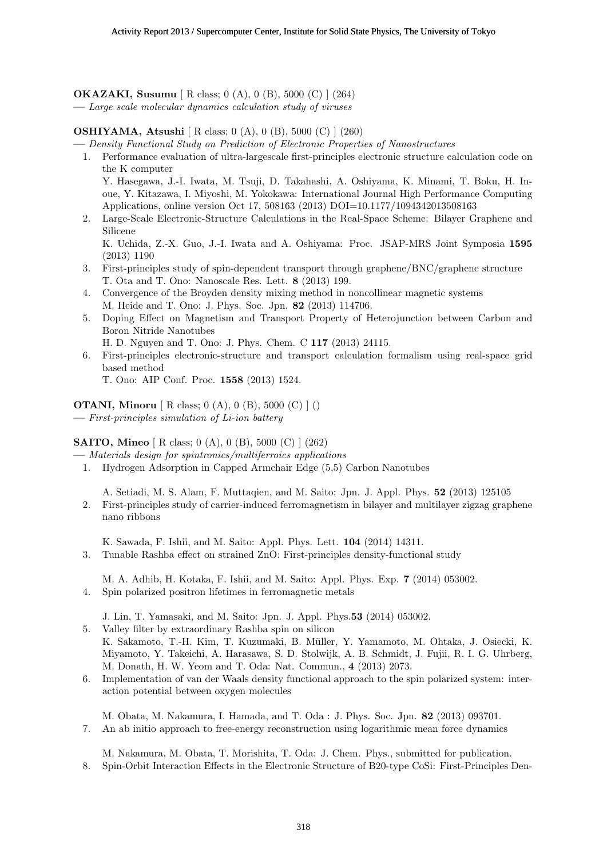**OKAZAKI, Susumu** [ R class; 0 (A), 0 (B), 5000 (C) ] (264) **—** *Large scale molecular dynamics calculation study of viruses*

**OSHIYAMA, Atsushi** [ R class; 0 (A), 0 (B), 5000 (C) ] (260)

**—** *Density Functional Study on Prediction of Electronic Properties of Nanostructures*

1. Performance evaluation of ultra-largescale first-principles electronic structure calculation code on the K computer

Y. Hasegawa, J.-I. Iwata, M. Tsuji, D. Takahashi, A. Oshiyama, K. Minami, T. Boku, H. Inoue, Y. Kitazawa, I. Miyoshi, M. Yokokawa: International Journal High Performance Computing Applications, online version Oct 17, 508163 (2013) DOI=10.1177/1094342013508163

2. Large-Scale Electronic-Structure Calculations in the Real-Space Scheme: Bilayer Graphene and Silicene

K. Uchida, Z.-X. Guo, J.-I. Iwata and A. Oshiyama: Proc. JSAP-MRS Joint Symposia **1595** (2013) 1190

- 3. First-principles study of spin-dependent transport through graphene/BNC/graphene structure T. Ota and T. Ono: Nanoscale Res. Lett. **8** (2013) 199.
- 4. Convergence of the Broyden density mixing method in noncollinear magnetic systems M. Heide and T. Ono: J. Phys. Soc. Jpn. **82** (2013) 114706.
- 5. Doping Effect on Magnetism and Transport Property of Heterojunction between Carbon and Boron Nitride Nanotubes
	- H. D. Nguyen and T. Ono: J. Phys. Chem. C **117** (2013) 24115.
- 6. First-principles electronic-structure and transport calculation formalism using real-space grid based method

T. Ono: AIP Conf. Proc. **1558** (2013) 1524.

**OTANI, Minoru** [ R class; 0 (A), 0 (B), 5000 (C) ] () **—** *First-principles simulation of Li-ion battery*

# **SAITO, Mineo** [ R class; 0 (A), 0 (B), 5000 (C) ] (262)

- **—** *Materials design for spintronics/multiferroics applications*
- 1. Hydrogen Adsorption in Capped Armchair Edge (5,5) Carbon Nanotubes

A. Setiadi, M. S. Alam, F. Muttaqien, and M. Saito: Jpn. J. Appl. Phys. **52** (2013) 125105

2. First-principles study of carrier-induced ferromagnetism in bilayer and multilayer zigzag graphene nano ribbons

K. Sawada, F. Ishii, and M. Saito: Appl. Phys. Lett. **104** (2014) 14311.

3. Tunable Rashba effect on strained ZnO: First-principles density-functional study

M. A. Adhib, H. Kotaka, F. Ishii, and M. Saito: Appl. Phys. Exp. **7** (2014) 053002.

4. Spin polarized positron lifetimes in ferromagnetic metals

J. Lin, T. Yamasaki, and M. Saito: Jpn. J. Appl. Phys.**53** (2014) 053002.

- 5. Valley filter by extraordinary Rashba spin on silicon K. Sakamoto, T.-H. Kim, T. Kuzumaki, B. M¨uller, Y. Yamamoto, M. Ohtaka, J. Osiecki, K. Miyamoto, Y. Takeichi, A. Harasawa, S. D. Stolwijk, A. B. Schmidt, J. Fujii, R. I. G. Uhrberg, M. Donath, H. W. Yeom and T. Oda: Nat. Commun., **4** (2013) 2073.
- 6. Implementation of van der Waals density functional approach to the spin polarized system: interaction potential between oxygen molecules

M. Obata, M. Nakamura, I. Hamada, and T. Oda : J. Phys. Soc. Jpn. **82** (2013) 093701. 7. An ab initio approach to free-energy reconstruction using logarithmic mean force dynamics

M. Nakamura, M. Obata, T. Morishita, T. Oda: J. Chem. Phys., submitted for publication. 8. Spin-Orbit Interaction Effects in the Electronic Structure of B20-type CoSi: First-Principles Den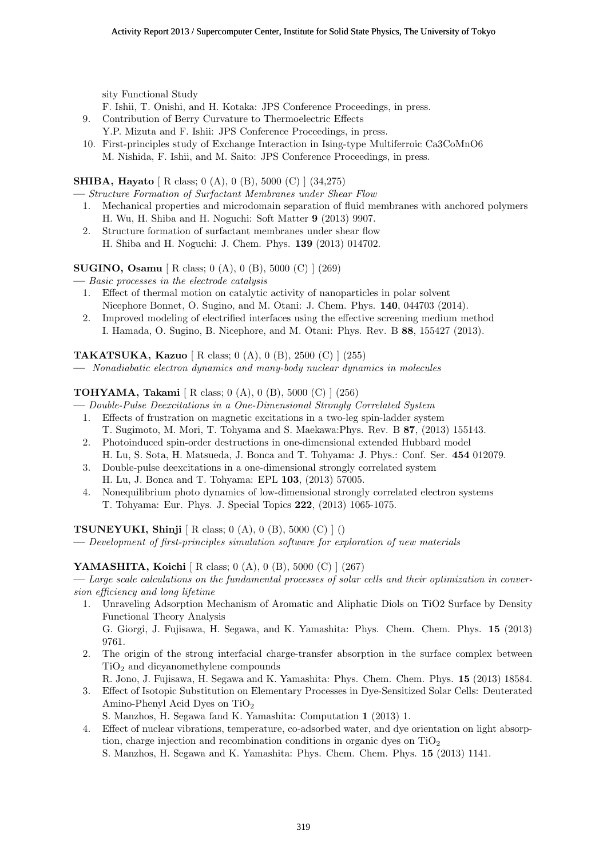sity Functional Study

F. Ishii, T. Onishi, and H. Kotaka: JPS Conference Proceedings, in press.

- 9. Contribution of Berry Curvature to Thermoelectric Effects
- Y.P. Mizuta and F. Ishii: JPS Conference Proceedings, in press.
- 10. First-principles study of Exchange Interaction in Ising-type Multiferroic Ca3CoMnO6 M. Nishida, F. Ishii, and M. Saito: JPS Conference Proceedings, in press.

**SHIBA, Hayato** [ R class; 0 (A), 0 (B), 5000 (C) ] (34,275)

- **—** *Structure Formation of Surfactant Membranes under Shear Flow* 1. Mechanical properties and microdomain separation of fluid membranes with anchored polymers H. Wu, H. Shiba and H. Noguchi: Soft Matter **9** (2013) 9907.
- 2. Structure formation of surfactant membranes under shear flow H. Shiba and H. Noguchi: J. Chem. Phys. **139** (2013) 014702.

**SUGINO, Osamu** [ R class; 0 (A), 0 (B), 5000 (C) ] (269)

- **—** *Basic processes in the electrode catalysis*
	- 1. Effect of thermal motion on catalytic activity of nanoparticles in polar solvent Nicephore Bonnet, O. Sugino, and M. Otani: J. Chem. Phys. **140**, 044703 (2014).
	- 2. Improved modeling of electrified interfaces using the effective screening medium method I. Hamada, O. Sugino, B. Nicephore, and M. Otani: Phys. Rev. B **88**, 155427 (2013).

**TAKATSUKA, Kazuo** [ R class; 0 (A), 0 (B), 2500 (C) ] (255)

**—** *Nonadiabatic electron dynamics and many-body nuclear dynamics in molecules*

**TOHYAMA, Takami** [ R class; 0 (A), 0 (B), 5000 (C) ] (256)

- **—** *Double-Pulse Deexcitations in a One-Dimensional Strongly Correlated System* 1. Effects of frustration on magnetic excitations in a two-leg spin-ladder system
	- T. Sugimoto, M. Mori, T. Tohyama and S. Maekawa:Phys. Rev. B **87**, (2013) 155143. 2. Photoinduced spin-order destructions in one-dimensional extended Hubbard model
	- H. Lu, S. Sota, H. Matsueda, J. Bonca and T. Tohyama: J. Phys.: Conf. Ser. **454** 012079. 3. Double-pulse deexcitations in a one-dimensional strongly correlated system
	- H. Lu, J. Bonca and T. Tohyama: EPL **103**, (2013) 57005.
	- 4. Nonequilibrium photo dynamics of low-dimensional strongly correlated electron systems T. Tohyama: Eur. Phys. J. Special Topics **222**, (2013) 1065-1075.

**TSUNEYUKI, Shinji** [ R class; 0 (A), 0 (B), 5000 (C) ] ()

**—** *Development of first-principles simulation software for exploration of new materials*

## **YAMASHITA, Koichi** [ R class; 0 (A), 0 (B), 5000 (C) ] (267)

**—** *Large scale calculations on the fundamental processes of solar cells and their optimization in conversion efficiency and long lifetime*

- 1. Unraveling Adsorption Mechanism of Aromatic and Aliphatic Diols on TiO2 Surface by Density Functional Theory Analysis G. Giorgi, J. Fujisawa, H. Segawa, and K. Yamashita: Phys. Chem. Chem. Phys. **15** (2013) 9761.
- 2. The origin of the strong interfacial charge-transfer absorption in the surface complex between  $TiO<sub>2</sub>$  and dicyanomethylene compounds
- R. Jono, J. Fujisawa, H. Segawa and K. Yamashita: Phys. Chem. Chem. Phys. **15** (2013) 18584.
- 3. Effect of Isotopic Substitution on Elementary Processes in Dye-Sensitized Solar Cells: Deuterated Amino-Phenyl Acid Dyes on TiO<sup>2</sup>
	- S. Manzhos, H. Segawa fand K. Yamashita: Computation **1** (2013) 1.
- 4. Effect of nuclear vibrations, temperature, co-adsorbed water, and dye orientation on light absorption, charge injection and recombination conditions in organic dyes on  $TiO<sub>2</sub>$

S. Manzhos, H. Segawa and K. Yamashita: Phys. Chem. Chem. Phys. **15** (2013) 1141.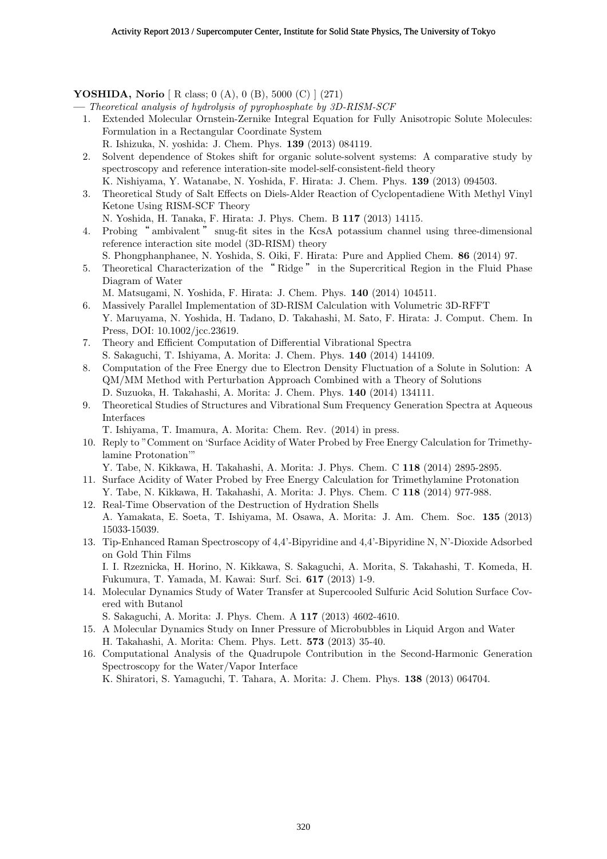## **YOSHIDA, Norio** [ R class; 0 (A), 0 (B), 5000 (C) ] (271)

**—** *Theoretical analysis of hydrolysis of pyrophosphate by 3D-RISM-SCF*

- 1. Extended Molecular Ornstein-Zernike Integral Equation for Fully Anisotropic Solute Molecules: Formulation in a Rectangular Coordinate System
	- R. Ishizuka, N. yoshida: J. Chem. Phys. **139** (2013) 084119.
- 2. Solvent dependence of Stokes shift for organic solute-solvent systems: A comparative study by spectroscopy and reference interation-site model-self-consistent-field theory K. Nishiyama, Y. Watanabe, N. Yoshida, F. Hirata: J. Chem. Phys. **139** (2013) 094503.
- 3. Theoretical Study of Salt Effects on Diels-Alder Reaction of Cyclopentadiene With Methyl Vinyl Ketone Using RISM-SCF Theory
	- N. Yoshida, H. Tanaka, F. Hirata: J. Phys. Chem. B **117** (2013) 14115.
- 4. Probing " ambivalent " snug-fit sites in the KcsA potassium channel using three-dimensional reference interaction site model (3D-RISM) theory
	- S. Phongphanphanee, N. Yoshida, S. Oiki, F. Hirata: Pure and Applied Chem. **86** (2014) 97.
- 5. Theoretical Characterization of the " Ridge " in the Supercritical Region in the Fluid Phase Diagram of Water
	- M. Matsugami, N. Yoshida, F. Hirata: J. Chem. Phys. **140** (2014) 104511.
- 6. Massively Parallel Implementation of 3D-RISM Calculation with Volumetric 3D-RFFT Y. Maruyama, N. Yoshida, H. Tadano, D. Takahashi, M. Sato, F. Hirata: J. Comput. Chem. In Press, DOI: 10.1002/jcc.23619.
- 7. Theory and Efficient Computation of Differential Vibrational Spectra S. Sakaguchi, T. Ishiyama, A. Morita: J. Chem. Phys. **140** (2014) 144109.
- 8. Computation of the Free Energy due to Electron Density Fluctuation of a Solute in Solution: A QM/MM Method with Perturbation Approach Combined with a Theory of Solutions D. Suzuoka, H. Takahashi, A. Morita: J. Chem. Phys. **140** (2014) 134111.
- 9. Theoretical Studies of Structures and Vibrational Sum Frequency Generation Spectra at Aqueous Interfaces
	- T. Ishiyama, T. Imamura, A. Morita: Chem. Rev. (2014) in press.
- 10. Reply to "Comment on 'Surface Acidity of Water Probed by Free Energy Calculation for Trimethylamine Protonation'"
	- Y. Tabe, N. Kikkawa, H. Takahashi, A. Morita: J. Phys. Chem. C **118** (2014) 2895-2895.
- 11. Surface Acidity of Water Probed by Free Energy Calculation for Trimethylamine Protonation Y. Tabe, N. Kikkawa, H. Takahashi, A. Morita: J. Phys. Chem. C **118** (2014) 977-988.
- 12. Real-Time Observation of the Destruction of Hydration Shells A. Yamakata, E. Soeta, T. Ishiyama, M. Osawa, A. Morita: J. Am. Chem. Soc. **135** (2013) 15033-15039.
- 13. Tip-Enhanced Raman Spectroscopy of 4,4'-Bipyridine and 4,4'-Bipyridine N, N'-Dioxide Adsorbed on Gold Thin Films

I. I. Rzeznicka, H. Horino, N. Kikkawa, S. Sakaguchi, A. Morita, S. Takahashi, T. Komeda, H. Fukumura, T. Yamada, M. Kawai: Surf. Sci. **617** (2013) 1-9.

14. Molecular Dynamics Study of Water Transfer at Supercooled Sulfuric Acid Solution Surface Covered with Butanol

S. Sakaguchi, A. Morita: J. Phys. Chem. A **117** (2013) 4602-4610.

- 15. A Molecular Dynamics Study on Inner Pressure of Microbubbles in Liquid Argon and Water H. Takahashi, A. Morita: Chem. Phys. Lett. **573** (2013) 35-40.
- 16. Computational Analysis of the Quadrupole Contribution in the Second-Harmonic Generation Spectroscopy for the Water/Vapor Interface K. Shiratori, S. Yamaguchi, T. Tahara, A. Morita: J. Chem. Phys. **138** (2013) 064704.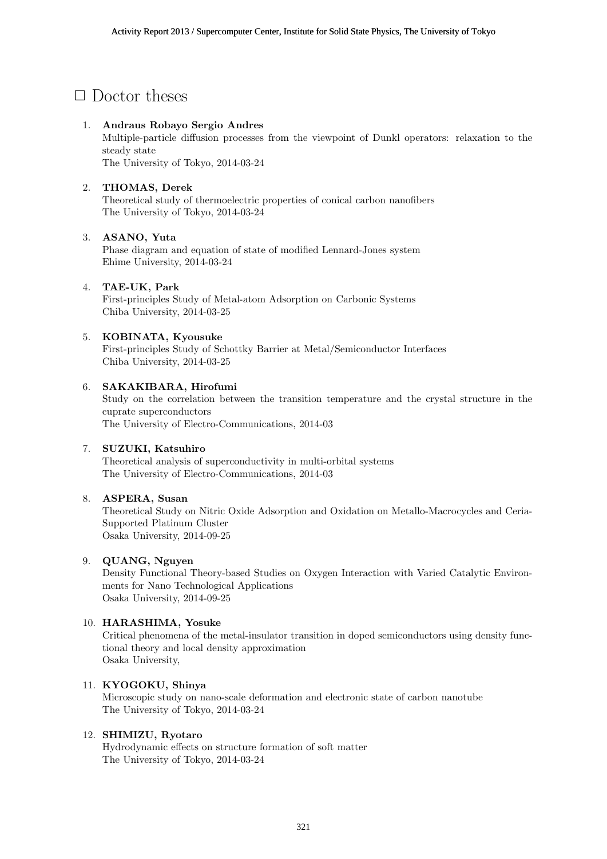# *✷* Doctor theses

## 1. **Andraus Robayo Sergio Andres**

Multiple-particle diffusion processes from the viewpoint of Dunkl operators: relaxation to the steady state

The University of Tokyo, 2014-03-24

## 2. **THOMAS, Derek**

Theoretical study of thermoelectric properties of conical carbon nanofibers The University of Tokyo, 2014-03-24

## 3. **ASANO, Yuta**

Phase diagram and equation of state of modified Lennard-Jones system Ehime University, 2014-03-24

## 4. **TAE-UK, Park**

First-principles Study of Metal-atom Adsorption on Carbonic Systems Chiba University, 2014-03-25

## 5. **KOBINATA, Kyousuke**

First-principles Study of Schottky Barrier at Metal/Semiconductor Interfaces Chiba University, 2014-03-25

## 6. **SAKAKIBARA, Hirofumi**

Study on the correlation between the transition temperature and the crystal structure in the cuprate superconductors

The University of Electro-Communications, 2014-03

#### 7. **SUZUKI, Katsuhiro**

Theoretical analysis of superconductivity in multi-orbital systems The University of Electro-Communications, 2014-03

#### 8. **ASPERA, Susan**

Theoretical Study on Nitric Oxide Adsorption and Oxidation on Metallo-Macrocycles and Ceria-Supported Platinum Cluster Osaka University, 2014-09-25

#### 9. **QUANG, Nguyen**

Density Functional Theory-based Studies on Oxygen Interaction with Varied Catalytic Environments for Nano Technological Applications Osaka University, 2014-09-25

#### 10. **HARASHIMA, Yosuke**

Critical phenomena of the metal-insulator transition in doped semiconductors using density functional theory and local density approximation Osaka University,

## 11. **KYOGOKU, Shinya**

Microscopic study on nano-scale deformation and electronic state of carbon nanotube The University of Tokyo, 2014-03-24

## 12. **SHIMIZU, Ryotaro**

Hydrodynamic effects on structure formation of soft matter The University of Tokyo, 2014-03-24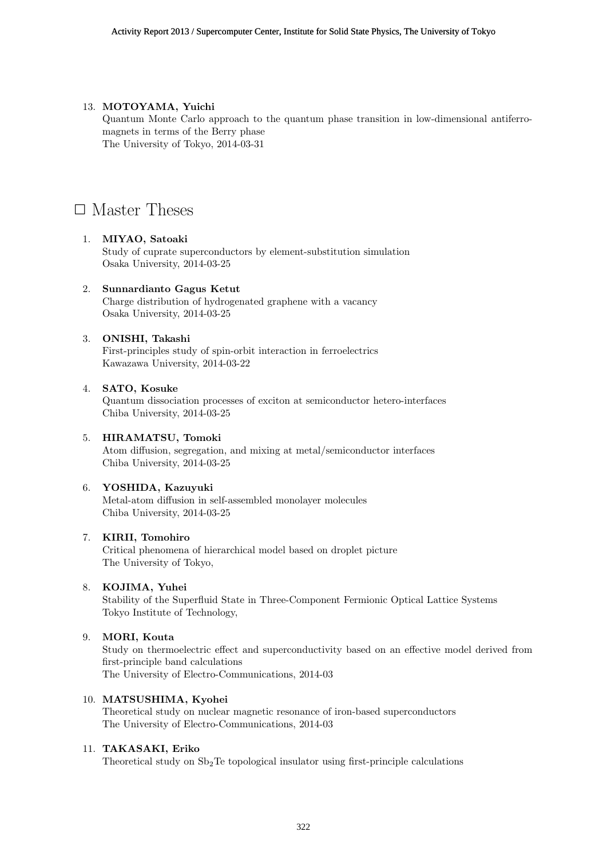## 13. **MOTOYAMA, Yuichi**

Quantum Monte Carlo approach to the quantum phase transition in low-dimensional antiferromagnets in terms of the Berry phase The University of Tokyo, 2014-03-31

# □ Master Theses

## 1. **MIYAO, Satoaki**

Study of cuprate superconductors by element-substitution simulation Osaka University, 2014-03-25

## 2. **Sunnardianto Gagus Ketut**

Charge distribution of hydrogenated graphene with a vacancy Osaka University, 2014-03-25

## 3. **ONISHI, Takashi**

First-principles study of spin-orbit interaction in ferroelectrics Kawazawa University, 2014-03-22

#### 4. **SATO, Kosuke**

Quantum dissociation processes of exciton at semiconductor hetero-interfaces Chiba University, 2014-03-25

#### 5. **HIRAMATSU, Tomoki**

Atom diffusion, segregation, and mixing at metal/semiconductor interfaces Chiba University, 2014-03-25

## 6. **YOSHIDA, Kazuyuki**

Metal-atom diffusion in self-assembled monolayer molecules Chiba University, 2014-03-25

## 7. **KIRII, Tomohiro**

Critical phenomena of hierarchical model based on droplet picture The University of Tokyo,

#### 8. **KOJIMA, Yuhei**

Stability of the Superfluid State in Three-Component Fermionic Optical Lattice Systems Tokyo Institute of Technology,

#### 9. **MORI, Kouta**

Study on thermoelectric effect and superconductivity based on an effective model derived from first-principle band calculations The University of Electro-Communications, 2014-03

## 10. **MATSUSHIMA, Kyohei**

Theoretical study on nuclear magnetic resonance of iron-based superconductors The University of Electro-Communications, 2014-03

#### 11. **TAKASAKI, Eriko**

Theoretical study on  $Sb<sub>2</sub>Te$  topological insulator using first-principle calculations